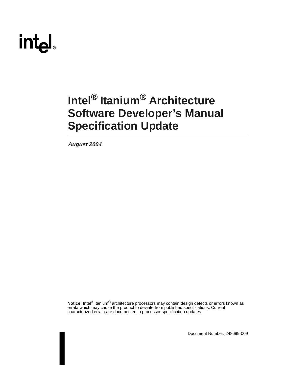# int<sub>el</sub>

# **Intel® Itanium® Architecture Software Developer's Manual Specification Update**

**August 2004**

**Notice:** Intel® Itanium® architecture processors may contain design defects or errors known as errata which may cause the product to deviate from published specifications. Current characterized errata are documented in processor specification updates.

Document Number: 248699-009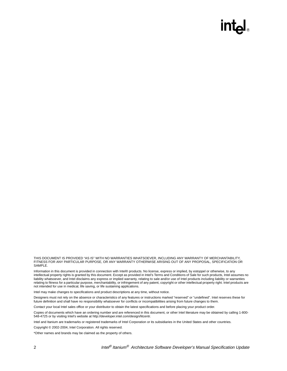# intal

THIS DOCUMENT IS PROVIDED "AS IS" WITH NO WARRANTIES WHATSOEVER, INCLUDING ANY WARRANTY OF MERCHANTABILITY, FITNESS FOR ANY PARTICULAR PURPOSE, OR ANY WARRANTY OTHERWISE ARISING OUT OF ANY PROPOSAL, SPECIFICATION OR SAMPLE.

Information in this document is provided in connection with Intel® products. No license, express or implied, by estoppel or otherwise, to any intellectual property rights is granted by this document. Except as provided in Intel's Terms and Conditions of Sale for such products, Intel assumes no liability whatsoever, and Intel disclaims any express or implied warranty, relating to sale and/or use of Intel products including liability or warranties relating to fitness for a particular purpose, merchantability, or infringement of any patent, copyright or other intellectual property right. Intel products are not intended for use in medical, life saving, or life sustaining applications.

Intel may make changes to specifications and product descriptions at any time, without notice.

Designers must not rely on the absence or characteristics of any features or instructions marked "reserved" or "undefined". Intel reserves these for future definition and shall have no responsibility whatsoever for conflicts or incompatibilities arising from future changes to them.

Contact your local Intel sales office or your distributor to obtain the latest specifications and before placing your product order.

Copies of documents which have an ordering number and are referenced in this document, or other Intel literature may be obtained by calling 1-800- 548-4725 or by visiting Intel's website at http://developer.intel.com/design/litcentr.

Intel and Itanium are trademarks or registered trademarks of Intel Corporation or its subsidiaries in the United States and other countries.

Copyright © 2002-2004, Intel Corporation. All rights reserved.

\*Other names and brands may be claimed as the property of others.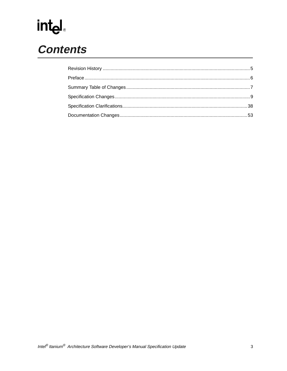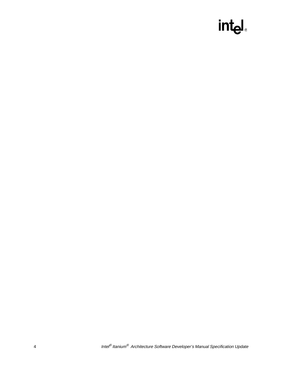# intel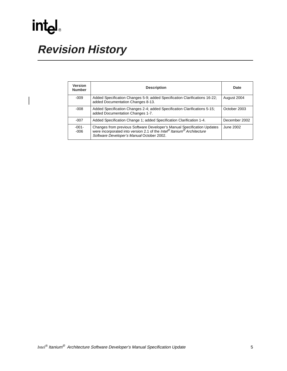# intel

 $\begin{array}{c} \hline \end{array}$ 

# <span id="page-4-0"></span>**Revision History**

| <b>Version</b><br><b>Number</b> | <b>Description</b>                                                                                                                                                                                    | Date          |
|---------------------------------|-------------------------------------------------------------------------------------------------------------------------------------------------------------------------------------------------------|---------------|
| $-009$                          | Added Specification Changes 5-9; added Specification Clarifications 16-22;<br>added Documentation Changes 8-13.                                                                                       | August 2004   |
| $-008$                          | Added Specification Changes 2-4; added Specification Clarifications 5-15;<br>added Documentation Changes 1-7.                                                                                         | October 2003  |
| $-007$                          | Added Specification Change 1; added Specification Clarification 1-4.                                                                                                                                  | December 2002 |
| $-001-$<br>$-006$               | Changes from previous Software Developer's Manual Specification Updates<br>were incorporated into version 2.1 of the <i>Intel®</i> Itanium® Architecture<br>Software Developer's Manual October 2002. | June 2002     |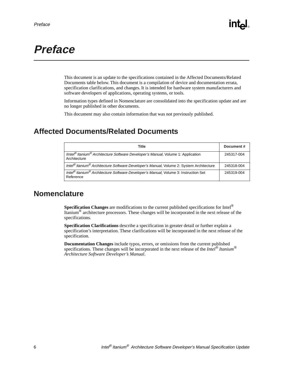# <span id="page-5-0"></span>**Preface**

This document is an update to the specifications contained in the Affected Documents/Related Documents table below. This document is a compilation of device and documentation errata, specification clarifications, and changes. It is intended for hardware system manufacturers and software developers of applications, operating systems, or tools.

Information types defined in Nomenclature are consolidated into the specification update and are no longer published in other documents.

This document may also contain information that was not previously published.

#### **Affected Documents/Related Documents**

| Title                                                                                                                         | Document#  |
|-------------------------------------------------------------------------------------------------------------------------------|------------|
| <i>IIntel<sup>®</sup> Itanium<sup>®</sup> Architecture Software Developer's Manual, Volume 1: Application</i><br>Architecture | 245317-004 |
| Intel <sup>®</sup> Itanium <sup>®</sup> Architecture Software Developer's Manual, Volume 2: System Architecture               | 245318-004 |
| Intel <sup>®</sup> Itanium <sup>®</sup> Architecture Software Developer's Manual, Volume 3: Instruction Set<br>Reference      | 245319-004 |

#### **Nomenclature**

**Specification Changes** are modifications to the current published specifications for Intel® Itanium® architecture processors. These changes will be incorporated in the next release of the specifications.

**Specification Clarifications** describe a specification in greater detail or further explain a specification's interpretation. These clarifications will be incorporated in the next release of the specification.

**Documentation Changes** include typos, errors, or omissions from the current published specifications. These changes will be incorporated in the next release of the *Intel® Itanium® Architecture Software Developer's Manual*.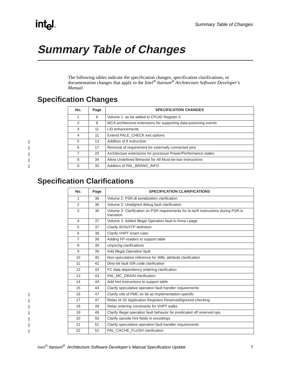$\overline{\phantom{a}}$  $\mathsf{I}$  $\overline{1}$  $\mathbf{I}$  $\mathbf{I}$ 

> $\overline{1}$  $\mathbf{I}$  $\mathsf{I}$  $\overline{1}$  $\mathbf{I}$  $\overline{1}$  $\mathbf{I}$

# <span id="page-6-0"></span>**Summary Table of Changes**

The following tables indicate the specification changes, specification clarifications, or documentation changes that apply to the *Intel® Itanium® Architecture Software Developer's Manual*.

#### **Specification Changes**

| No.            | Page | <b>SPECIFICATION CHANGES</b>                                     |
|----------------|------|------------------------------------------------------------------|
|                | 8    | Volume 1: ao bit added to CPUID Register 4                       |
| $\mathfrak{p}$ | 8    | MCA architecture extensions for supporting data-poisoning events |
| 3              | 11   | LID enhancements                                                 |
| 4              | 11   | Extend PALE_CHECK exit options                                   |
| 5              | 13   | Addition of tf instruction                                       |
| 6              | 17   | Removal of requirement for externally connected pins             |
|                | 20   | Architecture extensions for processor Power/Performance states   |
| 8              | 34   | Allow Undefined Behavior for All Must-be-last Instructions       |
| 9              | 35   | Addition of PAL_BRAND_INFO                                       |

#### **Specification Clarifications**

| No.            | Page | <b>SPECIFICATION CLARIFICATIONS</b>                                                                |
|----------------|------|----------------------------------------------------------------------------------------------------|
| 1              | 36   | Volume 2: PSR dt serialization clarification                                                       |
| $\overline{2}$ | 36   | Volume 2: Unaligned debug fault clarification                                                      |
| 3              | 36   | Volume 3: Clarification on PSR requirements for br.ia/rfi instructions during PSR.is<br>transition |
| 4              | 37   | Volume 3: Added Illegal Operation fault to fnma I-page                                             |
| 5              | 37   | Clarify INTA/XTP definition                                                                        |
| 6              | 38   | Clarify VHPT insert rules                                                                          |
| $\overline{7}$ | 38   | Adding FP-readers to support table                                                                 |
| 8              | 39   | cmpxchq clarifications                                                                             |
| 9              | 39   | Add Illegal Operation fault                                                                        |
| 10             | 40   | Non-speculative reference for WBL attribute clarification                                          |
| 11             | 42   | Dirty-bit fault ISR.code clarification                                                             |
| 12             | 43   | FC data dependency ordering clarification                                                          |
| 13             | 43   | PAL MC DRAIN clarification                                                                         |
| 14             | 44   | Add hint instructions to support table                                                             |
| 15             | 44   | Clarify speculative operation fault handler requirements                                           |
| 16             | 47   | Clarify role of PMC.ev bit as implementation-specific                                              |
| 17             | 47   | Relax IA-32 Application Registers Reserved/Ignored checking                                        |
| 18             | 49   | Relax ordering constraints for VHPT walks                                                          |
| 19             | 49   | Clarify illegal operation fault behavior for predicated off reserved ops                           |
| 20             | 50   | Clarify opcode hint fields in encodings                                                            |
| 21             | 51   | Clarify speculative operation fault handler requirements                                           |
| 22             | 52   | PAL CACHE FLUSH clarification                                                                      |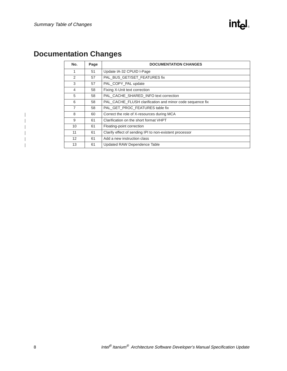### **Documentation Changes**

| No.            | Page | <b>DOCUMENTATION CHANGES</b>                              |
|----------------|------|-----------------------------------------------------------|
|                | 51   | Update IA-32 CPUID I-Page                                 |
| $\mathfrak{p}$ | 57   | PAL BUS GET/SET FEATURES fix                              |
| 3              | 57   | PAL COPY PAL update                                       |
| 4              | 58   | Fixing X-Unit text correction                             |
| 5              | 58   | PAL CACHE SHARED INFO text correction                     |
| 6              | 58   | PAL CACHE FLUSH clarification and minor code sequence fix |
| $\overline{7}$ | 58   | PAL GET PROC FEATURES table fix                           |
| 8              | 60   | Correct the role of X-resources during MCA                |
| 9              | 61   | Clarification on the short format VHPT                    |
| 10             | 61   | Floating-point correction                                 |
| 11             | 61   | Clarify effect of sending IPI to non-existent processor   |
| 12             | 61   | Add a new instruction class                               |
| 13             | 61   | Updated RAW Dependence Table                              |

 $\mathsf I$  $\overline{1}$  $\overline{\phantom{a}}$  $\begin{array}{c} \rule{0pt}{2ex} \rule{0pt}{2ex} \rule{0pt}{2ex} \rule{0pt}{2ex} \rule{0pt}{2ex} \rule{0pt}{2ex} \rule{0pt}{2ex} \rule{0pt}{2ex} \rule{0pt}{2ex} \rule{0pt}{2ex} \rule{0pt}{2ex} \rule{0pt}{2ex} \rule{0pt}{2ex} \rule{0pt}{2ex} \rule{0pt}{2ex} \rule{0pt}{2ex} \rule{0pt}{2ex} \rule{0pt}{2ex} \rule{0pt}{2ex} \rule{0pt}{2ex} \rule{0pt}{2ex} \rule{0pt}{2ex} \rule{0pt}{2ex} \rule{0pt}{$  $\overline{\phantom{a}}$  $\overline{1}$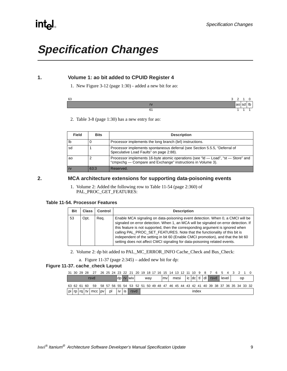# **int<sub>e</sub>l**

# <span id="page-8-0"></span>**Specification Changes**

#### **1. Volume 1: ao bit added to CPUID Register 4**

1. New Figure 3-12 (page 1:30) - added a new bit for ao:

| 63<br>3 | $\sim$<br>- |                |    |
|---------|-------------|----------------|----|
|         |             | ¶ao∣so<br>ام ہ | Ib |
| 61      |             |                |    |

2. Table 3-8 (page 1:30) has a new entry for ao:

| Field | <b>Bits</b> | <b>Description</b>                                                                                                                               |
|-------|-------------|--------------------------------------------------------------------------------------------------------------------------------------------------|
| lb    |             | Processor implements the long branch (brl) instructions.                                                                                         |
| sd    |             | Processor implements spontaneous deferral (see Section 5.5.5, "Deferral of<br>Speculative Load Faults" on page 2:88).                            |
| ao    |             | Processor implements 16-byte atomic operations (see "Id — Load", "st — Store" and<br>"cmpxchg — Compare and Exchange" instructions in Volume 3). |
|       | 63:3        | Reserved.                                                                                                                                        |

#### **2. MCA architecture extensions for supporting data-poisoning events**

1. Volume 2: Added the following row to Table 11-54 (page 2:360) of PAL\_PROC\_GET\_FEATURES:

#### **Table 11-54. Processor Features**

| <b>Bit</b> | <b>Class</b> | Control | <b>Description</b>                                                                                                                                                                                                                                                                                                                                                                                                                                                                                     |
|------------|--------------|---------|--------------------------------------------------------------------------------------------------------------------------------------------------------------------------------------------------------------------------------------------------------------------------------------------------------------------------------------------------------------------------------------------------------------------------------------------------------------------------------------------------------|
| 53         | Opt.         | Req.    | Enable MCA signaling on data-poisoning event detection. When 0, a CMCI will be<br>signaled on error detection. When 1, an MCA will be signaled on error detection. If<br>this feature is not supported, then the corresponding argument is ignored when<br>calling PAL_PROC_SET_FEATURES. Note that the functionality of this bit is<br>independent of the setting in bit 60 (Enable CMCI promotion), and that the bit 60<br>setting does not affect CMCI signaling for data-poisoning related events. |

2. Volume 2: dp bit added to PAL\_MC\_ERROR\_INFO Cache\_Check and Bus\_Check:

a. Figure 11-37 (page  $2:345$ ) – added new bit for dp:

#### **Figure 11-37. cache\_check Layout**

|      |    |    |                                   | 31 30 29 28 27 26 25 24 23 22 21 20 19 18 17 16 15 14 13 12 11 10 9 8 7 6 5 4       |  |    |  |    |    |            |  |  |           |  |   |    |      |  |       |    |  |  |  |  |  |  |
|------|----|----|-----------------------------------|-------------------------------------------------------------------------------------|--|----|--|----|----|------------|--|--|-----------|--|---|----|------|--|-------|----|--|--|--|--|--|--|
|      |    |    | ¶wiv.<br>dpl<br>rv<br>rsvd<br>wav |                                                                                     |  |    |  |    |    | mesi<br>mv |  |  | ic<br> dc |  | H | dl | rsvd |  | level | op |  |  |  |  |  |  |
|      |    |    | 63 62 61 60                       | 59 58 57 56 55 54 53 52 51 50 49 48 47 46 45 44 43 42 41 40 39 38 37 36 35 34 33 32 |  |    |  |    |    |            |  |  |           |  |   |    |      |  |       |    |  |  |  |  |  |  |
| pi l | rp | ra | tv                                | $mcc$ $pv$                                                                          |  | pl |  | iv | is | rsvd       |  |  |           |  |   |    |      |  | index |    |  |  |  |  |  |  |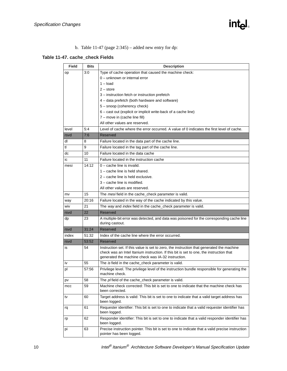b. Table 11-47 (page 2:345) – added new entry for dp:

**Table 11-47. cache\_check Fields**

| <b>Field</b> | <b>Bits</b> | <b>Description</b>                                                                                                                                                                                                                         |
|--------------|-------------|--------------------------------------------------------------------------------------------------------------------------------------------------------------------------------------------------------------------------------------------|
| op           | 3:0         | Type of cache operation that caused the machine check:                                                                                                                                                                                     |
|              |             | 0 - unknown or internal error                                                                                                                                                                                                              |
|              |             | 1 – load                                                                                                                                                                                                                                   |
|              |             | $2 - store$                                                                                                                                                                                                                                |
|              |             | 3 - instruction fetch or instruction prefetch                                                                                                                                                                                              |
|              |             | 4 – data prefetch (both hardware and software)                                                                                                                                                                                             |
|              |             | 5 - snoop (coherency check)                                                                                                                                                                                                                |
|              |             | 6 – cast out (explicit or implicit write-back of a cache line)                                                                                                                                                                             |
|              |             | 7 - move in (cache line fill)                                                                                                                                                                                                              |
|              |             | All other values are reserved.                                                                                                                                                                                                             |
| level        | 5:4         | Level of cache where the error occurred. A value of 0 indicates the first level of cache.                                                                                                                                                  |
| rsvd         | 7:6         | Reserved                                                                                                                                                                                                                                   |
| dl           | 8           | Failure located in the data part of the cache line.                                                                                                                                                                                        |
| tl           | 9           | Failure located in the tag part of the cache line.                                                                                                                                                                                         |
| dc           | 10          | Failure located in the data cache                                                                                                                                                                                                          |
| ic           | 11          | Failure located in the instruction cache                                                                                                                                                                                                   |
| mesi         | 14:12       | $0$ – cache line is invalid.                                                                                                                                                                                                               |
|              |             | $1 - \text{cache line}$ is held shared.                                                                                                                                                                                                    |
|              |             | 2 – cache line is held exclusive.                                                                                                                                                                                                          |
|              |             | 3 - cache line is modified.                                                                                                                                                                                                                |
|              |             | All other values are reserved.                                                                                                                                                                                                             |
| mv           | 15          | The mesi field in the cache_check parameter is valid.                                                                                                                                                                                      |
| way          | 20:16       | Failure located in the way of the cache indicated by this value.                                                                                                                                                                           |
| wiv          | 21          | The way and index field in the cache_check parameter is valid.                                                                                                                                                                             |
| rsvd         | 22          | <b>Reserved</b>                                                                                                                                                                                                                            |
| dp           | 23          | A multiple-bit error was detected, and data was poisoned for the corresponding cache line<br>during castout.                                                                                                                               |
| rsvd         | 31:24       | <b>Reserved</b>                                                                                                                                                                                                                            |
| index        | 51:32       | Index of the cache line where the error occurred.                                                                                                                                                                                          |
| rsvd         | 53:52       | <b>Reserved</b>                                                                                                                                                                                                                            |
| IS           | 54          | Instruction set. If this value is set to zero, the instruction that generated the machine<br>check was an Intel Itanium instruction. If this bit is set to one, the instruction that<br>generated the machine check was IA-32 instruction. |
| İV           | 55          | The is field in the cache_check parameter is valid.                                                                                                                                                                                        |
| pl           | 57:56       | Privilege level. The privilege level of the instruction bundle responsible for generating the<br>machine check.                                                                                                                            |
| pv           | 58          | The pl field of the cache_check parameter is valid.                                                                                                                                                                                        |
| mcc          | 59          | Machine check corrected: This bit is set to one to indicate that the machine check has<br>been corrected.                                                                                                                                  |
| tv           | 60          | Target address is valid: This bit is set to one to indicate that a valid target address has<br>been logged.                                                                                                                                |
| rq           | 61          | Requester identifier: This bit is set to one to indicate that a valid requester identifier has<br>been logged.                                                                                                                             |
| rp           | 62          | Responder identifier: This bit is set to one to indicate that a valid responder identifier has<br>been logged.                                                                                                                             |
| pi           | 63          | Precise instruction pointer. This bit is set to one to indicate that a valid precise instruction<br>pointer has been logged.                                                                                                               |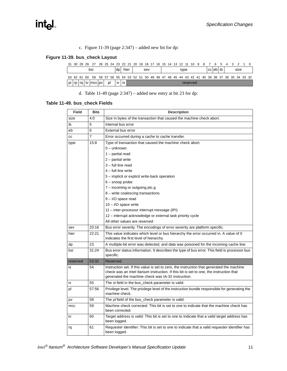### intel

c. Figure 11-39 (page 2:347) – added new bit for dp:

#### **Figure 11-39. bus\_check Layout**

|    |                    |    |  | 31 30 29 28 27 26 25 24 23 22 21 20 19 18 17 16 15 14 13 12 11 10 9 8 7 6 5 4 3 2 1             |  |  |    |    |      |          |  |  |  |  |  |  |  |          |  |  |      |  |  |  |  |  |  |  |
|----|--------------------|----|--|-------------------------------------------------------------------------------------------------|--|--|----|----|------|----------|--|--|--|--|--|--|--|----------|--|--|------|--|--|--|--|--|--|--|
|    | bsi<br>hier<br>sev |    |  |                                                                                                 |  |  |    |    | type |          |  |  |  |  |  |  |  | ccleblib |  |  | size |  |  |  |  |  |  |  |
|    |                    |    |  | 63 62 61 60 59 58 57 56 55 54 53 52 51 50 49 48 47 46 45 44 43 42 41 40 39 38 37 36 35 34 33 32 |  |  |    |    |      |          |  |  |  |  |  |  |  |          |  |  |      |  |  |  |  |  |  |  |
| Dİ | rp                 | ra |  | ty mcclov                                                                                       |  |  | bl | IV | is   | reserved |  |  |  |  |  |  |  |          |  |  |      |  |  |  |  |  |  |  |

d. Table 11-49 (page 2:347) – added new entry at bit 23 for dp:

#### **Table 11-49. bus\_check Fields**

| Field    | <b>Bits</b>    | <b>Description</b>                                                                                                                                                                                                                         |
|----------|----------------|--------------------------------------------------------------------------------------------------------------------------------------------------------------------------------------------------------------------------------------------|
| size     | 4:0            | Size in bytes of the transaction that caused the machine check abort.                                                                                                                                                                      |
| ib       | 5              | Internal bus error                                                                                                                                                                                                                         |
| eb       | 6              | External bus error                                                                                                                                                                                                                         |
| cc       | $\overline{7}$ | Error occurred during a cache to cache transfer.                                                                                                                                                                                           |
| type     | 15:8           | Type of transaction that caused the machine check abort.                                                                                                                                                                                   |
|          |                | 0 – unknown                                                                                                                                                                                                                                |
|          |                | $1$ – partial read                                                                                                                                                                                                                         |
|          |                | 2 – partial write                                                                                                                                                                                                                          |
|          |                | 3 - full line read                                                                                                                                                                                                                         |
|          |                | $4 - full$ line write                                                                                                                                                                                                                      |
|          |                | 5 - implicit or explicit write-back operation                                                                                                                                                                                              |
|          |                | $6$ – snoop probe                                                                                                                                                                                                                          |
|          |                | 7 - incoming or outgoing ptc.g                                                                                                                                                                                                             |
|          |                | 8 – write coalescing transactions                                                                                                                                                                                                          |
|          |                | $9 - I/O$ space read                                                                                                                                                                                                                       |
|          |                | $10 - I/O$ space write                                                                                                                                                                                                                     |
|          |                | 11 – inter-processor interrupt message (IPI)                                                                                                                                                                                               |
|          |                | 12 – interrupt acknowledge or external task priority cycle                                                                                                                                                                                 |
|          |                | All other values are reserved                                                                                                                                                                                                              |
| sev      | 20:16          | Bus error severity. The encodings of error severity are platform specific.                                                                                                                                                                 |
| hier     | 22:21          | This value indicates which level or bus hierarchy the error occurred in. A value of 0<br>indicates the first level of hierarchy.                                                                                                           |
| dp       | 23             | A multiple-bit error was detected, and data was poisoned for the incoming cache line.                                                                                                                                                      |
| bsi      | 31:24          | Bus error status information. It describes the type of bus error. This field is processor bus<br>specific.                                                                                                                                 |
| reserved | 53:32          | <b>Reserved</b>                                                                                                                                                                                                                            |
| is       | 54             | Instruction set. If this value is set to zero, the instruction that generated the machine<br>check was an Intel Itanium instruction. If this bit is set to one, the instruction that<br>generated the machine check was IA-32 instruction. |
| iv       | 55             | The is field in the bus_check parameter is valid.                                                                                                                                                                                          |
| pl       | 57:56          | Privilege level. The privilege level of the instruction bundle responsible for generating the<br>machine check.                                                                                                                            |
| pv       | 58             | The pl field of the bus_check parameter is valid.                                                                                                                                                                                          |
| mcc      | 59             | Machine check corrected: This bit is set to one to indicate that the machine check has<br>been corrected.                                                                                                                                  |
| tv       | 60             | Target address is valid: This bit is set to one to indicate that a valid target address has<br>been logged.                                                                                                                                |
| rq       | 61             | Requester identifier: This bit is set to one to indicate that a valid requester identifier has<br>been logged.                                                                                                                             |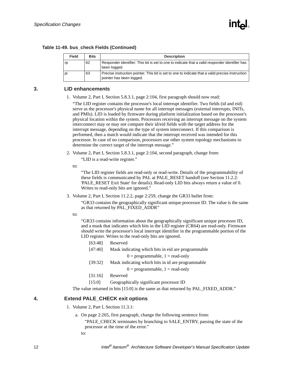

| Field | <b>Bits</b> | <b>Description</b>                                                                                                           |
|-------|-------------|------------------------------------------------------------------------------------------------------------------------------|
| rp    | 62          | Responder identifier: This bit is set to one to indicate that a valid responder identifier has<br>been logged.               |
| l pi  | 63          | Precise instruction pointer. This bit is set to one to indicate that a valid precise instruction<br>pointer has been logged. |

#### **3. LID enhancements**

1. Volume 2, Part I, Section 5.8.3.1, page 2:104, first paragraph should now read:

"The LID register contains the processor's local interrupt identifier. Two fields (id and eid) serve as the processor's physical name for all interrupt messages (external interrupts, INITs, and PMIs). LID is loaded by firmware during platform initialization based on the processor's physical location within the system. Processors receiving an interrupt message on the system interconnect may or may not compare their id/eid fields with the target address for the interrupt message, depending on the type of system interconnect. If this comparison is performed, then a match would indicate that the interrupt received was intended for this processor. In case of no comparison, processors use other system topology mechanisms to determine the correct target of the interrupt message."

2. Volume 2, Part I, Section 5.8.3.1, page 2:104, second paragraph, change from:

"LID is a read-write register."

to:

"The LID register fields are read-only or read-write. Details of the programmability of these fields is communicated by PAL at PALE\_RESET handoff (see Section 11.2.2: 'PALE\_RESET Exit State' for details). Read-only LID bits always return a value of 0. Writes to read-only bits are ignored."

3. Volume 2, Part I, Section 11.2.2, page 2:259, change the GR33 bullet from:

"GR33 contains the geographically significant unique processor ID. The value is the same as that returned by PAL\_FIXED\_ADDR"

to:

"GR33 contains information about the geographically significant unique processor ID, and a mask that indicates which bits in the LID register (CR64) are read-only. Firmware should write the processor's local interrupt identifier in the programmable portion of the LID register. Writes to the read-only bits are ignored.

- [63:48] Reserved
- [47:40] Mask indicating which bits in eid are programmable
	- $0 =$  programmable,  $1 =$  read-only
- [39:32] Mask indicating which bits in id are programmable
	- $0 =$  programmable,  $1 =$  read-only
- [31:16] Reserved
- [15:0] Geographically significant processor ID

The value returned in bits [15:0] is the same as that returned by PAL\_FIXED\_ADDR."

#### **4. Extend PALE\_CHECK exit options**

- 1. Volume 2, Part I, Section 11.3.1:
	- a. On page 2:265, first paragraph, change the following sentence from:
		- "PALE\_CHECK terminates by branching to SALE\_ENTRY, passing the state of the processor at the time of the error."

to: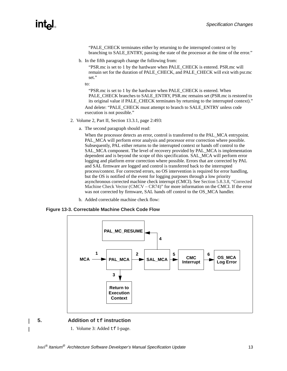"PALE\_CHECK terminates either by returning to the interrupted context or by branching to SALE\_ENTRY, passing the state of the processor at the time of the error."

b. In the fifth paragraph change the following from:

"PSR.mc is set to 1 by the hardware when PALE\_CHECK is entered. PSR.mc will remain set for the duration of PALE\_CHECK, and PALE\_CHECK will exit with psr.mc set."

to:

"PSR.mc is set to 1 by the hardware when PALE\_CHECK is entered. When PALE\_CHECK branches to SALE\_ENTRY, PSR.mc remains set (PSR.mc is restored to its original value if PALE\_CHECK terminates by returning to the interrupted context)."

And delete: "PALE\_CHECK must attempt to branch to SALE\_ENTRY unless code execution is not possible."

- 2. Volume 2, Part II, Section 13.3.1, page 2:493:
	- a. The second paragraph should read:

When the processor detects an error, control is transferred to the PAL\_MCA entrypoint. PAL\_MCA will perform error analysis and processor error correction where possible. Subsequently, PAL either returns to the interrupted context or hands off control to the SAL\_MCA component. The level of recovery provided by PAL\_MCA is implementation dependent and is beyond the scope of this specification. SAL\_MCA will perform error logging and platform error correction where possible. Errors that are corrected by PAL and SAL firmware are logged and control is transferred back to the interrupted process/context. For corrected errors, no OS intervention is required for error handling, but the OS is notified of the event for logging purposes through a low priority asynchronous corrected machine check interrupt (CMCI). See Section 5.8.3.8, "Corrected Machine Check Vector (CMCV – CR74)" for more information on the CMCI. If the error was not corrected by firmware, SAL hands off control to the OS\_MCA handler.

b. Added correctable machine check flow:

#### **Figure 13-3. Correctable Machine Check Code Flow**





#### <span id="page-12-0"></span>**5. Addition of tf instruction**

1. Volume 3: Added tf I-page.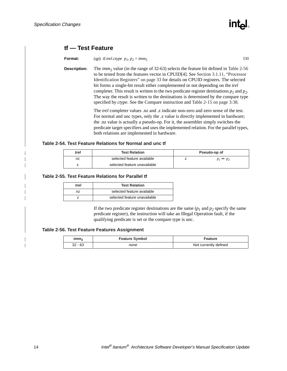int

#### **tf — Test Feature**

**Format:** (*qp*) tf.*trel.ctype*  $p_1$ ,  $p_2 = \text{im}m_5$  I30

**Description:** The  $\lim_{5}$  value (in the range of 32-63) selects the feature bit defined in [Table 2-56](#page-13-0) to be tested from the features vector in CPUID[4]. See Section 3.1.11, "Processor Identification Registers" on page 33 for details on CPUID registers. The selected bit forms a single-bit result either complemented or not depending on the *trel* completer. This result is written to the two predicate register destinations  $p_1$  and  $p_2$ . The way the result is written to the destinations is determined by the compare type specified by *ctype*. See the Compare instruction and Table 2-15 on page 3:38.

> The *trel* completer values .nz and .z indicate non-zero and zero sense of the test. For normal and unc types, only the .z value is directly implemented in hardware; the .nz value is actually a pseudo-op. For it, the assembler simply switches the predicate target specifiers and uses the implemented relation. For the parallel types, both relations are implemented in hardware.

#### **Table 2-54. Test Feature Relations for Normal and unc tf**

| trel | <b>Test Relation</b>         | Pseudo-op of |                           |  |  |  |  |  |
|------|------------------------------|--------------|---------------------------|--|--|--|--|--|
| nz   | selected feature available   |              | $p_1 \leftrightarrow p_2$ |  |  |  |  |  |
|      | selected feature unavailable |              |                           |  |  |  |  |  |

#### **Table 2-55. Test Feature Relations for Parallel tf**

| trel | <b>Test Relation</b>         |
|------|------------------------------|
| nz   | selected feature available   |
|      | selected feature unavailable |

If the two predicate register destinations are the same  $(p_1$  and  $p_2$  specify the same predicate register), the instruction will take an Illegal Operation fault, if the qualifying predicate is set or the compare type is unc.

#### <span id="page-13-0"></span>**Table 2-56. Test Feature Features Assignment**

| $\lim_{5}$ | <b>Feature Symbol</b> | Feature               |  |  |  |  |  |  |
|------------|-----------------------|-----------------------|--|--|--|--|--|--|
| $32 - 63$  | none                  | Not currently defined |  |  |  |  |  |  |

 $\mathbf I$  $\mathbf I$ 

ı

 $\mathbf{I}$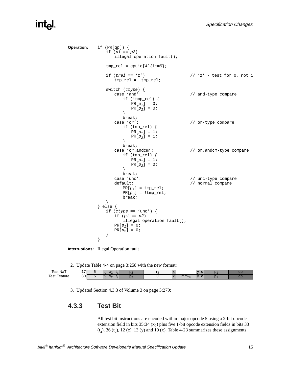```
Operation: if (PR[qp]) {
               if (p1 == p2)illegal_operation_fault();
               tmp\_rel = \text{cpuid}[4]{imm5};if (trel == 'z') //'z' - test for 0, not 1tmp_rel = !tmp_rel;
               switch (ctype) {<br>case 'and':
                                                 // and-type compare
                      if (!tmp_rel) {
                         PR[p_1] = 0;PR[p_2] = 0;}
                     break;
                  case 'or': // or-type compare
                      if (tmp_rel) {
                         PR[p_1] = 1;PR[p_2] = 1;}
                      break;
                  case 'or.andcm': // or.andcm-type compare
                      if (tmp_rel) {
                         PR[p_1] = 1;PR[p_2] = 0;}
                  break;<br>case 'unc':
                                                 // unc-type compare
                  default: \sqrt{2} // normal compare
                      PR[p_1] = tmp\_rel;PR[p_2] = !tmp_rel;break;
               }
            } else {
               if (ctype == 'unc') {
                  if (p1 == p2)illegal_operation_fault();
                  \text{PR}[p_1] = 0;PR[p_2] = 0;}
            }
```
**Interruptions:** Illegal Operation fault

2. Update Table 4-4 on page 3:258 with the new format:

<span id="page-14-0"></span>

| t NaT<br>Test,  | $\rightarrow$ | $\mathbf{t}_{\mathbf{b}}$ | $\mathbf{u}$<br>$\mathbf{X}^{\prime}$ | ⊺'a                          | D-<br>_ |  |           |           |                | ັ                      | ar |  |
|-----------------|---------------|---------------------------|---------------------------------------|------------------------------|---------|--|-----------|-----------|----------------|------------------------|----|--|
| Test<br>Feature | 130           | $\mathbf{t}_{\rm b}$      | -Ar                                   | $\mathsf{L}$<br>$\mathbf{d}$ | D٠<br>- |  | $\Lambda$ | $mm_{5b}$ | $\overline{M}$ | $\sim$<br>$\mathbf{u}$ | ar |  |

3. Updated Section 4.3.3 of Volume 3 on page 3:279:

#### **4.3.3 Test Bit**

All test bit instructions are encoded within major opcode 5 using a 2-bit opcode extension field in bits  $35:34$  (x<sub>2</sub>) plus five 1-bit opcode extension fields in bits 33  $(t_a)$ , 36  $(t_b)$ , 12 (c), 13 (y) and 19 (x). Table 4-23 summarizes these assignments.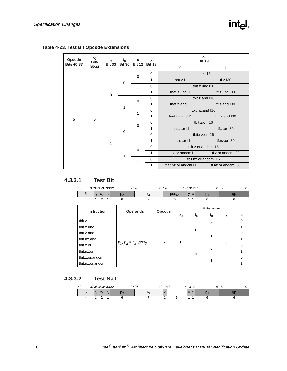$\overline{1}$ 

#### **Table 4-23. Test Bit Opcode Extensions**

| Opcode<br><b>Bits 40:37</b> | $x_2$<br><b>Bits</b> | $t_a$<br><b>Bit 33</b> | $t_{\rm b}$<br><b>Bit 36</b> | c<br><b>Bit 12</b> | y<br><b>Bit 13</b> | $\mathbf{x}$<br><b>Bit 19</b> |                      |  |  |  |
|-----------------------------|----------------------|------------------------|------------------------------|--------------------|--------------------|-------------------------------|----------------------|--|--|--|
|                             | 35:34                |                        |                              |                    |                    | $\bf{0}$                      | 1                    |  |  |  |
|                             |                      |                        |                              | 0                  | 0                  |                               | tbit.z I16           |  |  |  |
|                             |                      |                        | 0                            |                    | 1                  | tnat.z I1                     | $tf.z$ $130$         |  |  |  |
|                             |                      |                        |                              | 1                  | 0                  |                               | tbit.z.unc I16       |  |  |  |
|                             |                      | $\mathbf 0$            |                              |                    | 1                  | tnat.z.unc I1                 | $tf.z$ .unc $130$    |  |  |  |
|                             |                      |                        |                              | 0                  | 0                  | tbit.z.and I16                |                      |  |  |  |
| 5                           |                      |                        | 1                            |                    | 1                  | tnat.z.and I1                 | tf.z.and I30         |  |  |  |
|                             |                      |                        |                              | 1                  | $\Omega$           | tbit.nz.and I16               |                      |  |  |  |
|                             | $\mathbf 0$          |                        |                              |                    | 1                  | tnat.nz.and I1                | tf.nz.and I30        |  |  |  |
|                             |                      |                        | $\Omega$                     | $\Omega$           | $\Omega$           | tbit.z.or I16                 |                      |  |  |  |
|                             |                      |                        |                              |                    | 1                  | tnat.z.or I1                  | $tf.z$ .or $130$     |  |  |  |
|                             |                      |                        |                              | 1                  | $\Omega$           |                               | tbit.nz.or I16       |  |  |  |
|                             |                      | $\mathbf{1}$           |                              |                    | 1                  | tnat.nz.or I1                 | tf.nz.or I30         |  |  |  |
|                             |                      |                        |                              | 0                  | $\Omega$           |                               | tbit.z.or.andcm I16  |  |  |  |
|                             |                      |                        | 1                            |                    | 1                  | tnat.z.or.andcm I1            | tf.z.or.andcm I30    |  |  |  |
|                             |                      |                        |                              | 1                  | $\Omega$           |                               | tbit.nz.or.andcm I16 |  |  |  |
|                             |                      |                        |                              |                    | 1                  | tnat.nz.or.andcm I1           | tf.nz.or.andcm I30   |  |  |  |

#### **4.3.3.1 Test Bit**

| 40 |   | 373635343332 |   |   |    |  | 2726 |  | 2019 |                                    | 14131211 |             |  |  |
|----|---|--------------|---|---|----|--|------|--|------|------------------------------------|----------|-------------|--|--|
|    | ີ | <b>D</b>     | w | - | 'a |  |      |  |      | $\sim$ $\sim$ $\sim$ $\sim$ $\sim$ |          | $\sim$<br>◡ |  |  |
|    |   |              |   |   |    |  |      |  |      |                                    |          |             |  |  |

| <b>Instruction</b><br>tbit.z<br>tbit.z.unc<br>tbit.z.and<br>tbit.nz.and<br>tbit.z.or<br>tbit.nz.or | <b>Operands</b>         | Opcode | <b>Extension</b> |             |                    |          |          |  |  |  |
|----------------------------------------------------------------------------------------------------|-------------------------|--------|------------------|-------------|--------------------|----------|----------|--|--|--|
|                                                                                                    |                         |        | x <sub>2</sub>   | $t_{a}$     | $t_{\rm b}$        | У        | C        |  |  |  |
|                                                                                                    |                         |        |                  |             |                    |          | $\Omega$ |  |  |  |
|                                                                                                    |                         |        |                  | $\mathbf 0$ |                    |          |          |  |  |  |
|                                                                                                    |                         |        |                  |             |                    |          |          |  |  |  |
|                                                                                                    |                         | 5      | $\mathbf 0$      |             |                    |          |          |  |  |  |
|                                                                                                    | $p_1, p_2 = r_3, pos_6$ |        |                  |             | 0<br>1<br>$\Omega$ |          | ∩        |  |  |  |
|                                                                                                    |                         |        |                  | 1           |                    | $\Omega$ |          |  |  |  |
| tbit.z.or.andcm                                                                                    |                         |        |                  |             |                    |          |          |  |  |  |
| tbit.nz.or.andcm                                                                                   |                         |        |                  |             |                    |          |          |  |  |  |

#### <span id="page-15-0"></span>**4.3.3.2 Test NaT**

| 40 | 373635343332                      | 2726 | 201918    | 14131211    |  |
|----|-----------------------------------|------|-----------|-------------|--|
|    | $\bullet$<br>Чь.<br>スク<br>۰a<br>∠ |      | $\lambda$ | $\sim$<br>◡ |  |
|    |                                   |      |           |             |  |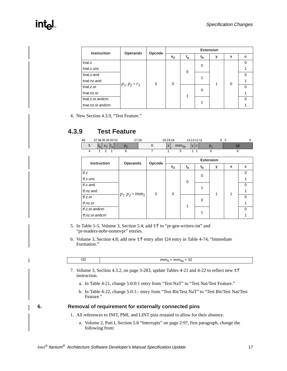| <b>Instruction</b> | <b>Operands</b>  | Opcode | <b>Extension</b> |          |                |   |          |          |  |  |  |
|--------------------|------------------|--------|------------------|----------|----------------|---|----------|----------|--|--|--|
|                    |                  |        | $x_2$            | $t_a$    | t <sub>b</sub> | у | X        | c        |  |  |  |
| tnat.z             |                  | 5      | $\mathbf 0$      |          | 0              |   |          | $\Omega$ |  |  |  |
| tnat.z.unc         |                  |        |                  | $\Omega$ |                |   | $\Omega$ |          |  |  |  |
| tnat.z.and         |                  |        |                  |          | 1              |   |          | $\Omega$ |  |  |  |
| tnat.nz.and        |                  |        |                  |          |                | 1 |          |          |  |  |  |
| tnat.z.or          | $p_1, p_2 = r_3$ |        |                  |          | 0              |   |          |          |  |  |  |
| tnat.nz.or         |                  |        |                  |          |                |   |          |          |  |  |  |
| tnat.z.or.andcm    |                  |        |                  |          |                |   |          | $\Omega$ |  |  |  |
| tnat.nz.or.andcm   |                  |        |                  |          |                |   |          |          |  |  |  |

4. New Section 4.3.9, "Test Feature."

#### **4.3.9 Test Feature**

<span id="page-16-1"></span>

| 40 |          | 373635343332                         |    | 2726 | 201918                     |                  | 14131211       | $\sim$ | $\ddot{\phantom{a}}$ |  |
|----|----------|--------------------------------------|----|------|----------------------------|------------------|----------------|--------|----------------------|--|
|    | $-t_{b}$ | $\overline{\mathbf{r}}$<br>$\Lambda$ | 'a |      | $\mathbf{v}$<br>$\sqrt{ }$ | $\text{mm}_{5b}$ | $\overline{M}$ | ◡      |                      |  |
|    |          |                                      |    |      |                            |                  |                |        |                      |  |

| <b>Instruction</b> |                    |        |       | <b>Extension</b> |             |   |   |          |  |  |  |  |  |  |
|--------------------|--------------------|--------|-------|------------------|-------------|---|---|----------|--|--|--|--|--|--|
|                    | <b>Operands</b>    | Opcode | $x_2$ | $t_{\rm a}$      | $t_{\rm b}$ | У | X | c        |  |  |  |  |  |  |
| tf.z               |                    |        |       |                  | 0           |   |   | $\Omega$ |  |  |  |  |  |  |
| tf.z.unc           |                    |        |       | 0                |             |   |   |          |  |  |  |  |  |  |
| tf.z.and           |                    | 5      |       |                  | 1           |   |   | $\Omega$ |  |  |  |  |  |  |
| tf.nz.and          |                    |        | 0     |                  |             |   |   |          |  |  |  |  |  |  |
| tf.z.or            | $p_1, p_2 = imm_5$ |        |       |                  | $\mathbf 0$ |   |   | $\Omega$ |  |  |  |  |  |  |
| tf.nz.or           |                    |        |       | 1                |             |   |   |          |  |  |  |  |  |  |
| tf.z.or.andcm      |                    |        |       |                  |             |   |   | $\Omega$ |  |  |  |  |  |  |
| tf.nz.or.andcm     |                    |        |       |                  |             |   |   |          |  |  |  |  |  |  |

5. In Table 5-5, Volume 3, Section 5.4; add tf to "pr-gen-writers-int" and "pr-readers-nobr-nomovpr" entries.

6. Volume 3, Section 4.8; add new tf entry after I24 entry in Table 4-74, "Immediate Formation."

| $\Omega$<br>IJU | $\sim$<br>imm<br>----<br>ےت<br>,,,,,,,,,,<br>,,,,,,<br>ັບບ |
|-----------------|------------------------------------------------------------|
|-----------------|------------------------------------------------------------|

- 7. Volume 3, Section 4.3.2, on page 3-283, update Tables 4-21 and 4-22 to reflect new tf instruction.
	- a. In Table 4-21, change 5:0:0:1 entry from "Test NaT" to "Test Nat/Test Feature."
	- b. In Table 4-22, change 5:0:1:- entry from "Test Bit/Test NaT" to "Test Bit/Test Nat/Test Feature."

- <span id="page-16-0"></span>**6. Removal of requirement for externally connected pins**
	- 1. All references to INIT, PMI, and LINT pins restated to allow for their absence.
		- a. Volume 2, Part I, Section 5.8 "Interrupts" on page 2:97, first paragraph, change the following from: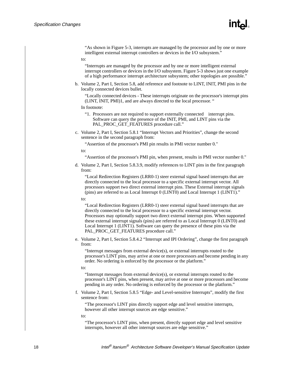

"As shown in Figure 5-3, interrupts are managed by the processor and by one or more intelligent external interrupt controllers or devices in the I/O subsystem."

to:

"Interrupts are managed by the processor and by one or more intelligent external interrupt controllers or devices in the I/O subsystem. Figure 5-3 shows just one example of a high performance interrupt architecture subsystem; other topologies are possible."

b. Volume 2, Part I, Section 5.8, add reference and footnote to LINT, INIT, PMI pins in the locally connected devices bullet.

"Locally connected devices - These interrupts originate on the processor's interrupt pins (LINT, INIT, PMI)1, and are always directed to the local processor. "

In footnote:

- "1. Processors are not required to support externally connected interrupt pins. Software can query the presence of the INIT, PMI, and LINT pins via the PAL\_PROC\_GET\_FEATURES procedure call."
- c. Volume 2, Part I, Section 5.8.1 "Interrupt Vectors and Priorities", change the second sentence in the second paragraph from:

"Assertion of the processor's PMI pin results in PMI vector number 0."

to:

"Assertion of the processor's PMI pin, when present, results in PMI vector number 0."

d. Volume 2, Part I, Section 5.8.3.9, modify references to LINT pins in the first paragraph from:

"Local Redirection Registers (LRR0-1) steer external signal based interrupts that are directly connected to the local processor to a specific external interrupt vector. All processors support two direct external interrupt pins. These External interrupt signals (pins) are referred to as Local Interrupt  $0$  (LINT0) and Local Interrupt 1 (LINT1)."

to:

"Local Redirection Registers (LRR0-1) steer external signal based interrupts that are directly connected to the local processor to a specific external interrupt vector. Processors may optionally support two direct external interrupt pins. When supported these external interrupt signals (pins) are referred to as Local Interrupt 0 (LINT0) and Local Interrupt 1 (LINT1). Software can query the presence of these pins via the PAL\_PROC\_GET\_FEATURES procedure call."

e. Volume 2, Part I, Section 5.8.4.2 "Interrupt and IPI Ordering", change the first paragraph from:

"Interrupt messages from external device(s), or external interrupts routed to the processor's LINT pins, may arrive at one or more processors and become pending in any order. No ordering is enforced by the processor or the platform."

to:

"Interrupt messages from external device(s), or external interrupts routed to the processor's LINT pins, when present, may arrive at one or more processors and become pending in any order. No ordering is enforced by the processor or the platform."

f. Volume 2, Part I, Section 5.8.5 "Edge- and Level-sensitive Interrupts", modify the first sentence from:

"The processor's LINT pins directly support edge and level sensitive interrupts, however all other interrupt sources are edge sensitive."

to:

"The processor's LINT pins, when present, directly support edge and level sensitive interrupts, however all other interrupt sources are edge sensitive."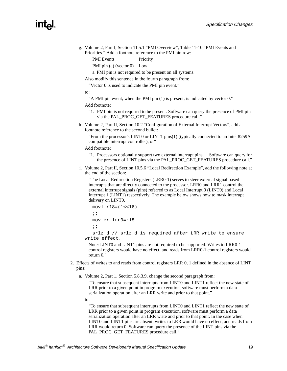g. Volume 2, Part I, Section 11.5.1 "PMI Overview", Table 11-10 "PMI Events and Priorities." Add a footnote reference to the PMI pin row:

PMI Events Priority

PMI pin (a) (vector 0) Low

a. PMI pin is not required to be present on all systems.

Also modify this sentence in the fourth paragraph from:

"Vector 0 is used to indicate the PMI pin event."

to:

"A PMI pin event, when the PMI pin (1) is present, is indicated by vector 0."

Add footnote:

- "1. PMI pin is not required to be present. Software can query the presence of PMI pin via the PAL\_PROC\_GET\_FEATURES procedure call."
- h. Volume 2, Part II, Section 10.2 "Configuration of External Interrupt Vectors", add a footnote reference to the second bullet:

"From the processor's LINT0 or LINT1 pins(1) (typically connected to an Intel 8259A compatible interrupt controller), or"

Add footnote:

- "1. Processors optionally support two external interrupt pins. Software can query for the presence of LINT pins via the PAL\_PROC\_GET\_FEATURES procedure call."
- i. Volume 2, Part II, Section 10.5.6 "Local Redirection Example", add the following note at the end of the section:

"The Local Redirection Registers (LRR0-1) serves to steer external signal based interrupts that are directly connected to the processor. LRR0 and LRR1 control the external interrupt signals (pins) referred to as Local Interrupt 0 (LINT0) and Local Interrupt 1 (LINT1) respectively. The example below shows how to mask interrupt delivery on LINT0.

```
mov1 r18 = (1<<16);;
mov cr.lrr0=r18
;;
```
srlz.d // srlz.d is required after LRR write to ensure write effect.

Note: LINT0 and LINT1 pins are not required to be supported. Writes to LRR0-1 control registers would have no effect, and reads from LRR0-1 control registers would return 0."

2. Effects of writes to and reads from control registers LRR 0, 1 defined in the absence of LINT pins:

a. Volume 2, Part 1, Section 5.8.3.9, change the second paragraph from:

"To ensure that subsequent interrupts from LINT0 and LINT1 reflect the new state of LRR prior to a given point in program execution, software must perform a data serialization operation after an LRR write and prior to that point."

to:

"To ensure that subsequent interrupts from LINT0 and LINT1 reflect the new state of LRR prior to a given point in program execution, software must perform a data serialization operation after an LRR write and prior to that point. In the case when LINT0 and LINT1 pins are absent, writes to LRR would have no effect, and reads from LRR would return 0. Software can query the presence of the LINT pins via the PAL\_PROC\_GET\_FEATURES procedure call."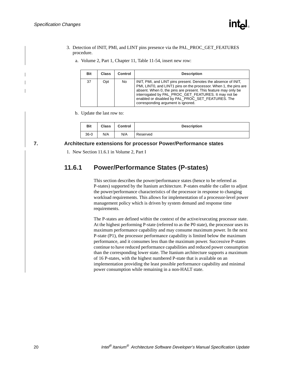- 3. Detection of INIT, PMI, and LINT pins presence via the PAL\_PROC\_GET\_FEATURES procedure.
	- a. Volume 2, Part 1, Chapter 11, Table 11-54, insert new row:

| <b>Bit</b> | <b>Class</b> | Control | <b>Description</b>                                                                                                                                                                                                                                                                                                                                       |
|------------|--------------|---------|----------------------------------------------------------------------------------------------------------------------------------------------------------------------------------------------------------------------------------------------------------------------------------------------------------------------------------------------------------|
| 37         | Opt          | No.     | INIT, PMI, and LINT pins present. Denotes the absence of INIT,<br>PMI, LINTO, and LINT1 pins on the processor. When 1, the pins are<br>absent. When 0, the pins are present. This feature may only be<br>interrogated by PAL_PROC_GET_FEATURES. It may not be<br>enabled or disabled by PAL_PROC_SET_FEATURES. The<br>corresponding argument is ignored. |

b. Update the last row to:

| <b>Bit</b> | <b>Class</b> | <b>Control</b> | <b>Description</b> |
|------------|--------------|----------------|--------------------|
| $36-0$     | N/A          | N/A            | Reserved           |

#### <span id="page-19-0"></span>**7. Architecture extensions for processor Power/Performance states**

1. New Section 11.6.1 in Volume 2, Part I

#### **11.6.1 Power/Performance States (P-states)**

This section describes the power/performance states (hence to be referred as P-states) supported by the Itanium architecture. P-states enable the caller to adjust the power/performance characteristics of the processor in response to changing workload requirements. This allows for implementation of a processor-level power management policy which is driven by system demand and response time requirements.

The P-states are defined within the context of the active/executing processor state. At the highest performing P-state (referred to as the P0 state), the processor uses its maximum performance capability and may consume maximum power. In the next P-state (P1), the processor performance capability is limited below the maximum performance, and it consumes less than the maximum power. Successive P-states continue to have reduced performance capabilities and reduced power consumption than the corresponding lower state. The Itanium architecture supports a maximum of 16 P-states, with the highest numbered P-state that is available on an implementation providing the least possible performance capability and minimal power consumption while remaining in a non-HALT state.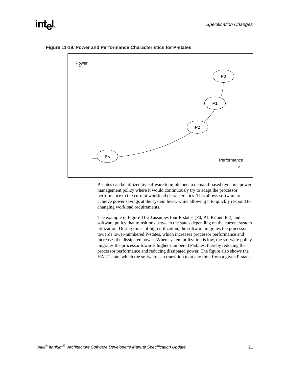



**Figure 11-19. Power and Performance Characteristics for P-states**

P-states can be utilized by software to implement a demand-based dynamic power management policy where it would continuously try to adapt the processor performance to the current workload characteristics. This allows software to achieve power savings at the system level, while allowing it to quickly respond to changing workload requirements.

The example in Figure 11-20 assumes four P-states (P0, P1, P2 and P3), and a software policy that transitions between the states depending on the current system utilization. During times of high utilization, the software migrates the processor towards lower-numbered P-states, which increases processor performance and increases the dissipated power. When system utilization is low, the software policy migrates the processor towards higher-numbered P-states, thereby reducing the processor performance and reducing dissipated power. The figure also shows the HALT state, which the software can transition to at any time from a given P-state.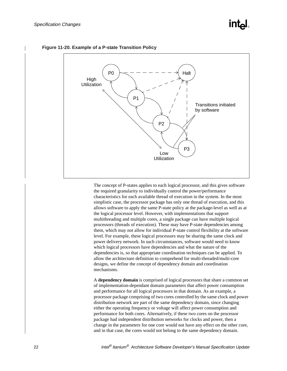intیi



**Figure 11-20. Example of a P-state Transition Policy**

The concept of P-states applies to each logical processor, and this gives software the required granularity to individually control the power/performance characteristics for each available thread of execution in the system. In the most simplistic case, the processor package has only one thread of execution, and this allows software to apply the same P-state policy at the package-level as well as at the logical processor level. However, with implementations that support multithreading and multiple cores, a single package can have multiple logical processors (threads of execution). These may have P-state dependencies among them, which may not allow for individual P-state control flexibility at the software level. For example, these logical processors may be sharing the same clock and power delivery network. In such circumstances, software would need to know which logical processors have dependencies and what the nature of the dependencies is, so that appropriate coordination techniques can be applied. To allow the architecture definition to comprehend for multi-threaded/multi-core designs, we define the concept of dependency domain and coordination mechanisms.

A **dependency domain** is comprised of logical processors that share a common set of implementation-dependant domain parameters that affect power consumption and performance for all logical processors in that domain. As an example, a processor package comprising of two cores controlled by the same clock and power distribution network are part of the same dependency domain, since changing either the operating frequency or voltage will affect power consumption and performance for both cores. Alternatively, if these two cores on the processor package had independent distribution networks for clocks and power, then a change in the parameters for one core would not have any effect on the other core, and in that case, the cores would not belong to the same dependency domain.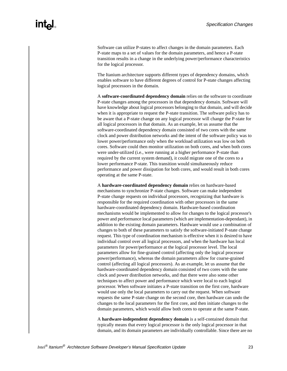Software can utilize P-states to affect changes in the domain parameters. Each P-state maps to a set of values for the domain parameters, and hence a P-state transition results in a change in the underlying power/performance characteristics for the logical processor.

The Itanium architecture supports different types of dependency domains, which enables software to have different degrees of control for P-state changes affecting logical processors in the domain.

A **software-coordinated dependency domain** relies on the software to coordinate P-state changes among the processors in that dependency domain. Software will have knowledge about logical processors belonging to that domain, and will decide when it is appropriate to request the P-state transition. The software policy has to be aware that a P-state change on any logical processor will change the P-state for all logical processors in that domain. As an example, let us assume that the software-coordinated dependency domain consisted of two cores with the same clock and power distribution networks and the intent of the software policy was to lower power/performance only when the workload utilization was low on both cores. Software could then monitor utilization on both cores, and when both cores were under-utilized (i.e., were running at a higher performance P-state than required by the current system demand), it could migrate one of the cores to a lower performance P-state. This transition would simultaneously reduce performance and power dissipation for both cores, and would result in both cores operating at the same P-state.

A **hardware-coordinated dependency domain** relies on hardware-based mechanisms to synchronize P-state changes. Software can make independent P-state change requests on individual processors, recognizing that hardware is responsible for the required coordination with other processors in the same hardware-coordinated dependency domain. Hardware-based coordination mechanisms would be implemented to allow for changes to the logical processor's power and performance local parameters (which are implementation-dependant), in addition to the existing domain parameters. Hardware would use a combination of changes to both of these parameters to satisfy the software-initiated P-state change request. This type of coordination mechanism is effective when it is desired to have individual control over all logical processors, and when the hardware has local parameters for power/performance at the logical processor level. The local parameters allow for fine-grained control (affecting only the logical processor power/performance), whereas the domain parameters allow for coarse-grained control (affecting all logical processors). As an example, let us assume that the hardware-coordinated dependency domain consisted of two cores with the same clock and power distribution networks, and that there were also some other techniques to affect power and performance which were local to each logical processor. When software initiates a P-state transition on the first core, hardware would use only the local parameters to carry out the request. When software requests the same P-state change on the second core, then hardware can undo the changes to the local parameters for the first core, and then initiate changes to the domain parameters, which would allow both cores to operate at the same P-state.

A **hardware-independent dependency domain** is a self-contained domain that typically means that every logical processor is the only logical processor in that domain, and its domain parameters are individually controllable. Since there are no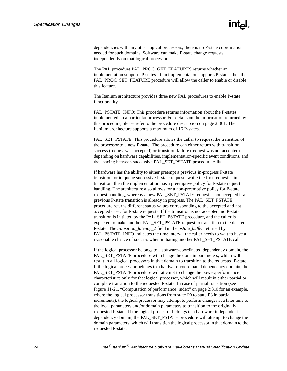dependencies with any other logical processors, there is no P-state coordination needed for such domains. Software can make P-state change requests independently on that logical processor.

The PAL procedure PAL\_PROC\_GET\_FEATURES returns whether an implementation supports P-states. If an implementation supports P-states then the PAL\_PROC\_SET\_FEATURE procedure will allow the caller to enable or disable this feature.

The Itanium architecture provides three new PAL procedures to enable P-state functionality.

PAL\_PSTATE\_INFO: This procedure returns information about the P-states implemented on a particular processor. For details on the information returned by this procedure, please refer to the procedure description on page 2:361. The Itanium architecture supports a maximum of 16 P-states.

PAL\_SET\_PSTATE: This procedure allows the caller to request the transition of the processor to a new P-state. The procedure can either return with transition success (request was accepted) or transition failure (request was not accepted) depending on hardware capabilities, implementation-specific event conditions, and the spacing between successive PAL\_SET\_PSTATE procedure calls.

If hardware has the ability to either preempt a previous in-progress P-state transition, or to queue successive P-state requests while the first request is in transition, then the implementation has a preemptive policy for P-state request handling. The architecture also allows for a non-preemptive policy for P-state request handling, whereby a new PAL\_SET\_PSTATE request is not accepted if a previous P-state transition is already in progress. The PAL\_SET\_PSTATE procedure returns different status values corresponding to the accepted and not accepted cases for P-state requests. If the transition is not accepted, no P-state transition is initiated by the PAL\_SET\_PSTATE procedure, and the caller is expected to make another PAL\_SET\_PSTATE request to transition to the desired P-state. The *transition\_latency\_2* field in the *pstate\_buffer* returned by PAL\_PSTATE\_INFO indicates the time interval the caller needs to wait to have a reasonable chance of success when initiating another PAL\_SET\_PSTATE call.

If the logical processor belongs to a software-coordinated dependency domain, the PAL\_SET\_PSTATE procedure will change the domain parameters, which will result in all logical processors in that domain to transition to the requested P-state. If the logical processor belongs to a hardware-coordinated dependency domain, the PAL\_SET\_PSTATE procedure will attempt to change the power/performance characteristics only for that logical processor, which will result in either partial or complete transition to the requested P-state. In case of partial transition (see Figure 11-21, "Computation of performance index" on page 2:310 for an example, where the logical processor transitions from state P0 to state P3 in partial increments), the logical processor may attempt to perform changes at a later time to the local parameters and/or domain parameters to transition to the originally requested P-state. If the logical processor belongs to a hardware-independent dependency domain, the PAL\_SET\_PSTATE procedure will attempt to change the domain parameters, which will transition the logical processor in that domain to the requested P-state.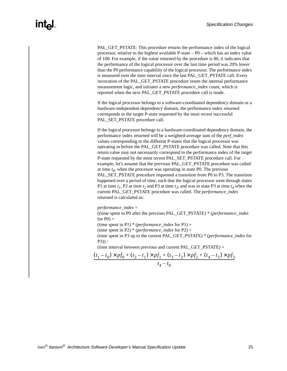PAL\_GET\_PSTATE: This procedure returns the performance index of the logical processor, relative to the highest available P-state  $- P0$  – which has an index value of 100. For example, if the value returned by the procedure is 80, it indicates that the performance of the logical processor over the last time period was 20% lower than the P0 performance capability of the logical processor. The performance index is measured over the time interval since the last PAL\_GET\_PSTATE call. Every invocation of the PAL\_GET\_PSTATE procedure resets the internal performance measurement logic, and initiates a new *performance index* count, which is reported when the next PAL\_GET\_PSTATE procedure call is made.

If the logical processor belongs to a software-coordinated dependency domain or a hardware-independent dependency domain, the performance index returned corresponds to the target P-state requested by the most recent successful PAL\_SET\_PSTATE procedure call.

If the logical processor belongs to a hardware-coordinated dependency domain, the performance index returned will be a weighted-average sum of the *perf\_index* values corresponding to the different P-states that the logical processor was operating in before the PAL\_GET\_PSTATE procedure was called. Note that this return value may not necessarily correspond to the performance index of the target P-state requested by the most recent PAL\_SET\_PSTATE procedure call. For example, let's assume that the previous PAL\_GET\_PSTATE procedure was called at time  $t_0$ , when the processor was operating in state P0. The previous PAL\_SET\_PSTATE procedure requested a transition from P0 to P3. The transition happened over a period of time, such that the logical processor went through states P1 at time  $t_1$ , P2 at time  $t_2$  and P3 at time  $t_3$ , and was in state P3 at time  $t_4$  when the current PAL\_GET\_PSTATE procedure was called. The *performance\_index* returned is calculated as:

*performance\_index* = ((time spent in P0 after the previous PAL\_GET\_PSTATE) \* (*performance\_index* for  $P(0)$  + (time spent in P1) \* (*performance\_index* for P1) + (time spent in P2) \* (*performance\_index* for P2) + (time spent in P3 up to the current PAL\_GET\_PSTATE) \* (*performance\_index* for P3)) / (time interval between previous and current PAL GET PSTATE)  $=$ 

$$
\frac{(t_1-t_0)\times pf_0 + (t_2-t_1)\times pf_1 + (t_3-t_2)\times pf_2 + (t_4-t_3)\times pf_3}{t_4-t_0}
$$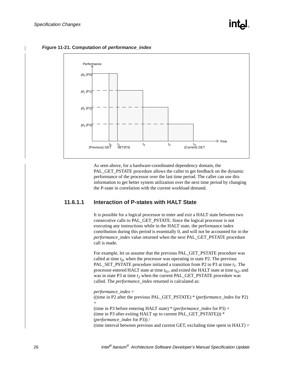

int

**Figure 11-21. Computation of performance\_index**

As seen above, for a hardware-coordinated dependency domain, the PAL\_GET\_PSTATE procedure allows the caller to get feedback on the dynamic performance of the processor over the last time period. The caller can use this information to get better system utilization over the next time period by changing the P-state in correlation with the current workload demand.

#### **11.6.1.1 Interaction of P-states with HALT State**

It is possible for a logical processor to enter and exit a HALT state between two consecutive calls to PAL\_GET\_PSTATE. Since the logical processor is not executing any instructions while in the HALT state, the performance index contribution during this period is essentially 0, and will not be accounted for in the *performance\_index* value returned when the next PAL\_GET\_PSTATE procedure call is made.

For example, let us assume that the previous PAL\_GET\_PSTATE procedure was called at time  $t_0$ , when the processor was operating in state P2. The previous PAL\_SET\_PSTATE procedure initiated a transition from P2 to P3 at time  $t<sub>1</sub>$ . The processor entered HALT state at time  $t_{h1}$ , and exited the HALT state at time  $t_{h2}$ , and was in state P3 at time  $t_2$  when the current PAL\_GET\_PSTATE procedure was called. The *performance\_index* returned is calculated as:

#### *performance\_index* =

((time in P2 after the previous PAL\_GET\_PSTATE) \* (*performance\_index* for P2) + (time in P3 before entering HALT state) \* (*performance\_index* for P3) +

(time in P3 after exiting HALT up to current PAL\_GET\_PSTATE))) \* (*performance\_index* for P3)) /

(time interval between previous and current GET, excluding time spent in HALT) =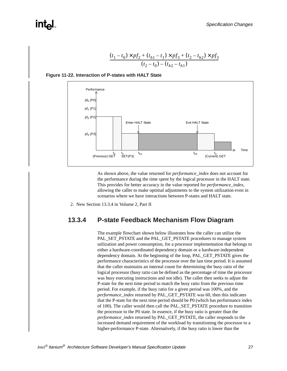### <u>intم</u>

$$
\frac{(t_1 - t_0) \times pf_2 + (t_{h1} - t_1) \times pf_3 + (t_2 - t_{h2}) \times pf_3}{(t_2 - t_0) - (t_{h2} - t_{h1})}
$$





As shown above, the value returned for *performance\_index* does not account for the performance during the time spent by the logical processor in the HALT state. This provides for better accuracy in the value reported for *performance\_index*, allowing the caller to make optimal adjustments to the system utilization even in scenarios where we have interactions between P-states and HALT state.

2. New Section 13.3.4 in Volume 2, Part II

#### **13.3.4 P-state Feedback Mechanism Flow Diagram**

The example flowchart shown below illustrates how the caller can utilize the PAL\_SET\_PSTATE and the PAL\_GET\_PSTATE procedures to manage system utilization and power consumption, for a processor implementation that belongs to either a hardware-coordinated dependency domain or a hardware-independent dependency domain. At the beginning of the loop, PAL\_GET\_PSTATE gives the performance characteristics of the processor over the last time period. It is assumed that the caller maintains an internal count for determining the busy ratio of the logical processor (busy ratio can be defined as the percentage of time the processor was busy executing instructions and not idle). The caller then seeks to adjust the P-state for the next time period to match the busy ratio from the previous time period. For example, if the busy ratio for a given period was 100%, and the *performance\_index* returned by PAL\_GET\_PSTATE was 60, then this indicates that the P-state for the next time period should be P0 (which has performance index of 100). The caller would then call the PAL\_SET\_PSTATE procedure to transition the processor to the P0 state. In essence, if the busy ratio is greater than the *performance\_index* returned by PAL\_GET\_PSTATE, the caller responds to the increased demand requirement of the workload by transitioning the processor to a higher-performance P-state. Alternatively, if the busy ratio is lower than the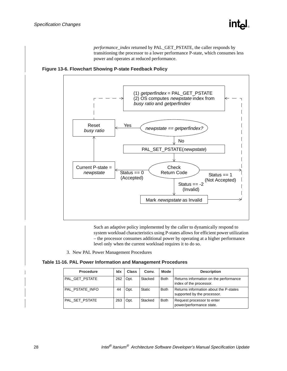

*performance\_index* returned by PAL\_GET\_PSTATE, the caller responds by transitioning the processor to a lower performance P-state, which consumes less power and operates at reduced performance.





Such an adaptive policy implemented by the caller to dynamically respond to system workload characteristics using P-states allows for efficient power utilization – the processor consumes additional power by operating at a higher performance level only when the current workload requires it to do so.

3. New PAL Power Management Procedures

#### **Table 11-16. PAL Power Information and Management Procedures**

| <b>Procedure</b> | ldx | Class | Conv.         | Mode        | <b>Description</b>                                                    |  |  |  |  |  |  |  |  |
|------------------|-----|-------|---------------|-------------|-----------------------------------------------------------------------|--|--|--|--|--|--|--|--|
| PAL GET PSTATE   | 262 | Opt.  | Stacked       | <b>Both</b> | Returns information on the performance<br>index of the processor.     |  |  |  |  |  |  |  |  |
| PAL PSTATE INFO  | 44  | Opt.  | <b>Static</b> | <b>Both</b> | Returns information about the P-states<br>supported by the processor. |  |  |  |  |  |  |  |  |
| PAL SET PSTATE   | 263 | Opt.  | Stacked       | <b>Both</b> | Request processor to enter<br>power/performance state.                |  |  |  |  |  |  |  |  |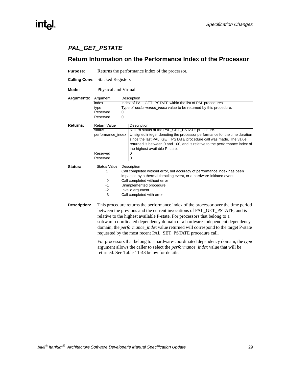#### **PAL\_GET\_PSTATE**

#### **Return Information on the Performance Index of the Processor**

| <b>Purpose:</b>      |                          | Returns the performance index of the processor.                                                                                                                                                                                                                                                                                                                                                                                                                                           |  |  |  |  |  |  |  |  |  |
|----------------------|--------------------------|-------------------------------------------------------------------------------------------------------------------------------------------------------------------------------------------------------------------------------------------------------------------------------------------------------------------------------------------------------------------------------------------------------------------------------------------------------------------------------------------|--|--|--|--|--|--|--|--|--|
| <b>Calling Conv:</b> | <b>Stacked Registers</b> |                                                                                                                                                                                                                                                                                                                                                                                                                                                                                           |  |  |  |  |  |  |  |  |  |
| Mode:                | Physical and Virtual     |                                                                                                                                                                                                                                                                                                                                                                                                                                                                                           |  |  |  |  |  |  |  |  |  |
| Arguments:           | Argument                 | Description                                                                                                                                                                                                                                                                                                                                                                                                                                                                               |  |  |  |  |  |  |  |  |  |
|                      | index                    | Index of PAL_GET_PSTATE within the list of PAL procedures.                                                                                                                                                                                                                                                                                                                                                                                                                                |  |  |  |  |  |  |  |  |  |
|                      | type                     | Type of performance_index value to be returned by this procedure.                                                                                                                                                                                                                                                                                                                                                                                                                         |  |  |  |  |  |  |  |  |  |
|                      | Reserved                 | 0                                                                                                                                                                                                                                                                                                                                                                                                                                                                                         |  |  |  |  |  |  |  |  |  |
|                      | Reserved                 | $\mathbf 0$                                                                                                                                                                                                                                                                                                                                                                                                                                                                               |  |  |  |  |  |  |  |  |  |
| <b>Returns:</b>      | <b>Return Value</b>      | Description                                                                                                                                                                                                                                                                                                                                                                                                                                                                               |  |  |  |  |  |  |  |  |  |
|                      | status                   | Return status of the PAL_GET_PSTATE procedure.                                                                                                                                                                                                                                                                                                                                                                                                                                            |  |  |  |  |  |  |  |  |  |
|                      | performance_index        | Unsigned integer denoting the processor performance for the time duration                                                                                                                                                                                                                                                                                                                                                                                                                 |  |  |  |  |  |  |  |  |  |
|                      |                          | since the last PAL_GET_PSTATE procedure call was made. The value                                                                                                                                                                                                                                                                                                                                                                                                                          |  |  |  |  |  |  |  |  |  |
|                      |                          | returned is between 0 and 100, and is relative to the performance index of                                                                                                                                                                                                                                                                                                                                                                                                                |  |  |  |  |  |  |  |  |  |
|                      |                          | the highest available P-state.                                                                                                                                                                                                                                                                                                                                                                                                                                                            |  |  |  |  |  |  |  |  |  |
|                      | Reserved                 | 0                                                                                                                                                                                                                                                                                                                                                                                                                                                                                         |  |  |  |  |  |  |  |  |  |
|                      | Reserved                 | 0                                                                                                                                                                                                                                                                                                                                                                                                                                                                                         |  |  |  |  |  |  |  |  |  |
| Status:              | <b>Status Value</b>      | Description                                                                                                                                                                                                                                                                                                                                                                                                                                                                               |  |  |  |  |  |  |  |  |  |
|                      | 1                        | Call completed without error, but accuracy of performance index has been                                                                                                                                                                                                                                                                                                                                                                                                                  |  |  |  |  |  |  |  |  |  |
|                      |                          | impacted by a thermal throttling event, or a hardware-initiated event.                                                                                                                                                                                                                                                                                                                                                                                                                    |  |  |  |  |  |  |  |  |  |
|                      | $\mathbf 0$              | Call completed without error                                                                                                                                                                                                                                                                                                                                                                                                                                                              |  |  |  |  |  |  |  |  |  |
|                      | $-1$                     | Unimplemented procedure                                                                                                                                                                                                                                                                                                                                                                                                                                                                   |  |  |  |  |  |  |  |  |  |
|                      | $-2$                     | Invalid argument                                                                                                                                                                                                                                                                                                                                                                                                                                                                          |  |  |  |  |  |  |  |  |  |
|                      | $-3$                     | Call completed with error                                                                                                                                                                                                                                                                                                                                                                                                                                                                 |  |  |  |  |  |  |  |  |  |
| <b>Description:</b>  |                          | This procedure returns the performance index of the processor over the time period<br>between the previous and the current invocations of PAL_GET_PSTATE, and is<br>relative to the highest available P-state. For processors that belong to a<br>software-coordinated dependency domain or a hardware-independent dependency<br>domain, the <i>performance_index</i> value returned will correspond to the target P-state<br>requested by the most recent PAL_SET_PSTATE procedure call. |  |  |  |  |  |  |  |  |  |
|                      |                          | For processors that belong to a hardware-coordinated dependency domain, the type<br>argument allows the caller to select the <i>performance_index</i> value that will be<br>returned. See Table 11-48 below for details.                                                                                                                                                                                                                                                                  |  |  |  |  |  |  |  |  |  |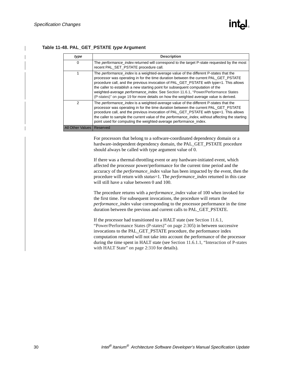$\mathbf l$ 



#### **Table 11-48. PAL\_GET\_PSTATE type Argument**

| type                        | <b>Description</b>                                                                                                                                                                                                                                                                                                                                                                                                                                                                                                                           |
|-----------------------------|----------------------------------------------------------------------------------------------------------------------------------------------------------------------------------------------------------------------------------------------------------------------------------------------------------------------------------------------------------------------------------------------------------------------------------------------------------------------------------------------------------------------------------------------|
| $\Omega$                    | The <i>performance index</i> returned will correspond to the target P-state requested by the most<br>recent PAL SET PSTATE procedure call.                                                                                                                                                                                                                                                                                                                                                                                                   |
|                             | The <i>performance_index</i> is a weighted-average value of the different P-states that the<br>processor was operating in for the time duration between the current PAL_GET_PSTATE<br>procedure call, and the previous invocation of PAL_GET_PSTATE with type=1. This allows<br>the caller to establish a new starting point for subsequent computation of the<br>weighted-average performance_index. See Section 11.6.1, "Power/Performance States<br>(P-states)" on page 19 for more details on how the weighted average value is derived. |
| $\mathfrak{p}$              | The <i>performance_index</i> is a weighted-average value of the different P-states that the<br>processor was operating in for the time duration between the current PAL_GET_PSTATE<br>procedure call, and the previous invocation of PAL_GET_PSTATE with type=1. This allows<br>the caller to sample the current value of the <i>performance_index</i> , without affecting the starting<br>point used for computing the weighted-average performance index.                                                                                  |
| All Other Values   Reserved |                                                                                                                                                                                                                                                                                                                                                                                                                                                                                                                                              |

For processors that belong to a software-coordinated dependency domain or a hardware-independent dependency domain, the PAL\_GET\_PSTATE procedure should always be called with type argument value of 0.

If there was a thermal-throttling event or any hardware-initiated event, which affected the processor power/performance for the current time period and the accuracy of the *performance\_index* value has been impacted by the event, then the procedure will return with *status*=1. The *performance\_index* returned in this case will still have a value between 0 and 100.

The procedure returns with a *performance\_index* value of 100 when invoked for the first time. For subsequent invocations, the procedure will return the *performance\_index* value corresponding to the processor performance in the time duration between the previous and current calls to PAL\_GET\_PSTATE.

If the processor had transitioned to a HALT state (see Section 11.6.1, "Power/Performance States (P-states)" on page 2:305) in between successive invocations to the PAL\_GET\_PSTATE procedure, the performance index computation returned will not take into account the performance of the processor during the time spent in HALT state (see Section 11.6.1.1, "Interaction of P-states with HALT State" on page 2:310 for details).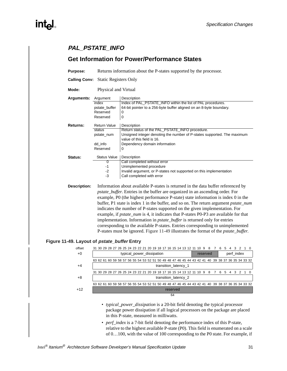#### **PAL\_PSTATE\_INFO**

#### **Get Information for Power/Performance States**

| Purpose:             |                      | Returns information about the P-states supported by the processor.                          |  |  |  |  |  |  |  |  |  |
|----------------------|----------------------|---------------------------------------------------------------------------------------------|--|--|--|--|--|--|--|--|--|
| <b>Calling Conv:</b> |                      | <b>Static Registers Only</b>                                                                |  |  |  |  |  |  |  |  |  |
| Mode:                | Physical and Virtual |                                                                                             |  |  |  |  |  |  |  |  |  |
| Arguments:           | Argument             | Description                                                                                 |  |  |  |  |  |  |  |  |  |
|                      | index                | Index of PAL PSTATE INFO within the list of PAL procedures.                                 |  |  |  |  |  |  |  |  |  |
|                      | pstate_buffer        | 64-bit pointer to a 256-byte buffer aligned on an 8-byte boundary.                          |  |  |  |  |  |  |  |  |  |
|                      | Reserved             | 0                                                                                           |  |  |  |  |  |  |  |  |  |
|                      | Reserved             | $\pmb{0}$                                                                                   |  |  |  |  |  |  |  |  |  |
| <b>Returns:</b>      | <b>Return Value</b>  | Description                                                                                 |  |  |  |  |  |  |  |  |  |
|                      | status               | Return status of the PAL PSTATE INFO procedure.                                             |  |  |  |  |  |  |  |  |  |
|                      | pstate_num           | Unsigned integer denoting the number of P-states supported. The maximum                     |  |  |  |  |  |  |  |  |  |
|                      |                      | value of this field is 16.                                                                  |  |  |  |  |  |  |  |  |  |
|                      | dd_info              | Dependency domain information                                                               |  |  |  |  |  |  |  |  |  |
|                      | Reserved             | 0                                                                                           |  |  |  |  |  |  |  |  |  |
| Status:              | Status Value         | Description                                                                                 |  |  |  |  |  |  |  |  |  |
|                      | $\overline{0}$       | Call completed without error                                                                |  |  |  |  |  |  |  |  |  |
|                      | $-1$                 | Unimplemented procedure                                                                     |  |  |  |  |  |  |  |  |  |
|                      | $-2$                 | Invalid argument, or P-states not supported on this implementation                          |  |  |  |  |  |  |  |  |  |
|                      | $-3$                 | Call completed with error                                                                   |  |  |  |  |  |  |  |  |  |
| <b>Description:</b>  |                      | Information about available P-states is returned in the data buffer referenced by           |  |  |  |  |  |  |  |  |  |
|                      |                      | <i>pstate_buffer</i> . Entries in the buffer are organized in an ascending order. For       |  |  |  |  |  |  |  |  |  |
|                      |                      | example, P0 (the highest performance P-state) state information is index 0 in the           |  |  |  |  |  |  |  |  |  |
|                      |                      |                                                                                             |  |  |  |  |  |  |  |  |  |
|                      |                      | buffer, P1 state is index 1 in the buffer, and so on. The return argument <i>pstate_num</i> |  |  |  |  |  |  |  |  |  |
|                      |                      | indicates the number of P-states supported on the given implementation. For                 |  |  |  |  |  |  |  |  |  |
|                      |                      | example, if <i>pstate_num</i> is 4, it indicates that P-states P0-P3 are available for that |  |  |  |  |  |  |  |  |  |
|                      |                      | implementation. Information in <i>pstate_buffer</i> is returned only for entries            |  |  |  |  |  |  |  |  |  |
|                      |                      | corresponding to the available P-states. Entries corresponding to unimplemented             |  |  |  |  |  |  |  |  |  |
|                      |                      | P-states must be ignored. Figure 11-49 illustrates the format of the <i>pstate_buffer</i> . |  |  |  |  |  |  |  |  |  |
|                      |                      |                                                                                             |  |  |  |  |  |  |  |  |  |

#### **Figure 11-49. Layout of pstate\_buffer Entry**

| offset | 31 30 29 28 27 26 25 24 23 22 21 20 19 18 17 16 15 14 13 12 11 10 9 8 7 6 5 4 3 2 1             |
|--------|-------------------------------------------------------------------------------------------------|
| $+0$   | typical_power_dissipation<br>perf index<br>reserved                                             |
|        | 63 62 61 60 59 58 57 56 55 54 53 52 51 50 49 48 47 46 45 44 43 42 41 40 39 38 37 36 35 34 33 32 |
| $+4$   | transition latency 1                                                                            |
|        | 31 30 29 28 27 26 25 24 23 22 21 20 19 18 17 16 15 14 13 12 11 10 9 8 7 6 5 4 3 2 1 0           |
| +8     | transition_latency_2                                                                            |
|        | 63 62 61 60 59 58 57 56 55 54 53 52 51 50 49 48 47 46 45 44 43 42 41 40 39 38 37 36 35 34 33 32 |
| $+12$  | reserved                                                                                        |
|        | 64                                                                                              |

• *typical\_power\_dissipation* is a 20-bit field denoting the typical processor package power dissipation if all logical processors on the package are placed in this P-state, measured in milliwatts.

• *perf\_index* is a 7-bit field denoting the performance index of this P-state, relative to the highest available P-state (P0). This field is enumerated on a scale of 0…100, with the value of 100 corresponding to the P0 state. For example, if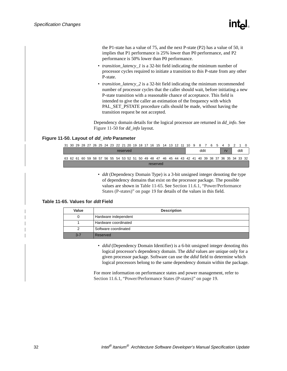

the P1-state has a value of 75, and the next P-state (P2) has a value of 50, it implies that P1 performance is 25% lower than P0 performance, and P2 performance is 50% lower than P0 performance.

- *transition latency 1* is a 32-bit field indicating the minimum number of processor cycles required to initiate a transition to this P-state from any other P-state.
- *transition latency* 2 is a 32-bit field indicating the minimum recommended number of processor cycles that the caller should wait, before initiating a new P-state transition with a reasonable chance of acceptance. This field is intended to give the caller an estimation of the frequency with which PAL\_SET\_PSTATE procedure calls should be made, without having the transition request be not accepted.

Dependency domain details for the logical processor are returned in *dd\_info*. See Figure 11-50 for *dd\_info* layout.

#### **Figure 11-50. Layout of dd\_info Parameter**

|          |  |  |  |  |  |  |  |  |  |  |      |  | 31 30 29 28 27 26 25 24 23 22 21 20 19 18 17 16 15 14 13 12 11 10 9 8 7 6 5 4 3 2 1 0           |  |  |  |  |     |  |  |  |  |  |  |  |
|----------|--|--|--|--|--|--|--|--|--|--|------|--|-------------------------------------------------------------------------------------------------|--|--|--|--|-----|--|--|--|--|--|--|--|
| reserved |  |  |  |  |  |  |  |  |  |  | ddit |  |                                                                                                 |  |  |  |  | ddt |  |  |  |  |  |  |  |
|          |  |  |  |  |  |  |  |  |  |  |      |  | 63 62 61 60 59 58 57 56 55 54 53 52 51 50 49 48 47 46 45 44 43 42 41 40 39 38 37 36 35 34 33 32 |  |  |  |  |     |  |  |  |  |  |  |  |
|          |  |  |  |  |  |  |  |  |  |  |      |  | reserved                                                                                        |  |  |  |  |     |  |  |  |  |  |  |  |

• *ddt* (Dependency Domain Type) is a 3-bit unsigned integer denoting the type of dependency domains that exist on the processor package. The possible values are shown in Table 11-65. See Section 11.6.1, "Power/Performance States (P-states)" on page 19 for details of the values in this field.

#### **Table 11-65. Values for ddt Field**

| Value   | <b>Description</b>   |  |  |  |  |  |  |  |  |
|---------|----------------------|--|--|--|--|--|--|--|--|
| 0       | Hardware independent |  |  |  |  |  |  |  |  |
|         | Hardware coordinated |  |  |  |  |  |  |  |  |
|         | Software coordinated |  |  |  |  |  |  |  |  |
| $3 - 7$ | Reserved             |  |  |  |  |  |  |  |  |

• *ddid* (Dependency Domain Identifier) is a 6-bit unsigned integer denoting this logical processor's dependency domain. The *ddid* values are unique only for a given processor package. Software can use the *ddid* field to determine which logical processors belong to the same dependency domain within the package.

For more information on performance states and power management, refer to Section 11.6.1, "Power/Performance States (P-states)" on page 19.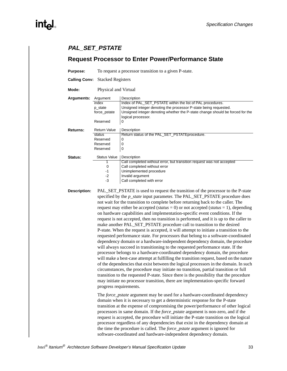#### **PAL\_SET\_PSTATE**

#### **Request Processor to Enter Power/Performance State**

| <b>Purpose:</b>      | To request a processor transition to a given P-state.    |                                                                                                                                                                                                                                                                                                                                                                                                                                                                                                                                                                                                                                                                                                                                                                                                                                                                                                                                                                                                                                                                                                                                                                                                                                                                                                                                                                                                                                                                                                                                                                                          |  |  |  |
|----------------------|----------------------------------------------------------|------------------------------------------------------------------------------------------------------------------------------------------------------------------------------------------------------------------------------------------------------------------------------------------------------------------------------------------------------------------------------------------------------------------------------------------------------------------------------------------------------------------------------------------------------------------------------------------------------------------------------------------------------------------------------------------------------------------------------------------------------------------------------------------------------------------------------------------------------------------------------------------------------------------------------------------------------------------------------------------------------------------------------------------------------------------------------------------------------------------------------------------------------------------------------------------------------------------------------------------------------------------------------------------------------------------------------------------------------------------------------------------------------------------------------------------------------------------------------------------------------------------------------------------------------------------------------------------|--|--|--|
| <b>Calling Conv:</b> | <b>Stacked Registers</b>                                 |                                                                                                                                                                                                                                                                                                                                                                                                                                                                                                                                                                                                                                                                                                                                                                                                                                                                                                                                                                                                                                                                                                                                                                                                                                                                                                                                                                                                                                                                                                                                                                                          |  |  |  |
| Mode:                | Physical and Virtual                                     |                                                                                                                                                                                                                                                                                                                                                                                                                                                                                                                                                                                                                                                                                                                                                                                                                                                                                                                                                                                                                                                                                                                                                                                                                                                                                                                                                                                                                                                                                                                                                                                          |  |  |  |
| Arguments:           | Argument<br>index<br>p_state<br>force_pstate<br>Reserved | Description<br>Index of PAL_SET_PSTATE within the list of PAL procedures.<br>Unsigned integer denoting the processor P-state being requested.<br>Unsigned integer denoting whether the P-state change should be forced for the<br>logical processor.<br>0                                                                                                                                                                                                                                                                                                                                                                                                                                                                                                                                                                                                                                                                                                                                                                                                                                                                                                                                                                                                                                                                                                                                                                                                                                                                                                                                |  |  |  |
| <b>Returns:</b>      | <b>Return Value</b>                                      | Description                                                                                                                                                                                                                                                                                                                                                                                                                                                                                                                                                                                                                                                                                                                                                                                                                                                                                                                                                                                                                                                                                                                                                                                                                                                                                                                                                                                                                                                                                                                                                                              |  |  |  |
|                      | status<br>Reserved<br>Reserved<br>Reserved               | Return status of the PAL_SET_PSTATEprocedure.<br>0<br>0<br>0                                                                                                                                                                                                                                                                                                                                                                                                                                                                                                                                                                                                                                                                                                                                                                                                                                                                                                                                                                                                                                                                                                                                                                                                                                                                                                                                                                                                                                                                                                                             |  |  |  |
| Status:              | Status Value                                             | Description                                                                                                                                                                                                                                                                                                                                                                                                                                                                                                                                                                                                                                                                                                                                                                                                                                                                                                                                                                                                                                                                                                                                                                                                                                                                                                                                                                                                                                                                                                                                                                              |  |  |  |
|                      | 1<br>0<br>-1<br>$-2$<br>-3                               | Call completed without error, but transition request was not accepted<br>Call completed without error<br>Unimplemented procedure<br>Invalid argument<br>Call completed with error                                                                                                                                                                                                                                                                                                                                                                                                                                                                                                                                                                                                                                                                                                                                                                                                                                                                                                                                                                                                                                                                                                                                                                                                                                                                                                                                                                                                        |  |  |  |
| <b>Description:</b>  | progress requirements.                                   | PAL_SET_PSTATE is used to request the transition of the processor to the P-state<br>specified by the <i>p_state</i> input parameter. The PAL_SET_PSTATE procedure does<br>not wait for the transition to complete before returning back to the caller. The<br>request may either be accepted ( $status = 0$ ) or not accepted ( $status = 1$ ), depending<br>on hardware capabilities and implementation-specific event conditions. If the<br>request is not accepted, then no transition is performed, and it is up to the caller to<br>make another PAL_SET_PSTATE procedure call to transition to the desired<br>P-state. When the request is accepted, it will attempt to initiate a transition to the<br>requested performance state. For processors that belong to a software-coordinated<br>dependency domain or a hardware-independent dependency domain, the procedure<br>will always succeed in transitioning to the requested performance state. If the<br>processor belongs to a hardware-coordinated dependency domain, the procedure<br>will make a best-case attempt at fulfilling the transition request, based on the nature<br>of the dependencies that exist between the logical processors in the domain. In such<br>circumstances, the procedure may initiate no transition, partial transition or full<br>transition to the requested P-state. Since there is the possibility that the procedure<br>may initiate no processor transition, there are implementation-specific forward<br>The force_pstate argument may be used for a hardware-coordinated dependency |  |  |  |
|                      |                                                          | domain when it is necessary to get a deterministic response for the P-state<br>transition at the expense of compromising the power/performance of other logical<br>processors in same domain. If the <i>force_pstate</i> argument is non-zero, and if the<br>request is accepted, the procedure will initiate the P-state transition on the logical<br>processor regardless of any dependencies that exist in the dependency domain at<br>the time the procedure is called. The <i>force_pstate</i> argument is ignored for<br>software-coordinated and hardware-independent dependency domain.                                                                                                                                                                                                                                                                                                                                                                                                                                                                                                                                                                                                                                                                                                                                                                                                                                                                                                                                                                                          |  |  |  |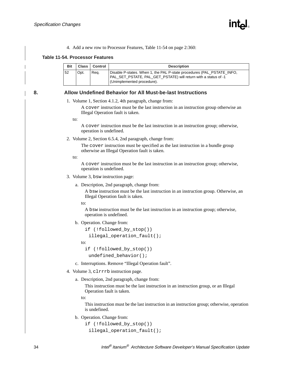4. Add a new row to Processor Features, Table 11-54 on page 2:360:

#### **Table 11-54. Processor Features**

| <b>Bit</b> | Class | <b>Control</b> | <b>Description</b>                                                                                                                                                      |
|------------|-------|----------------|-------------------------------------------------------------------------------------------------------------------------------------------------------------------------|
| 52         | Opt.  | Rea.           | Disable P-states. When 1, the PAL P-state procedures (PAL PSTATE INFO,<br>PAL_SET_PSTATE, PAL_GET_PSTATE) will return with a status of -1<br>(Unimplemented procedure). |

#### <span id="page-33-0"></span>**8. Allow Undefined Behavior for All Must-be-last Instructions**

1. Volume 1, Section 4.1.2, 4th paragraph, change from:

A cover instruction must be the last instruction in an instruction group otherwise an Illegal Operation fault is taken.

to:

A cover instruction must be the last instruction in an instruction group; otherwise, operation is undefined.

2. Volume 2, Section 6.5.4, 2nd paragraph, change from:

The cover instruction must be specified as the last instruction in a bundle group otherwise an Illegal Operation fault is taken.

to:

A cover instruction must be the last instruction in an instruction group; otherwise, operation is undefined.

- 3. Volume 3, bsw instruction page:
	- a. Description, 2nd paragraph, change from:

A bsw instruction must be the last instruction in an instruction group. Otherwise, an Illegal Operation fault is taken.

to:

A bsw instruction must be the last instruction in an instruction group; otherwise, operation is undefined.

b. Operation. Change from:

```
if (!followed_by_stop())
 illegal_operation_fault();
```
to:

```
if (!followed_by_stop())
```
undefined behavior();

- c. Interruptions. Remove "Illegal Operation fault".
- 4. Volume 3, clrrrb instruction page.
	- a. Description, 2nd paragraph, change from:

This instruction must be the last instruction in an instruction group, or an Illegal Operation fault is taken.

to:

This instruction must be the last instruction in an instruction group; otherwise, operation is undefined.

b. Operation. Change from:

```
if (!followed by stop())
 illegal_operation_fault();
```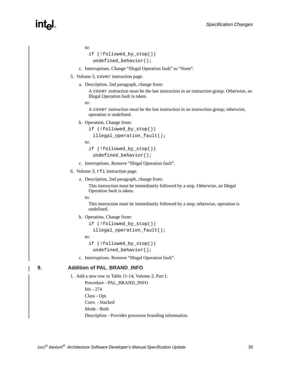```
to:
```
if (!followed\_by\_stop())

```
undefined behavior();
```
- c. Interruptions. Change "Illegal Operation fault" to "None".
- 5. Volume 3, cover instruction page.
	- a. Description, 2nd paragraph, change from:

A cover instruction must be the last instruction in an instruction group. Otherwise, an Illegal Operation fault is taken.

to:

A cover instruction must be the last instruction in an instruction group; otherwise, operation is undefined.

b. Operation. Change from:

```
if (!followed by stop())
   illegal_operation_fault();
to:
 if (!followed by stop())
```
undefined\_behavior();

- c. Interruptions. Remove "Illegal Operation fault".
- 6. Volume 3, rfi instruction page.
	- a. Description, 2nd paragraph, change from:

This instruction must be immediately followed by a stop. Otherwise, an Illegal Operation fault is taken.

to:

This instruction must be immediately followed by a stop; otherwise, operation is undefined.

b. Operation. Change from:

if (!followed by stop()) illegal\_operation\_fault(); to:

if (!followed\_by\_stop()) undefined behavior();

c. Interruptions. Remove "Illegal Operation fault".

#### <span id="page-34-0"></span>**9. Addition of PAL\_BRAND\_INFO**

```
1. Add a new row to Table 11-14, Volume 2, Part I:
      Procedure - PAL_BRAND_INFO
      Idx - 274
      Class - Opt.
      Conv. - Stacked
      Mode - Both
      Description - Provides processor branding information.
```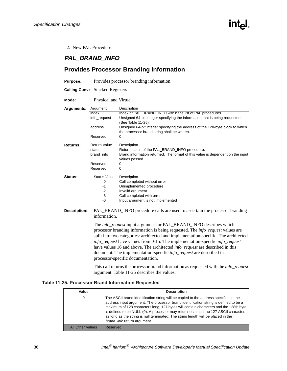2. New PAL Procedure:

#### **PAL\_BRAND\_INFO**

#### **Provides Processor Branding Information**

| Purpose: |  | Provides processor branding information. |
|----------|--|------------------------------------------|
|          |  |                                          |

**Calling Conv:** Stacked Registers

**Mode:** Physical and Virtual

| Arguments:                                         | Argument                                                                                                                                                                                                                                                                                                                                                                                                                                                                                                                              | Description                                                                                                                                |  |  |  |  |  |
|----------------------------------------------------|---------------------------------------------------------------------------------------------------------------------------------------------------------------------------------------------------------------------------------------------------------------------------------------------------------------------------------------------------------------------------------------------------------------------------------------------------------------------------------------------------------------------------------------|--------------------------------------------------------------------------------------------------------------------------------------------|--|--|--|--|--|
|                                                    | index                                                                                                                                                                                                                                                                                                                                                                                                                                                                                                                                 | Index of PAL_BRAND_INFO within the list of PAL procedures.                                                                                 |  |  |  |  |  |
|                                                    | info_request                                                                                                                                                                                                                                                                                                                                                                                                                                                                                                                          | Unsigned 64-bit integer specifying the information that is being requested.                                                                |  |  |  |  |  |
|                                                    |                                                                                                                                                                                                                                                                                                                                                                                                                                                                                                                                       | (See Table 11-25)                                                                                                                          |  |  |  |  |  |
|                                                    | address                                                                                                                                                                                                                                                                                                                                                                                                                                                                                                                               | Unsigned 64-bit integer specifying the address of the 128-byte block to which                                                              |  |  |  |  |  |
|                                                    |                                                                                                                                                                                                                                                                                                                                                                                                                                                                                                                                       | the processor brand string shall be written.                                                                                               |  |  |  |  |  |
|                                                    | Reserved                                                                                                                                                                                                                                                                                                                                                                                                                                                                                                                              | 0                                                                                                                                          |  |  |  |  |  |
| <b>Returns:</b>                                    | Return Value                                                                                                                                                                                                                                                                                                                                                                                                                                                                                                                          | Description                                                                                                                                |  |  |  |  |  |
|                                                    | status                                                                                                                                                                                                                                                                                                                                                                                                                                                                                                                                | Return status of the PAL_BRAND_INFO procedure.                                                                                             |  |  |  |  |  |
|                                                    | brand_info                                                                                                                                                                                                                                                                                                                                                                                                                                                                                                                            | Brand information returned. The format of this value is dependent on the input<br>values passed.                                           |  |  |  |  |  |
|                                                    | Reserved                                                                                                                                                                                                                                                                                                                                                                                                                                                                                                                              | 0                                                                                                                                          |  |  |  |  |  |
|                                                    | Reserved                                                                                                                                                                                                                                                                                                                                                                                                                                                                                                                              | 0                                                                                                                                          |  |  |  |  |  |
| Status:                                            | <b>Status Value</b>                                                                                                                                                                                                                                                                                                                                                                                                                                                                                                                   | Description                                                                                                                                |  |  |  |  |  |
|                                                    | 0                                                                                                                                                                                                                                                                                                                                                                                                                                                                                                                                     | Call completed without error                                                                                                               |  |  |  |  |  |
|                                                    | -1                                                                                                                                                                                                                                                                                                                                                                                                                                                                                                                                    | Unimplemented procedure                                                                                                                    |  |  |  |  |  |
|                                                    | $-2$                                                                                                                                                                                                                                                                                                                                                                                                                                                                                                                                  | Invalid argument                                                                                                                           |  |  |  |  |  |
|                                                    | $-3$                                                                                                                                                                                                                                                                                                                                                                                                                                                                                                                                  | Call completed with error                                                                                                                  |  |  |  |  |  |
|                                                    | -6                                                                                                                                                                                                                                                                                                                                                                                                                                                                                                                                    | Input argument is not implemented                                                                                                          |  |  |  |  |  |
| <b>Description:</b>                                | information.                                                                                                                                                                                                                                                                                                                                                                                                                                                                                                                          | PAL_BRAND_INFO procedure calls are used to ascertain the processor branding                                                                |  |  |  |  |  |
|                                                    | The info_request input argument for PAL_BRAND_INFO describes which<br>processor branding information is being requested. The <i>info_request</i> values are<br>split into two categories: architected and implementation-specific. The architected<br>info_request have values from 0-15. The implementation-specific info_request<br>have values 16 and above. The architected <i>info_request</i> are described in this<br>document. The implementation-specific info_request are described in<br>processor-specific documentation. |                                                                                                                                            |  |  |  |  |  |
|                                                    |                                                                                                                                                                                                                                                                                                                                                                                                                                                                                                                                       | This call returns the processor brand information as requested with the <i>info_request</i><br>argument. Table 11-25 describes the values. |  |  |  |  |  |
| Table 11-25. Processor Brand Information Requested |                                                                                                                                                                                                                                                                                                                                                                                                                                                                                                                                       |                                                                                                                                            |  |  |  |  |  |

| Value            | <b>Description</b>                                                                                                                                                                                                                                                                                                                                                                                                                                                               |
|------------------|----------------------------------------------------------------------------------------------------------------------------------------------------------------------------------------------------------------------------------------------------------------------------------------------------------------------------------------------------------------------------------------------------------------------------------------------------------------------------------|
| 0                | The ASCII brand identification string will be copied to the address specified in the<br>address input argument. The processor brand identification string is defined to be a<br>maximum of 128 characters long; 127 bytes will contain characters and the 128th byte<br>is defined to be NULL (0). A processor may return less than the 127 ASCII characters<br>as long as the string is null terminated. The string length will be placed in the<br>brand info return argument. |
| All Other Values | Reserved                                                                                                                                                                                                                                                                                                                                                                                                                                                                         |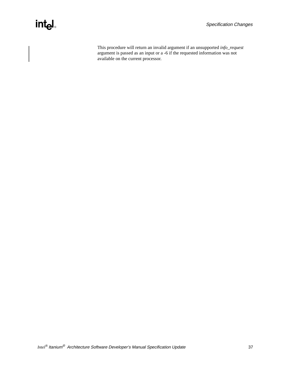# int<sub>el</sub>

This procedure will return an invalid argument if an unsupported *info\_request* argument is passed as an input or a -6 if the requested information was not available on the current processor.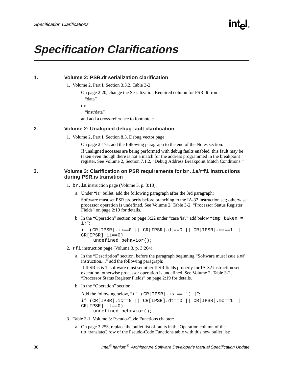## <span id="page-37-0"></span>**Specification Clarifications**

#### **1. Volume 2: PSR.dt serialization clarification**

- 1. Volume 2, Part I, Section 3.3.2, Table 3-2:
	- On page 2:20, change the Serialization Required column for PSR.dt from: "data"

to:

"inst/data"

and add a cross-reference to footnote c.

#### **2. Volume 2: Unaligned debug fault clarification**

1. Volume 2, Part I, Section 8.3, Debug vector page:

— On page 2:175, add the following paragraph to the end of the Notes section:

If unaligned accesses are being performed with debug faults enabled, this fault may be taken even though there is not a match for the address programmed in the breakpoint register. See Volume 2, Section 7.1.2, "Debug Address Breakpoint Match Conditions."

#### **3. Volume 3: Clarification on PSR requirements for br.ia/rfi instructions during PSR.is transition**

- 1. br.ia instruction page (Volume 3, p. 3:18):
	- a. Under "ia" bullet, add the following paragraph after the 3rd paragraph:

Software must set PSR properly before branching to the IA-32 instruction set; otherwise processor operation is undefined. See Volume 2, Table 3-2, "Processor Status Register Fields" on page 2:19 for details.

b. In the "Operation" section on page 3:22 under "case 'ia'," add below "tmp\_taken = 1;":

```
if (CR[IPSR].ic==0 || CR[IPSR].dt==0 || CR[IPSR].mc==1 || 
CR[IPSR].it==0)
    undefined behavior();
```
- 2. rfi instruction page (Volume 3, p. 3:204):
	- a. In the "Description" section, before the paragraph beginning "Software must issue a mf instruction...," add the following paragraph:

If IPSR.is is 1, software must set other IPSR fields properly for IA-32 instruction set execution; otherwise processor operation is undefined. See Volume 2, Table 3-2, "Processor Status Register Fields" on page 2:19 for details.

b. In the "Operation" section:

```
Add the following below, "if (CR[IPSR].is == 1) \":
if (CR[IPSR].ic==0 || CR[IPSR].dt==0 || CR[IPSR].mc==1 || 
CR[TPSR], it == 0)undefined_behavior();
```
- 3. Table 3-1, Volume 3: Pseudo-Code Functions chapter:
	- a. On page 3:253, replace the bullet list of faults in the Operation column of the tlb\_translate() row of the Pseudo-Code Functions table with this new bullet list: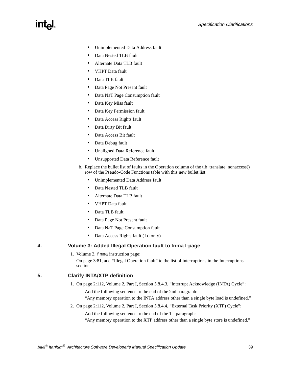### ht

- Unimplemented Data Address fault
- Data Nested TLB fault
- Alternate Data TLB fault
- VHPT Data fault
- Data TLB fault
- Data Page Not Present fault
- Data NaT Page Consumption fault
- Data Key Miss fault
- Data Key Permission fault
- Data Access Rights fault
- Data Dirty Bit fault
- Data Access Bit fault
- Data Debug fault
- Unaligned Data Reference fault
- Unsupported Data Reference fault
- b. Replace the bullet list of faults in the Operation column of the tlb\_translate\_nonaccess() row of the Pseudo-Code Functions table with this new bullet list:
	- Unimplemented Data Address fault
	- Data Nested TLB fault
	- Alternate Data TLB fault
	- VHPT Data fault
	- Data TLB fault
	- Data Page Not Present fault
	- Data NaT Page Consumption fault
	- Data Access Rights fault (fc only)

#### **4. Volume 3: Added Illegal Operation fault to fnma I-page**

1. Volume 3, fnma instruction page:

On page 3:81, add "Illegal Operation fault" to the list of interruptions in the Interruptions section.

#### **5. Clarify INTA/XTP definition**

- 1. On page 2:112, Volume 2, Part I, Section 5.8.4.3, "Interrupt Acknowledge (INTA) Cycle":
	- Add the following sentence to the end of the 2nd paragraph:

"Any memory operation to the INTA address other than a single byte load is undefined."

- 2. On page 2:112, Volume 2, Part I, Section 5.8.4.4, "External Task Priority (XTP) Cycle":
	- Add the following sentence to the end of the 1st paragraph:

"Any memory operation to the XTP address other than a single byte store is undefined."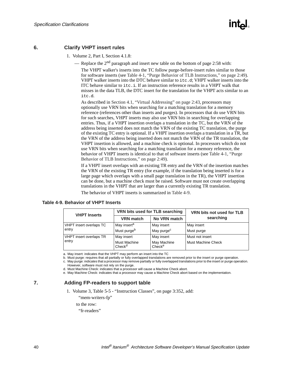#### **6. Clarify VHPT insert rules**

- 1. Volume 2, Part I, Section 4.1.8:
	- Replace the  $2<sup>nd</sup>$  paragraph and insert new table on the bottom of page 2:58 with:

The VHPT walker's inserts into the TC follow purge-before-insert rules similar to those for software inserts (see Table 4-1, "Purge Behavior of TLB Instructions," on page 2:49). VHPT walker inserts into the DTC behave similar to itc.d; VHPT walker inserts into the ITC behave similar to  $\text{etc.}$  i. If an instruction reference results in a VHPT walk that misses in the data TLB, the DTC insert for the translation for the VHPT acts similar to an itc.d.

As described in Section 4.1, "Virtual Addressing" on page 2:43, processors may optionally use VRN bits when searching for a matching translation for a memory reference (references other than inserts and purges). In processors that do use VRN bits for such searches, VHPT inserts may also use VRN bits in searching for overlapping entries. Thus, if a VHPT insertion overlaps a translation in the TC, but the VRN of the address being inserted does not match the VRN of the existing TC translation, the purge of the existing TC entry is optional. If a VHPT insertion overlaps a translation in a TR, but the VRN of the address being inserted does not match the VRN of the TR translation, the VHPT insertion is allowed, and a machine check is optional. In processors which do not use VRN bits when searching for a matching translation for a memory reference, the behavior of VHPT inserts is identical to that of software inserts (see Table 4-1, "Purge Behavior of TLB Instructions," on page 2:49).

If a VHPT insert overlaps with an existing TR entry and the VRN of the insertion matches the VRN of the existing TR entry (for example, if the translation being inserted is for a large page which overlaps with a small page translation in the TR), the VHPT insertion can be done, but a machine check must be raised. Software must not create overlapping translations in the VHPT that are larger than a currently existing TR translation.

The behavior of VHPT inserts is summarized in Table 4-9.

| <b>Table 4-9. Behavior of VHPT Inserts</b> |  |  |
|--------------------------------------------|--|--|
|--------------------------------------------|--|--|

| <b>VHPT Inserts</b>     |                                           | VRN bits used for TLB searching | VRN bits not used for TLB |  |  |  |  |  |
|-------------------------|-------------------------------------------|---------------------------------|---------------------------|--|--|--|--|--|
|                         | <b>VRN</b> match                          | No VRN match                    | searching                 |  |  |  |  |  |
| VHPT insert overlaps TC | May insert <sup>a</sup>                   | May insert                      | May insert                |  |  |  |  |  |
| entry                   | Must purge <sup>b</sup>                   | May purge <sup>c</sup>          | Must purge                |  |  |  |  |  |
| VHPT insert overlaps TR | May insert                                | May insert                      | Must not insert           |  |  |  |  |  |
| entry                   | <b>Must Machine</b><br>Check <sup>d</sup> | May Machine<br>Checke           | <b>Must Machine Check</b> |  |  |  |  |  |

a. May insert: indicates that the VHPT may perform an insert into the TC

b. Must purge: requires that all partially or fully overlapped translations are removed prior to the insert or purge operation.

c. May purge: indicates that a processor may remove partially or fully overlapped translations prior to the insert or purge operation.

However, software must not rely on the purge.

d. Must Machine Check: indicates that a processor will cause a Machine Check abort.

e. May Machine Check: indicates that a processor may cause a Machine Check abort based on the implementation.

#### **7. Adding FP-readers to support table**

1. Volume 3, Table 5-5 - "Instruction Classes", on page 3:352, add:

"mem-writers-fp"

to the row:

"fr-readers"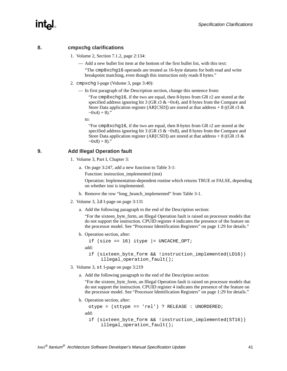#### **8. cmpxchg clarifications**

- 1. Volume 2, Section 7.1.2, page 2:134:
	- Add a new bullet list item at the bottom of the first bullet list, with this text: "The cmp8xchg16 operands are treated as 16-byte datums for both read and write breakpoint matching, even though this instruction only reads 8 bytes."
- 2. cmpxchg I-page (Volume 3, page 3:40):
	- In first paragraph of the Description section, change this sentence from:

"For cmp8xchg16, if the two are equal, then 8-bytes from GR r2 are stored at the specified address ignoring bit 3 (GR r3 &  $\sim$ 0x4), and 8 bytes from the Compare and Store Data application register (AR[CSD]) are stored at that address  $+8$  ((GR r3  $\&$  $\sim 0x4$ ) + 8)."

to:

"For cmp8xchg16, if the two are equal, then 8-bytes from GR r2 are stored at the specified address ignoring bit 3 (GR r3  $\& \sim 0x8$ ), and 8 bytes from the Compare and Store Data application register (AR[CSD]) are stored at that address  $+8$  ((GR r3  $\&$  $-(0x8) + 8$ ."

#### **9. Add Illegal Operation fault**

- 1. Volume 3, Part I, Chapter 3:
	- a. On page 3:247, add a new function to Table 3-1:

Function: instruction\_implemented (inst)

Operation: Implementation-dependent routine which returns TRUE or FALSE, depending on whether inst is implemented.

- b. Remove the row "long\_branch\_implemented" from Table 3-1.
- 2. Volume 3, ld I-page on page 3:131
	- a. Add the following paragraph to the end of the Description section:

"For the sixteen\_byte\_form, an Illegal Operation fault is raised on processor models that do not support the instruction. CPUID register 4 indicates the presence of the feature on the processor model. See "Processor Identification Registers" on page 1:29 for details."

b. Operation section, after:

```
if (size == 16) itype | = UNCACHE_OPT;
add:
 if (sixteen byte form && !instruction implemented(LD16))
      illegal operation fault();
```
- 3. Volume 3, st I-page on page 3:219
	- a. Add the following paragraph to the end of the Description section:

"For the sixteen\_byte\_form, an Illegal Operation fault is raised on processor models that do not support the instruction. CPUID register 4 indicates the presence of the feature on the processor model. See "Processor Identification Registers" on page 1:29 for details."

b. Operation section, after:

otype = (sttype == 'rel') ? RELEASE : UNORDERED; add: if (sixteen\_byte\_form && !instruction\_implemented(ST16)) illegal\_operation\_fault();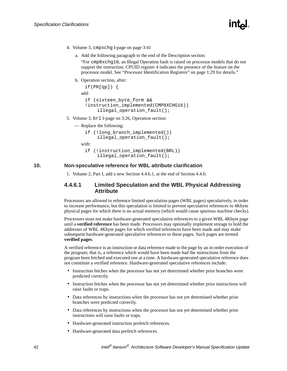

- 4. Volume 3, cmpxchg I-page on page 3:41
	- a. Add the following paragraph to the end of the Description section:

"For cmp8xchg16, an Illegal Operation fault is raised on processor models that do not support the instruction. CPUID register 4 indicates the presence of the feature on the processor model. See "Processor Identification Registers" on page 1:29 for details."

b. Operation section, after:

```
if(PR[qp]) {
add:
 if (sixteen_byte_form && 
 !instruction_implemented(CMP8XCHG16))
      illegal operation fault();
```
- 5. Volume 3, brl I-page on 3:26, Operation section:
	- Replace the following:

```
if (!long branch implemented())
    illegal operation fault();
```
with:

if (!instruction\_implemented(BRL)) illegal operation fault();

#### **10. Non-speculative reference for WBL attribute clarification**

1. Volume 2, Part I, add a new Section 4.4.6.1, at the end of Section 4.4.6:

#### **4.4.6.1 Limited Speculation and the WBL Physical Addressing Attribute**

Processors are allowed to reference limited speculation pages (WBL pages) speculatively, in order to increase performance, but this speculation is limited to prevent speculative references to 4Kbyte physical pages for which there is no actual memory (which would cause spurious machine checks).

Processors must not make hardware-generated speculative references to a given WBL 4Kbyte page until a **verified reference** has been made. Processors may optionally implement storage to hold the addresses of WBL 4Kbyte pages for which verified references have been made and may make subsequent hardware-generated speculative references to these pages. Such pages are termed **verified pages**.

A verified reference is an instruction or data reference made to the page by an in-order execution of the program; that is, a reference which would have been made had the instructions from the program been fetched and executed one at a time. A hardware-generated speculative reference does not constitute a verified reference. Hardware-generated speculative references include:

- Instruction fetches when the processor has not yet determined whether prior branches were predicted correctly.
- Instruction fetches when the processor has not yet determined whether prior instructions will raise faults or traps.
- Data references by instructions when the processor has not yet determined whether prior branches were predicted correctly.
- Data references by instructions when the processor has not yet determined whether prior instructions will raise faults or traps.
- Hardware-generated instruction prefetch references.
- Hardware-generated data prefetch references.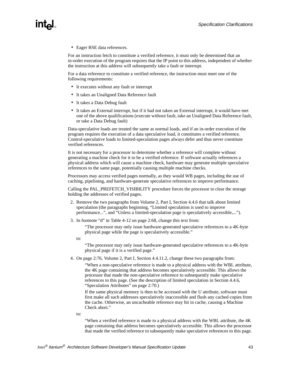• Eager RSE data references.

For an instruction fetch to constitute a verified reference, it must only be determined that an in-order execution of the program requires that the IP point to this address, independent of whether the instruction at this address will subsequently take a fault or interrupt.

For a data reference to constitute a verified reference, the instruction must meet one of the following requirements:

- It executes without any fault or interrupt
- It takes an Unaligned Data Reference fault
- It takes a Data Debug fault
- It takes an External interrupt, but if it had not taken an External interrupt, it would have met one of the above qualifications (execute without fault, take an Unaligned Data Reference fault, or take a Data Debug fault)

Data-speculative loads are treated the same as normal loads, and if an in-order execution of the program requires the execution of a data speculative load, it constitutes a verified reference. Control-speculative loads to limited-speculation pages always defer and thus never constitute verified references.

It is not necessary for a processor to determine whether a reference will complete without generating a machine check for it to be a verified reference. If software actually references a physical address which will cause a machine check, hardware may generate multiple speculative references to the same page, potentially causing multiple machine checks.

Processors may access verified pages normally, as they would WB pages, including the use of caching, pipelining, and hardware-generate speculative references to improve performance.

Calling the PAL\_PREFETCH\_VISIBILITY procedure forces the processor to clear the storage holding the addresses of verified pages.

- 2. Remove the two paragraphs from Volume 2, Part I, Section 4.4.6 that talk about limited speculation (the paragraphs beginning, "Limited speculation is used to improve performance...", and "Unless a limited-speculation page is speculatively accessible,...").
- 3. In footnote "d" in Table 4-12 on page 2:68, change this text from:

"The processor may only issue hardware-generated speculative references to a 4K-byte physical page while the page is speculatively accessible."

to:

"The processor may only issue hardware-generated speculative references to a 4K-byte physical page if it is a verified page."

4. On page 2:76, Volume 2, Part I, Section 4.4.11.2, change these two paragraphs from:

"When a non-speculative reference is made to a physical address with the WBL attribute, the 4K page containing that address becomes speculatively accessible. This allows the processor that made the non-speculative reference to subsequently make speculative references to this page. (See the description of limited speculation in Section 4.4.6, "Speculation Attributes" on page 2:70.)

If the same physical memory is then to be accessed with the U attribute, software must first make all such addresses speculatively inaccessible and flush any cached copies from the cache. Otherwise, an uncacheable reference may hit in cache, causing a Machine Check abort."

to:

"When a verified reference is made to a physical address with the WBL attribute, the 4K page containing that address becomes speculatively accessible. This allows the processor that made the verified reference to subsequently make speculative references to this page.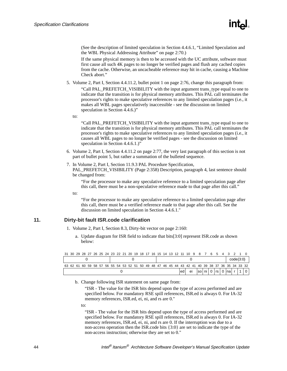(See the description of limited speculation in Section 4.4.6.1, "Limited Speculation and the WBL Physical Addressing Attribute" on page 2:70.)

If the same physical memory is then to be accessed with the UC attribute, software must first cause all such 4K pages to no longer be verified pages and flush any cached copies from the cache. Otherwise, an uncacheable reference may hit in cache, causing a Machine Check abort."

5. Volume 2, Part I, Section 4.4.11.2, bullet point 1 on page 2:76, change this paragraph from:

"Call PAL\_PREFETCH\_VISIBILITY with the input argument trans\_type equal to one to indicate that the transition is for physical memory attributes. This PAL call terminates the processor's rights to make speculative references to any limited speculation pages (i.e., it makes all WBL pages speculatively inaccessible - see the discussion on limited speculation in Section 4.4.6.)"

to:

"Call PAL\_PREFETCH\_VISIBILITY with the input argument trans\_type equal to one to indicate that the transition is for physical memory attributes. This PAL call terminates the processor's rights to make speculative references to any limited speculation pages (i.e., it causes all WBL pages to no longer be verified pages - see the discussion on limited speculation in Section 4.4.6.1.)"

- 6. Volume 2, Part I, Section 4.4.11.2 on page 2:77, the very last paragraph of this section is not part of bullet point 5, but rather a summation of the bulleted sequence.
- 7. In Volume 2, Part I, Section 11.9.3 PAL Procedure Specification, PAL\_PREFETCH\_VISIBILITY (Page 2:358) Description, paragraph 4, last sentence should be changed from:

"For the processor to make any speculative reference to a limited speculation page after this call, there must be a non-speculative reference made to that page after this call."

to:

"For the processor to make any speculative reference to a limited speculation page after this call, there must be a verified reference made to that page after this call. See the discussion on limited speculation in Section 4.4.6.1."

#### **11. Dirty-bit fault ISR.code clarification**

- 1. Volume 2, Part I, Section 8.3, Dirty-bit vector on page 2:160:
	- a. Update diagram for ISR field to indicate that bits[3:0] represent ISR.code as shown below:

| 31 30 29 28 27 26 25 24 23 22 21 20 19 18 17 16 15 14 13 12 11 10 9 8 7 6 5 4 3 2 1 0           |  |  |  |  |  |  |  |  |  |  |    |             |  |                                      |  |  |  |  |  |  |  |  |  |  |
|-------------------------------------------------------------------------------------------------|--|--|--|--|--|--|--|--|--|--|----|-------------|--|--------------------------------------|--|--|--|--|--|--|--|--|--|--|
|                                                                                                 |  |  |  |  |  |  |  |  |  |  |    | $code{3:0}$ |  |                                      |  |  |  |  |  |  |  |  |  |  |
| 63 62 61 60 59 58 57 56 55 54 53 52 51 50 49 48 47 46 45 44 43 42 41 40 39 38 37 36 35 34 33 32 |  |  |  |  |  |  |  |  |  |  |    |             |  |                                      |  |  |  |  |  |  |  |  |  |  |
|                                                                                                 |  |  |  |  |  |  |  |  |  |  | ed | ei          |  | so  ni   0   rs   0   na   r   1   0 |  |  |  |  |  |  |  |  |  |  |

#### b. Change following ISR statement on same page from:

"ISR - The value for the ISR bits depend upon the type of access performed and are specified below. For mandatory RSE spill references, ISR.ed is always 0. For IA-32 memory references, ISR.ed, ei, ni, and rs are 0."

to:

"ISR - The value for the ISR bits depend upon the type of access performed and are specified below. For mandatory RSE spill references, ISR.ed is always 0. For IA-32 memory references, ISR.ed, ei, ni, and rs are 0. If the interruption was due to a non-access operation then the ISR.code bits {3:0} are set to indicate the type of the non-access instruction; otherwise they are set to 0."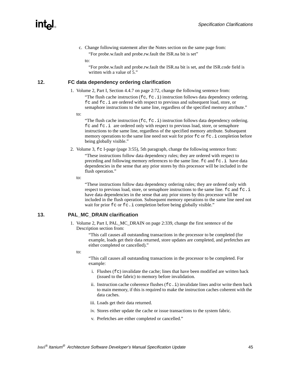- c. Change following statement after the Notes section on the same page from: "For probe.w.fault and probe.rw.fault the ISR.na bit is set"
	- to:

"For probe.w.fault and probe.rw.fault the ISR.na bit is set, and the ISR.code field is written with a value of 5."

#### **12. FC data dependency ordering clarification**

1. Volume 2, Part I, Section 4.4.7 on page 2:72, change the following sentence from:

"The flush cache instruction  $(fc, fc.i)$  instruction follows data dependency ordering. fc and fc.i are ordered with respect to previous and subsequent load, store, or semaphore instructions to the same line, regardless of the specified memory attribute."

to:

"The flush cache instruction  $(fc, fc.i)$  instruction follows data dependency ordering. fc and fc.i are ordered only with respect to previous load, store, or semaphore instructions to the same line, regardless of the specified memory attribute. Subsequent memory operations to the same line need not wait for prior  $f \circ \sigma f \circ \sigma$ . i completion before being globally visible."

2. Volume 3, fc I-page (page 3:55), 5th paragraph, change the following sentence from:

"These instructions follow data dependency rules; they are ordered with respect to preceding and following memory references to the same line.  $\pm c$  and  $\pm c$ ,  $\pm$  have data dependencies in the sense that any prior stores by this processor will be included in the flush operation."

to:

"These instructions follow data dependency ordering rules; they are ordered only with respect to previous load, store, or semaphore instructions to the same line.  $\pm c$  and  $\pm c$ , i have data dependencies in the sense that any prior stores by this processor will be included in the flush operation. Subsequent memory operations to the same line need not wait for prior  $fc$  or  $fc$ . i completion before being globally visible."

#### **13. PAL\_MC\_DRAIN clarification**

1. Volume 2, Part I, PAL\_MC\_DRAIN on page 2:339, change the first sentence of the Description section from:

"This call causes all outstanding transactions in the processor to be completed (for example, loads get their data returned, store updates are completed, and prefetches are either completed or cancelled)."

to:

"This call causes all outstanding transactions in the processor to be completed. For example:

- i. Flushes  $(f \circ c)$  invalidate the cache; lines that have been modified are written back (issued to the fabric) to memory before invalidation.
- ii. Instruction cache coherence flushes ( $fc$ , i) invalidate lines and/or write them back to main memory, if this is required to make the instruction caches coherent with the data caches.
- iii. Loads get their data returned.
- iv. Stores either update the cache or issue transactions to the system fabric.
- v. Prefetches are either completed or cancelled."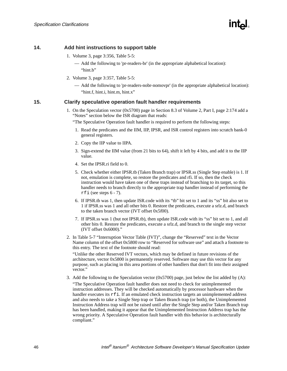#### **14. Add hint instructions to support table**

- 1. Volume 3, page 3:356, Table 5-5:
	- Add the following to 'pr-readers-br' (in the appropriate alphabetical location): "hint.b"
- 2. Volume 3, page 3:357, Table 5-5:
	- Add the following to 'pr-readers-nobr-nomovpr' (in the appropriate alphabetical location): "hint.f, hint.i, hint.m, hint.x"

#### **15. Clarify speculative operation fault handler requirements**

- 1. On the Speculation vector (0x5700) page in Section 8.3 of Volume 2, Part I, page 2:174 add a "Notes" section below the ISR diagram that reads:
	- "The Speculative Operation fault handler is required to perform the following steps:
	- 1. Read the predicates and the IIM, IIP, IPSR, and ISR control registers into scratch bank-0 general registers.
	- 2. Copy the IIP value to IIPA.
	- 3. Sign-extend the IIM value (from 21 bits to 64), shift it left by 4 bits, and add it to the IIP value.
	- 4. Set the IPSR.ri field to 0.
	- 5. Check whether either IPSR.tb (Taken Branch trap) or IPSR.ss (Single Step enable) is 1. If not, emulation is complete, so restore the predicates and rfi. If so, then the check instruction would have taken one of these traps instead of branching to its target, so this handler needs to branch directly to the appropriate trap handler instead of performing the rfi (see steps  $6 - 7$ ).
	- 6. If IPSR.tb was 1, then update ISR.code with its "tb" bit set to 1 and its "ss" bit also set to 1 if IPSR.ss was 1 and all other bits 0. Restore the predicates, execute a srlz.d, and branch to the taken branch vector (IVT offset 0x5f00).
	- 7. If IPSR.ss was 1 (but not IPSR.tb), then update ISR.code with its "ss" bit set to 1, and all other bits 0. Restore the predicates, execute a srlz.d, and branch to the single step vector (IVT offset 0x6000)."
- 2. In Table 5-7 "Interruption Vector Table (IVT)", change the "Reserved" text in the Vector Name column of the offset 0x5800 row to "Reserved for software use" and attach a footnote to this entry. The text of the footnote should read:

"Unlike the other Reserved IVT vectors, which may be defined in future revisions of the architecture, vector 0x5800 is permanently reserved. Software may use this vector for any purpose, such as placing in this area portions of other handlers that don't fit into their assigned vector."

3. Add the following to the Speculation vector (0x5700) page, just below the list added by (A):

"The Speculative Operation fault handler does not need to check for unimplemented instruction addresses. They will be checked automatically by processor hardware when the handler executes its rfi. If an emulated check instruction targets an unimplemented address and also needs to take a Single Step trap or Taken Branch trap (or both), the Unimplemented Instruction Address trap will not be raised until after the Single Step and/or Taken Branch trap has been handled, making it appear that the Unimplemented Instruction Address trap has the wrong priority. A Speculative Operation fault handler with this behavior is architecturally compliant."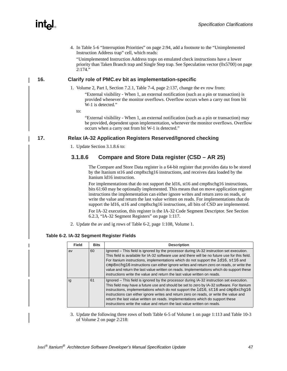4. In Table 5-6 "Interruption Priorities" on page 2:94, add a footnote to the "Unimplemented Instruction Address trap" cell, which reads:

"Unimplemented Instruction Address traps on emulated check instructions have a lower priority than Taken Branch trap and Single Step trap. See Speculation vector (0x5700) on page  $2:174."$ 

#### <span id="page-46-0"></span>**16. Clarify role of PMC.ev bit as implementation-specific**

1. Volume 2, Part I, Section 7.2.1, Table 7-4, page 2:137, change the ev row from:

"External visibility - When 1, an external notification (such as a pin or transaction) is provided whenever the monitor overflows. Overflow occurs when a carry out from bit W-1 is detected."

to:

"External visibility - When 1, an external notification (such as a pin or transaction) may be provided, dependent upon implementation, whenever the monitor overflows. Overflow occurs when a carry out from bit W-1 is detected."

#### <span id="page-46-1"></span>**17. Relax IA-32 Application Registers Reserved/Ignored checking**

1. Update Section 3.1.8.6 to:

#### **3.1.8.6 Compare and Store Data register (CSD – AR 25)**

The Compare and Store Data register is a 64-bit register that provides data to be stored by the Itanium st16 and cmp8xchg16 instructions, and receives data loaded by the Itanium ld16 instruction.

For implementations that do not support the ld16, st16 and cmp8xchg16 instructions, bits 61:60 may be optionally implemented. This means that on move application register instructions the implementation can either ignore writes and return zero on reads, or write the value and return the last value written on reads. For implementations that do support the ld16, st16 and cmp8xchg16 instructions, all bits of CSD are implemented.

For IA-32 execution, this register is the IA-32 Code Segment Descriptor. See Section 6.2.3, "IA-32 Segment Registers" on page 1:117.

2. Update the av and ig rows of Table 6-2, page 1:108, Volume 1.

#### **Table 6-2. IA-32 Segment Register Fields**

| Field | <b>Bits</b> | <b>Description</b>                                                                                                                                                                                                                                                                                                                                                                                                                                                                                                                                 |
|-------|-------------|----------------------------------------------------------------------------------------------------------------------------------------------------------------------------------------------------------------------------------------------------------------------------------------------------------------------------------------------------------------------------------------------------------------------------------------------------------------------------------------------------------------------------------------------------|
| av    | 60          | Ignored – This field is ignored by the processor during IA-32 instruction set execution.<br>This field is available for IA-32 software use and there will be no future use for this field.<br>For Itanium instructions, implementations which do not support the 1d16, st16 and<br>cmp8xchg16 instructions can either ignore writes and return zero on reads, or write the<br>value and return the last value written on reads. Implementations which do support these<br>instructions write the value and return the last value written on reads. |
| ig    | 61          | Ignored – This field is ignored by the processor during IA-32 instruction set execution.<br>This field may have a future use and should be set to zero by IA-32 software. For Itanium<br>instructions, implementations which do not support the 1d16, st16 and cmp8xchq16<br>instructions can either ignore writes and return zero on reads, or write the value and<br>return the last value written on reads. Implementations which do support these<br>instructions write the value and return the last value written on reads.                  |

3. Update the following three rows of both Table 6-5 of Volume 1 on page 1:113 and Table 10-3 of Volume 2 on page 2:218: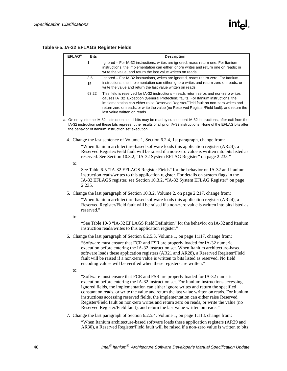

#### . **Table 6-5. IA-32 EFLAGS Register Fields**

| EFLAG <sup>a</sup> | <b>Bits</b> | <b>Description</b>                                                                                                                                                                                                                                                                                                                                                                                 |
|--------------------|-------------|----------------------------------------------------------------------------------------------------------------------------------------------------------------------------------------------------------------------------------------------------------------------------------------------------------------------------------------------------------------------------------------------------|
|                    | 1           | Ignored - For IA-32 instructions, writes are ignored, reads return one. For Itanium<br>instructions, the implementation can either ignore writes and return one on reads; or<br>write the value, and return the last value written on reads.                                                                                                                                                       |
|                    | 3.5.<br>15  | Ignored – For IA-32 instructions, writes are ignored, reads return zero. For Itanium<br>instructions, the implementation can either ignore writes and return zero on reads, or<br>write the value and return the last value written on reads.                                                                                                                                                      |
|                    | 63:22       | This field is reserved for IA-32 instructions – reads return zeros and non-zero writes<br>causes IA_32_Exception (General Protection) faults. For Itanium instructions, the<br>implementation can either raise Reserved Register/Field fault on non-zero writes and<br>return zero on reads, or write the value (no Reserved Register/Field fault), and return the<br>last value written on reads. |

a. On entry into the IA-32 instruction set all bits may be read by subsequent IA-32 instructions, after exit from the IA-32 instruction set these bits represent the results of all prior IA-32 instructions. None of the EFLAG bits alter the behavior of Itanium instruction set execution.

4. Change the last sentence of Volume 1, Section 6.2.4, 1st paragraph, change from:

"When Itanium architecture-based software loads this application register (AR24), a Reserved Register/Field fault will be raised if a non-zero value is written into bits listed as reserved. See Section 10.3.2, "IA-32 System EFLAG Register" on page 2:235."

to:

See Table 6-5 "IA-32 EFLAGS Register Fields" for the behavior on IA-32 and Itanium instruction reads/writes to this application register. For details on system flags in the IA-32 EFLAGS register, see Section 10.3.2, "IA-32 System EFLAG Register" on page 2:235.

5. Change the last paragraph of Section 10.3.2, Volume 2, on page 2:217, change from:

"When Itanium architecture-based software loads this application register (AR24), a Reserved Register/Field fault will be raised if a non-zero value is written into bits listed as reserved."

to:

"See Table 10-3 "IA-32 EFLAGS Field Definition" for the behavior on IA-32 and Itanium instruction reads/writes to this application register."

6. Change the last paragraph of Section 6.2.5.3, Volume 1, on page 1:117, change from: "Software must ensure that FCR and FSR are properly loaded for IA-32 numeric

execution before entering the IA-32 instruction set. When Itanium architecture-based software loads these application registers (AR21 and AR28), a Reserved Register/Field fault will be raised if a non-zero value is written to bits listed as reserved. No field encoding values will be verified when these registers are written."

to:

"Software must ensure that FCR and FSR are properly loaded for IA-32 numeric execution before entering the IA-32 instruction set. For Itanium instructions accessing ignored fields, the implementation can either ignore writes and return the specified constant on reads, or write the value and return the last value written on reads. For Itanium instructions accessing reserved fields, the implementation can either raise Reserved Register/Field fault on non-zero writes and return zero on reads, or write the value (no Reserved Register/Field fault), and return the last value written on reads."

7. Change the last paragraph of Section 6.2.5.4, Volume 1, on page 1:118, change from:

"When Itanium architecture-based software loads these application registers (AR29 and AR30), a Reserved Register/Field fault will be raised if a non-zero value is written to bits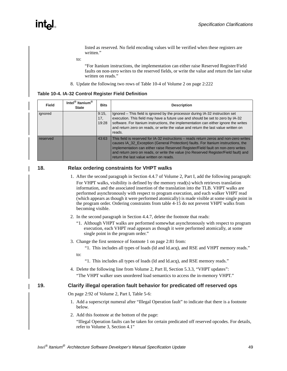listed as reserved. No field encoding values will be verified when these registers are written."

to:

"For Itanium instructions, the implementation can either raise Reserved Register/Field faults on non-zero writes to the reserved fields, or write the value and return the last value written on reads."

8. Update the following two rows of Table 10-4 of Volume 2 on page 2:222

#### **Table 10-4. IA-32 Control Register Field Definition**

| <b>Field</b> | Intel <sup>®</sup> Itanium <sup>®</sup><br><b>State</b> | <b>Bits</b>          | <b>Description</b>                                                                                                                                                                                                                                                                                                                                                                                |
|--------------|---------------------------------------------------------|----------------------|---------------------------------------------------------------------------------------------------------------------------------------------------------------------------------------------------------------------------------------------------------------------------------------------------------------------------------------------------------------------------------------------------|
| ignored      |                                                         | 9:15<br>17,<br>19:28 | Ignored – This field is ignored by the processor during IA-32 instruction set<br>execution. This field may have a future use and should be set to zero by IA-32<br>software. For Itanium instructions, the implementation can either ignore the writes<br>and return zero on reads, or write the value and return the last value written on<br>reads.                                             |
| reserved     |                                                         | 43:63                | This field is reserved for IA-32 instructions – reads return zeros and non-zero writes<br>causes IA_32_Exception (General Protection) faults. For Itanium instructions, the<br>implementation can either raise Reserved Register/Field fault on non-zero writes<br>and return zero on reads, or write the value (no Reserved Register/Field fault) and<br>return the last value written on reads. |

#### <span id="page-48-0"></span>**18. Relax ordering constraints for VHPT walks**

- 1. After the second paragraph in Section 4.4.7 of Volume 2, Part I, add the following paragraph: For VHPT walks, visibility is defined by the memory read(s) which retrieves translation information, and the associated insertion of the translation into the TLB. VHPT walks are performed asynchronously with respect to program execution, and each walker VHPT read (which appears as though it were performed atomically) is made visible at some single point in the program order. Ordering constraints from table 4-15 do not prevent VHPT walks from becoming visible.
- 2. In the second paragraph in Section 4.4.7, delete the footnote that reads:
	- "1. Although VHPT walks are performed somewhat asynchronously with respect to program execution, each VHPT read appears as though it were performed atomically, at some single point in the program order."
- 3. Change the first sentence of footnote 1 on page 2:81 from:
	- "1. This includes all types of loads (ld and ld.acq), and RSE and VHPT memory reads." to:
		- "1. This includes all types of loads (ld and ld.acq), and RSE memory reads."
- 4. Delete the following line from Volume 2, Part II, Section 5.3.3, "VHPT updates":

"The VHPT walker uses unordered load semantics to access the in-memory VHPT."

#### <span id="page-48-1"></span>**19. Clarify illegal operation fault behavior for predicated off reserved ops**

On page 2:92 of Volume 2, Part I, Table 5-6:

- 1. Add a superscript numeral after "Illegal Operation fault" to indicate that there is a footnote below.
- 2. Add this footnote at the bottom of the page:

"Illegal Operation faults can be taken for certain predicated off reserved opcodes. For details, refer to Volume 3, Section 4.1"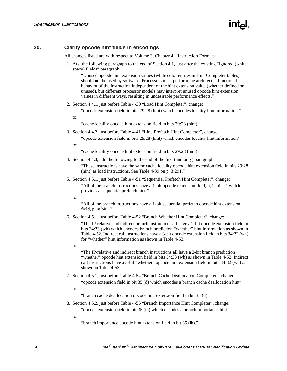

#### <span id="page-49-0"></span>**20. Clarify opcode hint fields in encodings**

All changes listed are with respect to Volume 3, Chapter 4, "Instruction Formats".

1. Add the following paragraph to the end of Section 4.1, just after the existing "Ignored (white space) Fields" paragraph:

"Unused opcode hint extension values (white color entries in Hint Completer tables) should not be used by software. Processors must perform the architected functional behavior of the instruction independent of the hint extension value (whether defined or unused), but different processor models may interpret unused opcode hint extension values in different ways, resulting in undesirable performance effects."

2. Section 4.4.1, just before Table 4-39 "Load Hint Completer", change:

"opcode extension field in bits 29:28 (hint) which encodes locality hint information."

to:

"cache locality opcode hint extension field in bits 29:28 (hint)."

- 3. Section 4.4.2, just before Table 4-41 "Line Prefetch Hint Completer", change:
	- "opcode extension field in bits 29:28 (hint) which encodes locality hint information" to:

"cache locality opcode hint extension field in bits 29:28 (hint)"

4. Section 4.4.3, add the following to the end of the first (and only) paragraph:

"These instructions have the same cache locality opcode hint extension field in bits 29:28 (hint) as load instructions. See Table 4-39 on p. 3:291."

5. Section 4.5.1, just before Table 4-51 "Sequential Prefetch Hint Completer", change:

"All of the branch instructions have a 1-bit opcode extension field, p, in bit 12 which provides a sequential prefetch hint."

to:

"All of the branch instructions have a 1-bit sequential prefetch opcode hint extension field, p, in bit 12."

6. Section 4.5.1, just before Table 4-52 "Branch Whether Hint Completer", change:

"The IP-relative and indirect branch instructions all have a 2-bit opcode extension field in bits 34:33 (wh) which encodes branch prediction "whether" hint information as shown in Table 4-52. Indirect call instructions have a 3-bit opcode extension field in bits 34:32 (wh) for "whether" hint information as shown in Table 4-53."

to:

"The IP-relative and indirect branch instructions all have a 2-bit branch prediction "whether" opcode hint extension field in bits 34:33 (wh) as shown in Table 4-52. Indirect call instructions have a 3-bit "whether" opcode hint extension field in bits 34:32 (wh) as shown in Table 4-53."

7. Section 4.5.1, just before Table 4-54 "Branch Cache Deallocation Completer", change: "opcode extension field in bit 35 (d) which encodes a branch cache deallocation hint"

to:

"branch cache deallocation opcode hint extension field in bit 35 (d)"

- 8. Section 4.5.2, just before Table 4-56 "Branch Importance Hint Completer", change:
	- "opcode extension field in bit 35 (ih) which encodes a branch importance hint."
	- to:
- "branch importance opcode hint extension field in bit 35 (ih)."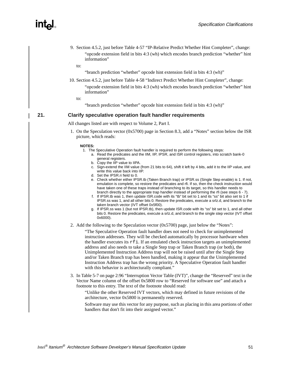- 9. Section 4.5.2, just before Table 4-57 "IP-Relative Predict Whether Hint Completer", change: "opcode extension field in bits 4:3 (wh) which encodes branch prediction "whether" hint information"
	- to:

"branch prediction "whether" opcode hint extension field in bits 4:3 (wh)"

- 10. Section 4.5.2, just before Table 4-58 "Indirect Predict Whether Hint Completer", change: "opcode extension field in bits 4:3 (wh) which encodes branch prediction "whether" hint information"
	- to:

"branch prediction "whether" opcode hint extension field in bits 4:3 (wh)"

#### <span id="page-50-0"></span>**21. Clarify speculative operation fault handler requirements**

All changes listed are with respect to Volume 2, Part I.

- 1. On the Speculation vector (0x5700) page in Section 8.3, add a "Notes" section below the ISR picture, which reads:
	- **NOTES:**
	- 1. The Speculative Operation fault handler is required to perform the following steps:
		- a. Read the predicates and the IIM, IIP, IPSR, and ISR control registers, into scratch bank-0 general registers.
		- b. Copy the IIP value to IIPA.
		- c. Sign-extend the IIM value (from 21 bits to 64), shift it left by 4 bits, add it to the IIP value, and write this value back into IIP.
		- d. Set the IPSR.ri field to 0.
		- e. Check whether either IPSR.tb (Taken Branch trap) or IPSR.ss (Single Step enable) is 1. If not, emulation is complete, so restore the predicates and rfi. If so, then the check instruction would have taken one of these traps instead of branching to its target, so this handler needs to branch directly to the appropriate trap handler instead of performing the rfi (see steps 6 - 7).
		- f. If IPSR.tb was 1, then update ISR.code with its "tb" bit set to 1 and its "ss" bit also set to 1 if IPSR.ss was 1, and all other bits 0. Restore the predicates, execute a srlz.d, and branch to the
		- taken branch vector (IVT offset 0x5f00). g. If IPSR.ss was 1 (but not IPSR.tb), then update ISR.code with its "ss" bit set to 1, and all other bits 0. Restore the predicates, execute a srlz.d, and branch to the single step vector (IVT offset 0x6000).
- 2. Add the following to the Speculation vector (0x5700) page, just below the "Notes":

"The Speculative Operation fault handler does not need to check for unimplemented instruction addresses. They will be checked automatically by processor hardware when the handler executes its  $rfi$ . If an emulated check instruction targets an unimplemented address and also needs to take a Single Step trap or Taken Branch trap (or both), the Unimplemented Instruction Address trap will not be raised until after the Single Step and/or Taken Branch trap has been handled, making it appear that the Unimplemented Instruction Address trap has the wrong priority. A Speculative Operation fault handler with this behavior is architecturally compliant."

3. In Table 5-7 on page 2:96 "Interruption Vector Table (IVT)", change the "Reserved" text in the Vector Name column of the offset 0x5800 row to "Reserved for software use" and attach a footnote to this entry. The text of the footnote should read:

"Unlike the other Reserved IVT vectors, which may defined in future revisions of the architecture, vector 0x5800 is permanently reserved.

Software may use this vector for any purpose, such as placing in this area portions of other handlers that don't fit into their assigned vector."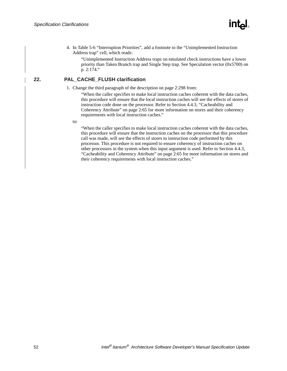int

4. In Table 5-6 "Interruption Priorities", add a footnote to the "Unimplemented Instruction Address trap" cell, which reads:

"Unimplemented Instruction Address traps on emulated check instructions have a lower priority than Taken Branch trap and Single Step trap. See Speculation vector (0x5700) on p. 2:174."

#### <span id="page-51-0"></span>**22. PAL\_CACHE\_FLUSH clarification**

1. Change the third paragraph of the description on page 2:298 from:

"When the caller specifies to make local instruction caches coherent with the data caches, this procedure will ensure that the local instruction caches will see the effects of stores of instruction code done on the processor. Refer to Section 4.4.3, "Cacheability and Coherency Attribute" on page 2:65 for more information on stores and their coherency requirements with local instruction caches."

to:

"When the caller specifies to make local instruction caches coherent with the data caches, this procedure will ensure that the instruction caches on the processor that this procedure call was made, will see the effects of stores to instruction code performed by this processor. This procedure is not required to ensure coherency of instruction caches on other processors in the system when this input argument is used. Refer to Section 4.4.3, "Cacheability and Coherency Attribute" on page 2:65 for more information on stores and their coherency requirements with local instruction caches."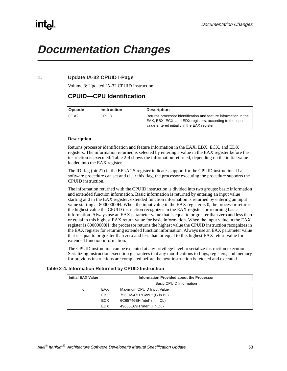# <span id="page-52-0"></span>**Documentation Changes**

#### **1. Update IA-32 CPUID I-Page**

Volume 3: Updated IA-32 CPUID Instruction

#### **CPUID—CPU Identification**

| <b>Opcode</b> | <b>Instruction</b> | <b>Description</b>                                                                                                                                                          |
|---------------|--------------------|-----------------------------------------------------------------------------------------------------------------------------------------------------------------------------|
| 0F A2         | <b>CPUID</b>       | Returns processor identification and feature information in the<br>EAX, EBX, ECX, and EDX registers, according to the input<br>value entered initially in the EAX register. |

#### **Description**

Returns processor identification and feature information in the EAX, EBX, ECX, and EDX registers. The information returned is selected by entering a value in the EAX register before the instruction is executed. Table 2-4 shows the information returned, depending on the initial value loaded into the EAX register.

The ID flag (bit 21) in the EFLAGS register indicates support for the CPUID instruction. If a software procedure can set and clear this flag, the processor executing the procedure supports the CPUID instruction.

The information returned with the CPUID instruction is divided into two groups: basic information and extended function information. Basic information is returned by entering an input value starting at 0 in the EAX register; extended function information is returned by entering an input value starting at 80000000H. When the input value in the EAX register is 0, the processor returns the highest value the CPUID instruction recognizes in the EAX register for returning basic information. Always use an EAX parameter value that is equal to or greater than zero and less than or equal to this highest EAX return value for basic information. When the input value in the EAX register is 80000000H, the processor returns the highest value the CPUID instruction recognizes in the EAX register for returning extended function information. Always use an EAX parameter value that is equal to or greater than zero and less than or equal to this highest EAX return value for extended function information.

The CPUID instruction can be executed at any privilege level to serialize instruction execution. Serializing instruction execution guarantees that any modifications to flags, registers, and memory for previous instructions are completed before the next instruction is fetched and executed.

#### **Table 2-4. Information Returned by CPUID Instruction**

| <b>Initial EAX Value</b> |                                          | Information Provided about the Processor |  |  |
|--------------------------|------------------------------------------|------------------------------------------|--|--|
|                          |                                          | Basic CPUID Information                  |  |  |
| 0                        | EAX                                      | Maximum CPUID Input Value                |  |  |
|                          | <b>EBX</b><br>756E6547H "Genu" (G in BL) |                                          |  |  |
|                          | <b>ECX</b>                               | 6C65746EH "ntel" (n in CL)               |  |  |
|                          | EDX.                                     | 49656E69H "inel" (i in DL)               |  |  |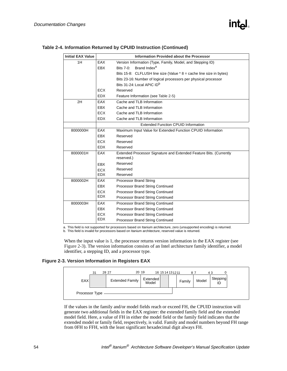| <b>Initial EAX Value</b> |            | Information Provided about the Processor                                         |  |  |  |
|--------------------------|------------|----------------------------------------------------------------------------------|--|--|--|
| 1H                       | EAX        | Version Information (Type, Family, Model, and Stepping ID)                       |  |  |  |
|                          | <b>EBX</b> | Brand Index <sup>a</sup><br>Bits 7-0:                                            |  |  |  |
|                          |            | Bits 15-8: CLFLUSH line size (Value $*$ 8 = cache line size in bytes)            |  |  |  |
|                          |            | Bits 23-16: Number of logical processors per physical processor                  |  |  |  |
|                          |            | Bits 31-24: Local APIC ID <sup>b</sup>                                           |  |  |  |
|                          | <b>ECX</b> | Reserved                                                                         |  |  |  |
|                          | <b>EDX</b> | Feature Information (see Table 2-5)                                              |  |  |  |
| 2H                       | EAX        | Cache and TLB Information                                                        |  |  |  |
|                          | <b>EBX</b> | Cache and TLB Information                                                        |  |  |  |
|                          | <b>ECX</b> | Cache and TLB Information                                                        |  |  |  |
|                          | <b>EDX</b> | Cache and TLB Information                                                        |  |  |  |
|                          |            | <b>Extended Function CPUID Information</b>                                       |  |  |  |
| 8000000H                 | EAX        | Maximum Input Value for Extended Function CPUID Information                      |  |  |  |
|                          | <b>EBX</b> | Reserved                                                                         |  |  |  |
|                          | <b>ECX</b> | Reserved                                                                         |  |  |  |
|                          | <b>EDX</b> | Reserved                                                                         |  |  |  |
| 8000001H                 | EAX        | Extended Processor Signature and Extended Feature Bits. (Currently<br>reserved.) |  |  |  |
|                          | <b>EBX</b> | Reserved                                                                         |  |  |  |
|                          | <b>ECX</b> | Reserved                                                                         |  |  |  |
|                          | <b>EDX</b> | Reserved                                                                         |  |  |  |
| 8000002H                 | EAX        | Processor Brand String                                                           |  |  |  |
|                          | <b>EBX</b> | Processor Brand String Continued                                                 |  |  |  |
|                          | <b>ECX</b> | Processor Brand String Continued                                                 |  |  |  |
|                          | <b>EDX</b> | Processor Brand String Continued                                                 |  |  |  |
| 8000003H                 | EAX        | Processor Brand String Continued                                                 |  |  |  |
|                          | <b>EBX</b> | Processor Brand String Continued                                                 |  |  |  |
|                          | <b>ECX</b> | Processor Brand String Continued                                                 |  |  |  |
|                          | <b>EDX</b> | Processor Brand String Continued                                                 |  |  |  |

#### **Table 2-4. Information Returned by CPUID Instruction (Continued)**

a. This field is not supported for processors based on Itanium architecture, zero (unsupported encoding) is returned. b. This field is invalid for processors based on Itanium architecture, reserved value is returned.

When the input value is 1, the processor returns version information in the EAX register (see Figure 2-3). The version information consists of an Intel architecture family identifier, a model identifier, a stepping ID, and a processor type.

#### **Figure 2-3. Version Information in Registers EAX**

|                | 31 | 28 27 | 20 19                  |                   | 16 15 14 13 12 11 | 87     |       | 43             |
|----------------|----|-------|------------------------|-------------------|-------------------|--------|-------|----------------|
| <b>EAX</b>     |    |       | <b>Extended Family</b> | Extended<br>Model |                   | Family | Model | Stepping<br>ID |
| Processor Type |    |       |                        |                   |                   |        |       |                |

If the values in the family and/or model fields reach or exceed FH, the CPUID instruction will generate two additional fields in the EAX register: the extended family field and the extended model field. Here, a value of FH in either the model field or the family field indicates that the extended model or family field, respectively, is valid. Family and model numbers beyond FH range from 0FH to FFH, with the least significant hexadecimal digit always FH.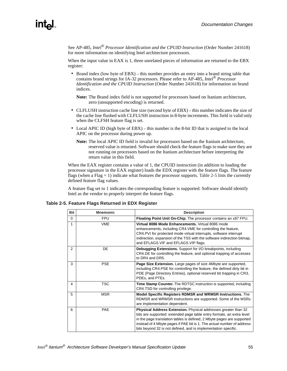See AP-485, *Intel® Processor Identification and the CPUID Instruction* (Order Number 241618) for more information on identifying Intel architecture processors.

When the input value in EAX is 1, three unrelated pieces of information are returned to the EBX register:

• Brand index (low byte of EBX) – this number provides an entry into a brand string table that contains brand strings for IA-32 processors. Please refer to AP-485, *Intel® Processor Identification and the CPUID Instruction* (Order Number 241618) for information on brand indices.

**Note:** The Brand index field is not supported for processors based on Itanium architecture, zero (unsupported encoding) is returned.

- CLFLUSH instruction cache line size (second byte of EBX) this number indicates the size of the cache line flushed with CLFLUSH instruction in 8-byte increments. This field is valid only when the CLFSH feature flag is set.
- Local APIC ID (high byte of EBX) this number is the 8-bit ID that is assigned to the local APIC on the processor during power up.
	- **Note:** The local APIC ID field is invalid for processors based on the Itanium architecture, reserved value is returned. Software should check the feature flags to make sure they are not running on processors based on the Itanium architecture before interpreting the return value in this field.

When the EAX register contains a value of 1, the CPUID instruction (in addition to loading the processor signature in the EAX register) loads the EDX register with the feature flags. The feature flags (when a Flag  $= 1$ ) indicate what features the processor supports. Table 2-5 lists the currently defined feature flag values.

A feature flag set to 1 indicates the corresponding feature is supported. Software should identify Intel as the vendor to properly interpret the feature flags.

| Bit           | <b>Mnemonic</b> | <b>Description</b>                                                                                                                                                                                                                                                                                                                                                   |
|---------------|-----------------|----------------------------------------------------------------------------------------------------------------------------------------------------------------------------------------------------------------------------------------------------------------------------------------------------------------------------------------------------------------------|
| $\Omega$      | <b>FPU</b>      | Floating Point Unit On-Chip. The processor contains an x87 FPU.                                                                                                                                                                                                                                                                                                      |
| 1             | <b>VME</b>      | Virtual 8086 Mode Enhancements. Virtual 8086 mode<br>enhancements, including CR4.VME for controlling the feature,<br>CR4.PVI for protected mode virtual interrupts, software interrupt<br>indirection, expansion of the TSS with the software indirection bitmap,<br>and EFLAGS.VIF and EFLAGS.VIP flags.                                                            |
| $\mathcal{P}$ | DF.             | <b>Debugging Extensions.</b> Support for I/O breakpoints, including<br>CR4.DE for controlling the feature, and optional trapping of accesses<br>to DR4 and DR5.                                                                                                                                                                                                      |
| 3             | <b>PSE</b>      | <b>Page Size Extension.</b> Large pages of size 4Mbyte are supported,<br>including CR4.PSE for controlling the feature, the defined dirty bit in<br>PDE (Page Directory Entries), optional reserved bit trapping in CR3,<br>PDEs, and PTEs.                                                                                                                          |
| 4             | <b>TSC</b>      | <b>Time Stamp Counter.</b> The RDTSC instruction is supported, including<br>CR4.TSD for controlling privilege.                                                                                                                                                                                                                                                       |
| 5             | <b>MSR</b>      | Model Specific Registers RDMSR and WRMSR Instructions. The<br>RDMSR and WRMSR instructions are supported. Some of the MSRs<br>are implementation dependent.                                                                                                                                                                                                          |
| 6             | <b>PAF</b>      | <b>Physical Address Extension.</b> Physical addresses greater than 32<br>bits are supported: extended page table entry formats, an extra level<br>in the page translation tables is defined, 2 Mbyte pages are supported<br>instead of 4 Mbyte pages if PAE bit is 1. The actual number of address<br>bits beyond 32 is not defined, and is implementation specific. |

#### **Table 2-5. Feature Flags Returned in EDX Register**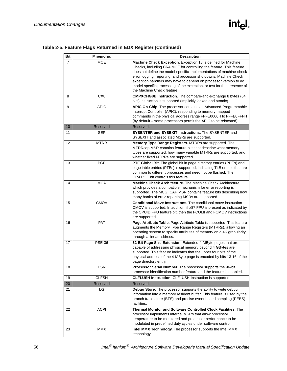#### **Table 2-5. Feature Flags Returned in EDX Register (Continued)**

| Bit            | <b>Mnemonic</b> | <b>Description</b>                                                                                                                                                                                                                                                                                                                                                                                                                                          |
|----------------|-----------------|-------------------------------------------------------------------------------------------------------------------------------------------------------------------------------------------------------------------------------------------------------------------------------------------------------------------------------------------------------------------------------------------------------------------------------------------------------------|
| $\overline{7}$ | <b>MCE</b>      | Machine Check Exception. Exception 18 is defined for Machine<br>Checks, including CR4.MCE for controlling the feature. This feature<br>does not define the model-specific implementations of machine-check<br>error logging, reporting, and processor shutdowns. Machine Check<br>exception handlers may have to depend on processor version to do<br>model-specific processing of the exception, or test for the presence of<br>the Machine Check feature. |
| 8              | CX8             | <b>CMPXCHG8B Instruction.</b> The compare-and-exchange 8 bytes (64<br>bits) instruction is supported (implicitly locked and atomic).                                                                                                                                                                                                                                                                                                                        |
| 9              | <b>APIC</b>     | APIC On-Chip. The processor contains an Advanced Programmable<br>Interrupt Controller (APIC), responding to memory mapped<br>commands in the physical address range FFFE0000H to FFFE0FFFH<br>(by default – some processors permit the APIC to be relocated).                                                                                                                                                                                               |
| 10             | Reserved        | Reserved.                                                                                                                                                                                                                                                                                                                                                                                                                                                   |
| 11             | <b>SEP</b>      | <b>SYSENTER and SYSEXIT Instructions. The SYSENTER and</b><br>SYSEXIT and associated MSRs are supported.                                                                                                                                                                                                                                                                                                                                                    |
| 12             | <b>MTRR</b>     | Memory Type Range Registers. MTRRs are supported. The<br>MTRRcap MSR contains feature bits that describe what memory<br>types are supported, how many variable MTRRs are supported, and<br>whether fixed MTRRs are supported.                                                                                                                                                                                                                               |
| 13             | <b>PGE</b>      | PTE Global Bit. The global bit in page directory entries (PDEs) and<br>page table entries (PTEs) is supported, indicating TLB entries that are<br>common to different processes and need not be flushed. The<br>CR4. PGE bit controls this feature.                                                                                                                                                                                                         |
| 14             | <b>MCA</b>      | Machine Check Architecture. The Machine Check Architecture,<br>which provides a compatible mechanism for error reporting is<br>supported. The MCG_CAP MSR contains feature bits describing how<br>many banks of error reporting MSRs are supported.                                                                                                                                                                                                         |
| 15             | <b>CMOV</b>     | <b>Conditional Move Instructions.</b> The conditional move instruction<br>CMOV is supported. In addition, if x87 FPU is present as indicated by<br>the CPUID.FPU feature bit, then the FCOMI and FCMOV instructions<br>are supported.                                                                                                                                                                                                                       |
| 16             | PAT             | Page Attribute Table. Page Attribute Table is supported. This feature<br>augments the Memory Type Range Registers (MTRRs), allowing an<br>operating system to specify attributes of memory on a 4K granularity<br>through a linear address.                                                                                                                                                                                                                 |
| 17             | <b>PSE-36</b>   | 32-Bit Page Size Extension. Extended 4-MByte pages that are<br>capable of addressing physical memory beyond 4 GBytes are<br>supported. This feature indicates that the upper four bits of the<br>physical address of the 4-MByte page is encoded by bits 13-16 of the<br>page directory entry.                                                                                                                                                              |
| 18             | <b>PSN</b>      | Processor Serial Number. The processor supports the 96-bit<br>processor identification number feature and the feature is enabled.                                                                                                                                                                                                                                                                                                                           |
| 19             | CLFSH           | <b>CLFLUSH Instruction.</b> CLFLUSH Instruction is supported.                                                                                                                                                                                                                                                                                                                                                                                               |
| 20             | Reserved        | Reserved.                                                                                                                                                                                                                                                                                                                                                                                                                                                   |
| 21             | DS              | Debug Store. The processor supports the ability to write debug<br>information into a memory resident buffer. This feature is used by the<br>branch trace store (BTS) and precise event-based sampling (PEBS)<br>facilities.                                                                                                                                                                                                                                 |
| 22             | ACPI            | <b>Thermal Monitor and Software Controlled Clock Facilities.</b> The<br>processor implements internal MSRs that allow processor<br>temperature to be monitored and processor performance to be<br>modulated in predefined duty cycles under software control.                                                                                                                                                                                               |
| 23             | <b>MMX</b>      | Intel MMX Technology. The processor supports the Intel MMX<br>technology.                                                                                                                                                                                                                                                                                                                                                                                   |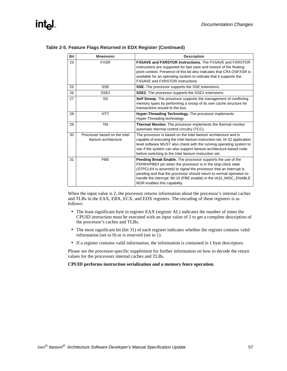| <b>Bit</b> | <b>Mnemonic</b>                                      | <b>Description</b>                                                                                                                                                                                                                                                                                                                                                                   |
|------------|------------------------------------------------------|--------------------------------------------------------------------------------------------------------------------------------------------------------------------------------------------------------------------------------------------------------------------------------------------------------------------------------------------------------------------------------------|
| 24         | <b>FXSR</b>                                          | <b>FXSAVE and FXRSTOR Instructions.</b> The FXSAVE and FXRSTOR<br>instructions are supported for fast save and restore of the floating<br>point context. Presence of this bit also indicates that CR4.OSFXSR is<br>available for an operating system to indicate that it supports the<br><b>FXSAVE and FXRSTOR instructions</b>                                                      |
| 25         | <b>SSE</b>                                           | <b>SSE.</b> The processor supports the SSE extensions.                                                                                                                                                                                                                                                                                                                               |
| 26         | SSE <sub>2</sub>                                     | <b>SSE2.</b> The processor supports the SSE2 extensions.                                                                                                                                                                                                                                                                                                                             |
| 27         | SS                                                   | <b>Self Snoop.</b> The processor supports the management of conflicting<br>memory types by performing a snoop of its own cache structure for<br>transactions issued to the bus.                                                                                                                                                                                                      |
| 28         | <b>HTT</b>                                           | Hyper-Threading Technology. The processor implements<br>Hyper-Threading technology.                                                                                                                                                                                                                                                                                                  |
| 29         | <b>TM</b>                                            | Thermal Monitor. The processor implements the thermal monitor<br>automatic thermal control circuitry (TCC).                                                                                                                                                                                                                                                                          |
| 30         | Processor based on the Intel<br>Itanium architecture | The processor is based on the Intel Itanium architecture and is<br>capable of executing the Intel Itanium instruction set. IA-32 application<br>level software MUST also check with the running operating system to<br>see if the system can also support Itanium architecture-based code<br>before switching to the Intel Itanium instruction set.                                  |
| 31         | PBE                                                  | <b>Pending Break Enable.</b> The processor supports the use of the<br>FERR#/PBE# pin when the processor is in the stop-clock state<br>(STPCLK# is asserted) to signal the processor that an interrupt is<br>pending and that the processor should return to normal operation to<br>handle the interrupt. Bit 10 (PBE enable) in the IA32_MISC_ENABLE<br>MSR enables this capability. |

#### **Table 2-5. Feature Flags Returned in EDX Register (Continued)**

When the input value is 2, the processor returns information about the processor's internal caches and TLBs in the EAX, EBX, ECX, and EDX registers. The encoding of these registers is as follows:

- The least-significant byte in register EAX (register AL) indicates the number of times the CPUID instruction must be executed with an input value of 2 to get a complete description of the processor's caches and TLBs.
- The most significant bit (bit 31) of each register indicates whether the register contains valid information (set to 0) or is reserved (set to 1).
- If a register contains valid information, the information is contained in 1 byte descriptors.

Please see the processor-specific supplement for further information on how to decode the return values for the processors internal caches and TLBs.

#### **CPUID performs instruction serialization and a memory fence operation.**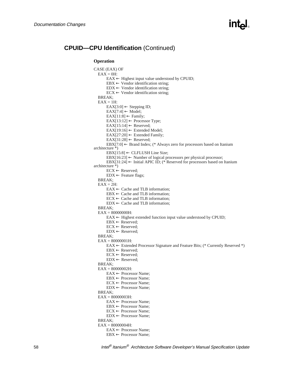#### **CPUID—CPU Identification** (Continued)

#### **Operation**

CASE (EAX) OF  $EAX = 0H$ :  $EAX \leftarrow$  Highest input value understood by CPUID;  $EBX \leftarrow$  Vendor identification string;  $EDX \leftarrow$  Vendor identification string:  $ECX \leftarrow$  Vendor identification string; BREAK;  $EAX = 1H$ :  $EAX[3:0] \leftarrow$  Stepping ID;  $EAX[7:4] \leftarrow Model;$  $EAX[11:8] \leftarrow$  Family;  $EAX[13:12] \leftarrow$  Processor Type;  $EAX[15:14] \leftarrow$  Reserved;  $EAX[19:16] \leftarrow$  Extended Model;  $EAX[27:20] \leftarrow$  Extended Family;  $EAX[31:28] \leftarrow$  Reserved;  $\text{EBX}[7:0] \leftarrow \text{Brand Index};$  (\* Always zero for processors based on Itanium architecture \*) EBX[15:8] ← CLFLUSH Line Size;  $EBX[16:23] \leftarrow$  Number of logical processors per physical processor;  $\text{EBX}[31:24] \leftarrow \text{Initial APIC ID};$  (\* Reserved for processors based on Itanium architecture \*) ECX ← Reserved;  $EDX \leftarrow$  Feature flags; BREAK;  $EAX = 2H$ :  $EAX \leftarrow$  Cache and TLB information;  $EBX \leftarrow$  Cache and TLB information;  $ECX \leftarrow$  Cache and TLB information;  $EDX \leftarrow$  Cache and TLB information; BREAK; EAX = 80000000H:  $EAX \leftarrow$  Highest extended function input value understood by CPUID; EBX ← Reserved;  $ECX \leftarrow$  Reserved: EDX ← Reserved; BREAK; EAX = 80000001H: EAX ← Extended Processor Signature and Feature Bits; (\* Currently Reserved \*) EBX ← Reserved;  $ECX \leftarrow$  Reserved; EDX ← Reserved; BREAK;  $EAX = 80000002H$ : EAX ← Processor Name; EBX ← Processor Name;  $ECX \leftarrow$  Processor Name: EDX ← Processor Name; BREAK;  $EAX = 80000003H$ : EAX ← Processor Name; EBX ← Processor Name;  $ECX \leftarrow$  Processor Name: EDX ← Processor Name; BREAK;  $EAX = 80000004H$ : EAX ← Processor Name; EBX ← Processor Name;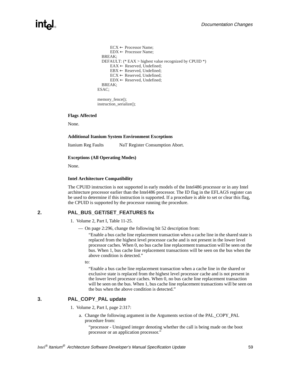# ht

```
ECX ← Processor Name;
      EDX ← Processor Name;
  BREAK;
  DEFAULT: (* EAX > highest value recognized by CPUID *)
      EAX \leftarrow Reserved, Undefined:
       EBX ← Reserved, Undefined;
       ECX \leftarrow Reserved, Undefined;
      EDX ← Reserved, Undefined;
  BREAK;
ESAC;
memory_fence();
instruction_serialize();
```
#### **Flags Affected**

None.

#### **Additional Itanium System Environment Exceptions**

Itanium Reg Faults NaT Register Consumption Abort.

#### **Exceptions (All Operating Modes)**

None.

#### **Intel Architecture Compatibility**

The CPUID instruction is not supported in early models of the Intel486 processor or in any Intel architecture processor earlier than the Intel486 processor. The ID flag in the EFLAGS register can be used to determine if this instruction is supported. If a procedure is able to set or clear this flag, the CPUID is supported by the processor running the procedure.

#### **2. PAL\_BUS\_GET/SET\_FEATURES fix**

- 1. Volume 2, Part I, Table 11-25.
	- On page 2:296, change the following bit 52 description from:

"Enable a bus cache line replacement transaction when a cache line in the shared state is replaced from the highest level processor cache and is not present in the lower level processor caches. When 0, no bus cache line replacement transaction will be seen on the bus. When 1, bus cache line replacement transactions will be seen on the bus when the above condition is detected."

to:

"Enable a bus cache line replacement transaction when a cache line in the shared or exclusive state is replaced from the highest level processor cache and is not present in the lower level processor caches. When 0, no bus cache line replacement transaction will be seen on the bus. When 1, bus cache line replacement transactions will be seen on the bus when the above condition is detected."

#### **3. PAL\_COPY\_PAL update**

1. Volume 2, Part I, page 2:317:

a. Change the following argument in the Arguments section of the PAL\_COPY\_PAL procedure from:

"processor - Unsigned integer denoting whether the call is being made on the boot processor or an application processor."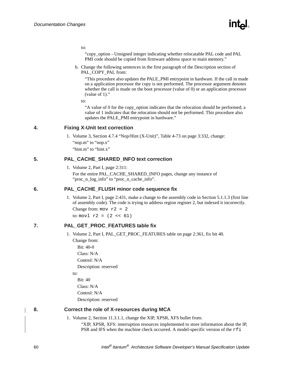

to:

"copy\_option - Unsigned integer indicating whether relocatable PAL code and PAL PMI code should be copied from firmware address space to main memory."

b. Change the following sentences in the first paragraph of the Description section of PAL\_COPY\_PAL from:

"This procedure also updates the PALE\_PMI entrypoint in hardware. If the call in made on a application processor the copy is not performed. The processor argument denotes whether the call is made on the boot processor (value of 0) or an application processor (value of 1)."

to:

"A value of 0 for the copy\_option indicates that the relocation should be performed; a value of 1 indicates that the relocation should not be performed. This procedure also updates the PALE\_PMI entrypoint in hardware."

#### **4. Fixing X-Unit text correction**

1. Volume 3, Section 4.7.4 "Nop/Hint (X-Unit)", Table 4-73 on page 3:332, change: "nop.m" to "nop.x" "hint.m" to "hint.x"

#### **5. PAL\_CACHE\_SHARED\_INFO text correction**

1. Volume 2, Part I, page 2:311: For the entire PAL\_CACHE\_SHARED\_INFO pages, change any instance of "proc\_n\_log\_info" to "proc\_n\_cache\_info".

#### **6. PAL\_CACHE\_FLUSH minor code sequence fix**

1. Volume 2, Part I, page 2:431, make a change to the assembly code in Section 5.1.1.3 (first line of assembly code). The code is trying to address region register 2, but indexed it incorrectly. Change from:  $mov$   $r2 = 2$ to:  $mov1 r2 = (2 \le 61)$ 

#### **7. PAL\_GET\_PROC\_FEATURES table fix**

- 1. Volume 2, Part I, PAL\_GET\_PROC\_FEATURES table on page 2:361, fix bit 40.
	- Change from:

Bit: 40-0

Class: N/A

Control: N/A

Description: reserved

to:

 Bit: 40 Class: N/A Control: N/A Description: reserved

#### <span id="page-59-0"></span>**8. Correct the role of X-resources during MCA**

1. Volume 2, Section 11.3.1.1, change the XIP, XPSR, XFS bullet from:

"XIP, XPSR, XFS: interruption resources implemented to store information about the IP, PSR and IFS when the machine check occurred. A model-specific version of the rfi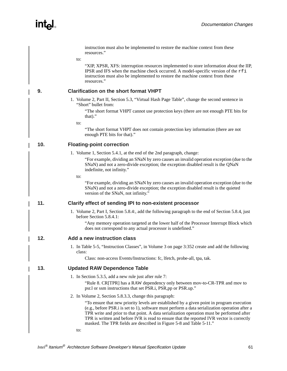<span id="page-60-1"></span><span id="page-60-0"></span>resources." to: "XIP, XPSR, XFS: interruption resources implemented to store information about the IIP, IPSR and IFS when the machine check occurred. A model-specific version of the rfi instruction must also be implemented to restore the machine context from these resources." **9. Clarification on the short format VHPT** 1. Volume 2, Part II, Section 5.3, "Virtual Hash Page Table", change the second sentence in "Short" bullet from: "The short format VHPT cannot use protection keys (there are not enough PTE bits for that)." to: "The short format VHPT does not contain protection key information (there are not enough PTE bits for that)." **10. Floating-point correction** 1. Volume 1, Section 5.4.1, at the end of the 2nd paragraph, change: "For example, dividing an SNaN by zero causes an invalid operation exception (due to the SNaN) and not a zero-divide exception; the exception disabled result is the QNaN indefinite, not infinity." to: "For example, dividing an SNaN by zero causes an invalid operation exception (due to the SNaN) and not a zero-divide exception; the exception disabled result is the quieted version of the SNaN, not infinity." **11. Clarify effect of sending IPI to non-existent processor** 1. Volume 2, Part I, Section 5.8.4:, add the following paragraph to the end of Section 5.8.4, just before Section 5.8.4.1: "Any memory operation targeted at the lower half of the Processor Interrupt Block which does not correspond to any actual processor is undefined." **12. Add a new instruction class** 1. In Table 5-5, "Instruction Classes", in Volume 3 on page 3:352 create and add the following class: Class: non-access Events/Instructions: fc, lfetch, probe-all, tpa, tak. **13. Updated RAW Dependence Table** 1. In Section 5.3.5, add a new rule just after rule 7: "Rule 8. CR[TPR] has a RAW dependency only between mov-to-CR-TPR and mov to psr.l or ssm instructions that set PSR.i, PSR,pp or PSR.up."

instruction must also be implemented to restore the machine context from these

<span id="page-60-4"></span><span id="page-60-3"></span><span id="page-60-2"></span>2. In Volume 2, Section 5.8.3.3, change this paragraph:

"To ensure that new priority levels are established by a given point in program execution (e.g., before PSR.i is set to 1), software must perform a data serialization operation after a TPR write and prior to that point. A data serialization operation must be performed after TPR is written and before IVR is read to ensure that the reported IVR vector is correctly masked. The TPR fields are described in Figure 5-8 and Table 5-11."

to: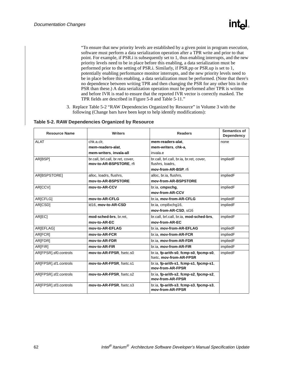"To ensure that new priority levels are established by a given point in program execution, software must perform a data serialization operation after a TPR write and prior to that point. For example, if PSR.i is subsequently set to 1, thus enabling interrupts, and the new priority levels need to be in place before this enabling, a data serialization must be performed prior to the setting of PSR.i. Similarly, if PSR.pp or PSR.up is set to 1, potentially enabling performance monitor interrupts, and the new priority levels need to be in place before this enabling, a data serialization must be performed. (Note that there's no dependence between writing TPR and then changing the PSR for any other bits in the PSR than these.) A data serialization operation must be performed after TPR is written and before IVR is read to ensure that the reported IVR vector is correctly masked. The TPR fields are described in Figure 5-8 and Table 5-11."

3. Replace Table 5-2 "RAW Dependencies Organized by Resource" in Volume 3 with the following (Change bars have been kept to help identify modifications):

| Table 5-2. RAW Dependencies Organized by Resource |  |
|---------------------------------------------------|--|
|---------------------------------------------------|--|

| <b>Resource Name</b>  | <b>Writers</b>                                               | <b>Readers</b>                                                    | Semantics of<br>Dependency |
|-----------------------|--------------------------------------------------------------|-------------------------------------------------------------------|----------------------------|
| <b>ALAT</b>           | chk.a.clr.                                                   | mem-readers-alat.                                                 | none                       |
|                       | mem-readers-alat.                                            | mem-writers, chk-a,                                               |                            |
|                       | mem-writers, invala-all                                      | invala.e                                                          |                            |
| AR[BSP]               | br.call, brl.call, br.ret, cover,<br>mov-to-AR-BSPSTORE, rfi | br.call, brl.call, br.ia, br.ret, cover,<br>flushrs, loadrs,      | impliedF                   |
|                       |                                                              | mov-from-AR-BSP, rfi                                              |                            |
| AR[BSPSTORE]          | alloc, loadrs, flushrs,                                      | alloc, br.ia, flushrs,                                            | impliedF                   |
|                       | mov-to-AR-BSPSTORE                                           | mov-from-AR-BSPSTORE                                              |                            |
| AR[CCV]               | mov-to-AR-CCV                                                | br.ia, cmpxchg,                                                   | impliedF                   |
|                       |                                                              | mov-from-AR-CCV                                                   |                            |
| <b>ARICFLG1</b>       | mov-to-AR-CFLG                                               | br.ia, mov-from-AR-CFLG                                           | impliedF                   |
| AR[CSD]               | Id16, mov-to-AR-CSD                                          | br.ia, cmp8xchq16,                                                | impliedF                   |
|                       |                                                              | mov-from-AR-CSD, st16                                             |                            |
| AR[EC]                | mod-sched-brs, br.ret,                                       | br.call, brl.call, br.ia, mod-sched-brs,                          | impliedF                   |
|                       | mov-to-AR-EC                                                 | mov-from-AR-EC                                                    |                            |
| AR[EFLAG]             | mov-to-AR-EFLAG                                              | br.ia, mov-from-AR-EFLAG                                          | impliedF                   |
| ARIFCR1               | mov-to-AR-FCR                                                | br.ia, mov-from-AR-FCR                                            | impliedF                   |
| AR[FDR]               | mov-to-AR-FDR                                                | br.ia, mov-from-AR-FDR                                            | impliedF                   |
| <b>AR[FIR]</b>        | mov-to-AR-FIR                                                | br.ia, mov-from-AR-FIR                                            | impliedF                   |
| AR[FPSR].sf0.controls | mov-to-AR-FPSR, fsetc.s0                                     | br.ia, fp-arith-s0, fcmp-s0, fpcmp-s0,<br>fsetc, mov-from-AR-FPSR | impliedF                   |
| AR[FPSR].sf1.controls | mov-to-AR-FPSR, fsetc.s1                                     | br.ia, fp-arith-s1, fcmp-s1, fpcmp-s1,<br>mov-from-AR-FPSR        |                            |
| AR[FPSR].sf2.controls | mov-to-AR-FPSR, fsetc.s2                                     | br.ia, fp-arith-s2, fcmp-s2, fpcmp-s2,<br>mov-from-AR-FPSR        |                            |
| AR[FPSR].sf3.controls | mov-to-AR-FPSR, fsetc.s3                                     | br.ia, fp-arith-s3, fcmp-s3, fpcmp-s3,<br>mov-from-AR-FPSR        |                            |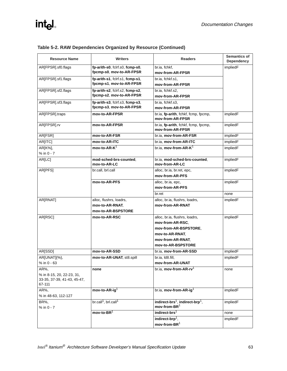## intel

| <b>Resource Name</b>                                                       | <b>Writers</b>                                                   | <b>Readers</b>                                                                                                                            | Semantics of<br>Dependency |
|----------------------------------------------------------------------------|------------------------------------------------------------------|-------------------------------------------------------------------------------------------------------------------------------------------|----------------------------|
| AR[FPSR].sf0.flags                                                         | fp-arith-s0, fclrf.s0, fcmp-s0,<br>fpcmp-s0, mov-to-AR-FPSR      | br.ia, fchkf,<br>mov-from-AR-FPSR                                                                                                         | impliedF                   |
| AR[FPSR].sf1.flags                                                         | fp-arith-s1, fclrf.s1, fcmp-s1,<br>fpcmp-s1, mov-to-AR-FPSR      | br.ia. fchkf.s1.<br>mov-from-AR-FPSR                                                                                                      |                            |
| AR[FPSR].sf2.flags                                                         | fp-arith-s2, fclrf.s2, fcmp-s2,<br>fpcmp-s2, mov-to-AR-FPSR      | br.ia, fchkf.s2,<br>mov-from-AR-FPSR                                                                                                      |                            |
| AR[FPSR].sf3.flags                                                         | fp-arith-s3, fclrf.s3, fcmp-s3,<br>fpcmp-s3, mov-to-AR-FPSR      | br.ia, fchkf.s3,<br>mov-from-AR-FPSR                                                                                                      |                            |
| AR[FPSR].traps                                                             | mov-to-AR-FPSR                                                   | br.ia, fp-arith, fchkf, fcmp, fpcmp,<br>mov-from-AR-FPSR                                                                                  | impliedF                   |
| AR[FPSR].rv                                                                | mov-to-AR-FPSR                                                   | br.ia, fp-arith, fchkf, fcmp, fpcmp,<br>mov-from-AR-FPSR                                                                                  | impliedF                   |
| AR[FSR]                                                                    | mov-to-AR-FSR                                                    | br.ia, mov-from-AR-FSR                                                                                                                    | impliedF                   |
| AR[ITC]                                                                    | mov-to-AR-ITC                                                    | br.ia, mov-from-AR-ITC                                                                                                                    | impliedF                   |
| AR[K%],<br>% in $0 - 7$                                                    | mov-to-AR- $K^1$                                                 | br.ia, mov-from-AR-K <sup>1</sup>                                                                                                         | impliedF                   |
| AR[LC]                                                                     | mod-sched-brs-counted.<br>mov-to-AR-LC                           | br.ia, mod-sched-brs-counted,<br>mov-from-AR-LC                                                                                           | impliedF                   |
| AR[PFS]                                                                    | br.call, brl.call                                                | alloc, br.ia, br.ret, epc,<br>mov-from-AR-PFS                                                                                             | impliedF                   |
|                                                                            | mov-to-AR-PFS                                                    | alloc, br.ia, epc,<br>mov-from-AR-PFS                                                                                                     | impliedF                   |
|                                                                            |                                                                  | br.ret                                                                                                                                    | none                       |
| AR[RNAT]                                                                   | alloc, flushrs, loadrs,<br>mov-to-AR-RNAT.<br>mov-to-AR-BSPSTORE | alloc, br.ia, flushrs, loadrs,<br>mov-from-AR-RNAT                                                                                        | impliedF                   |
| AR[RSC]                                                                    | mov-to-AR-RSC                                                    | alloc, br.ia, flushrs, loadrs,<br>mov-from-AR-RSC.<br>mov-from-AR-BSPSTORE,<br>mov-to-AR-RNAT,<br>mov-from-AR-RNAT,<br>mov-to-AR-BSPSTORE | impliedF                   |
| AR[SSD]                                                                    | mov-to-AR-SSD                                                    | br.ia. mov-from-AR-SSD                                                                                                                    | impliedF                   |
| ARJUNATI(%),                                                               | mov-to-AR-UNAT, st8.spill                                        | br.ia, Id8.fill,                                                                                                                          | impliedF                   |
| % in 0 - 63                                                                |                                                                  | mov-from-AR-UNAT                                                                                                                          |                            |
| AR%,<br>% in 8-15, 20, 22-23, 31,<br>33-35, 37-39, 41-43, 45-47,<br>67-111 | none                                                             | br.ia, mov-from-AR-rv <sup>1</sup>                                                                                                        | none                       |
| AR%,<br>% in 48-63, 112-127                                                | mov-to-AR-ig <sup>1</sup>                                        | br.ia, mov-from-AR-ig <sup>1</sup>                                                                                                        | impliedF                   |
| BR%,<br>% in 0 - 7                                                         | br.call <sup>1</sup> , brl.call <sup>1</sup>                     | indirect-brs <sup>1</sup> , indirect-brp <sup>1</sup> ,<br>mov-from-BR $1$                                                                | impliedF                   |
|                                                                            | mov-to-BR $1$                                                    | indirect-brs <sup>1</sup>                                                                                                                 | none                       |
|                                                                            |                                                                  | indirect-brp <sup>1</sup> ,<br>mov-from-BR $1$                                                                                            | impliedF                   |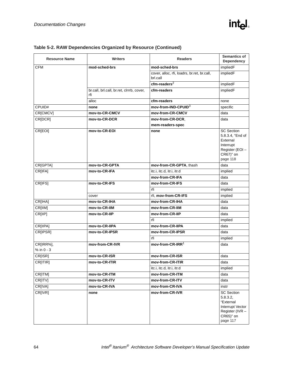| <b>Resource Name</b>    | <b>Writers</b>                                   | <b>Readers</b>                                          | Semantics of<br>Dependency                                                                                 |
|-------------------------|--------------------------------------------------|---------------------------------------------------------|------------------------------------------------------------------------------------------------------------|
| <b>CFM</b>              | mod-sched-brs                                    | mod-sched-brs                                           | impliedF                                                                                                   |
|                         |                                                  | cover, alloc, rfi, loadrs, br.ret, br.call,<br>brl.call | impliedF                                                                                                   |
|                         |                                                  | $cfm-readers2$                                          | impliedF                                                                                                   |
|                         | br.call, brl.call, br.ret, clrrrb, cover,<br>rfi | cfm-readers                                             | impliedF                                                                                                   |
|                         | alloc                                            | cfm-readers                                             | none                                                                                                       |
| CPUID#                  | none                                             | mov-from-IND-CPUID <sup>3</sup>                         | specific                                                                                                   |
| CR[CMCV]                | mov-to-CR-CMCV                                   | mov-from-CR-CMCV                                        | data                                                                                                       |
| CR[DCR]                 | mov-to-CR-DCR                                    | mov-from-CR-DCR,                                        | data                                                                                                       |
|                         |                                                  | mem-readers-spec                                        |                                                                                                            |
| CR[EOI]                 | mov-to-CR-EOI                                    | none                                                    | <b>SC Section</b><br>5.8.3.4, "End of<br>External<br>Interrupt<br>Register (EOI-<br>CR67)" on<br>page 118  |
| CR[GPTA]                | mov-to-CR-GPTA                                   | mov-from-CR-GPTA, thash                                 | data                                                                                                       |
| CR[IFA]                 | mov-to-CR-IFA                                    | itc.i, itc.d, itr.i, itr.d                              | implied                                                                                                    |
|                         |                                                  | mov-from-CR-IFA                                         | data                                                                                                       |
| CR[IFS]                 | mov-to-CR-IFS                                    | mov-from-CR-IFS                                         | data                                                                                                       |
|                         |                                                  | rfi                                                     | implied                                                                                                    |
|                         | cover                                            | rfi, mov-from-CR-IFS                                    | implied                                                                                                    |
| CR[IHA]                 | mov-to-CR-IHA                                    | mov-from-CR-IHA                                         | data                                                                                                       |
| CR[IIM]                 | mov-to-CR-IIM                                    | mov-from-CR-IIM                                         | data                                                                                                       |
| CR[IIP]                 | mov-to-CR-IIP                                    | mov-from-CR-IIP                                         | data                                                                                                       |
|                         |                                                  | rfi                                                     | implied                                                                                                    |
| CR[IIPA]                | mov-to-CR-IIPA                                   | mov-from-CR-IIPA                                        | data                                                                                                       |
| CR[IPSR]                | mov-to-CR-IPSR                                   | mov-from-CR-IPSR                                        | data                                                                                                       |
|                         |                                                  | rfi                                                     | implied                                                                                                    |
| CR[IRR%],<br>% in 0 - 3 | mov-from-CR-IVR                                  | mov-from-CR-IRR $1$                                     | data                                                                                                       |
| CR[ISR]                 | mov-to-CR-ISR                                    | mov-from-CR-ISR                                         | data                                                                                                       |
| CR[ITIR]                | mov-to-CR-ITIR                                   | mov-from-CR-ITIR                                        | data                                                                                                       |
|                         |                                                  | itc.i, itc.d, itr.i, itr.d                              | implied                                                                                                    |
| CR[ITM]                 | mov-to-CR-ITM                                    | mov-from-CR-ITM                                         | data                                                                                                       |
| CR[ITV]                 | mov-to-CR-ITV                                    | mov-from-CR-ITV                                         | data                                                                                                       |
| CR[IVA]                 | mov-to-CR-IVA                                    | mov-from-CR-IVA                                         | instr                                                                                                      |
| CR[IVR]                 | none                                             | mov-from-CR-IVR                                         | <b>SC Section</b><br>5.8.3.2,<br>"External<br>Interrupt Vector<br>Register (IVR -<br>CR65)" on<br>page 117 |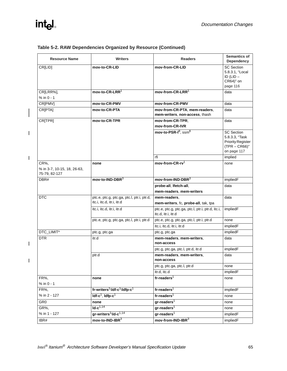

 $\begin{array}{|c|c|} \hline \rule{0pt}{12pt} \rule{0pt}{2.5pt} \rule{0pt}{2.5pt} \rule{0pt}{2.5pt} \rule{0pt}{2.5pt} \rule{0pt}{2.5pt} \rule{0pt}{2.5pt} \rule{0pt}{2.5pt} \rule{0pt}{2.5pt} \rule{0pt}{2.5pt} \rule{0pt}{2.5pt} \rule{0pt}{2.5pt} \rule{0pt}{2.5pt} \rule{0pt}{2.5pt} \rule{0pt}{2.5pt} \rule{0pt}{2.5pt} \rule{0pt}{2.5pt} \rule{0pt}{2.5pt} \rule{0pt}{2.5$ 

 $\overline{1}$ 

 $\begin{array}{c} \begin{array}{c} \hline \end{array} \end{array}$ 

 $\overline{1}$ 

 $\overline{1}$ 

|  |  | Table 5-2. RAW Dependencies Organized by Resource (Continued) |
|--|--|---------------------------------------------------------------|
|  |  |                                                               |

| <b>Resource Name</b>                                 | <b>Writers</b>                                                           | <b>Readers</b>                                                           | Semantics of<br>Dependency                                                                                    |
|------------------------------------------------------|--------------------------------------------------------------------------|--------------------------------------------------------------------------|---------------------------------------------------------------------------------------------------------------|
| CR[LID]                                              | mov-to-CR-LID                                                            | mov-from-CR-LID                                                          | <b>SC Section</b><br>5.8.3.1, "Local<br>ID $(LID -$<br>CR64)" on<br>page 116                                  |
| CR[LRR%],<br>$% in 0 - 1$                            | mov-to-CR-LRR $1$                                                        | mov-from-CR-LRR $1$                                                      | data                                                                                                          |
| CR[PMV]                                              | mov-to-CR-PMV                                                            | mov-from-CR-PMV                                                          | data                                                                                                          |
| CR[PTA]                                              | mov-to-CR-PTA                                                            | mov-from-CR-PTA, mem-readers,<br>mem-writers, non-access, thash          | data                                                                                                          |
| CR[TPR]                                              | mov-to-CR-TPR                                                            | mov-from-CR-TPR,<br>mov-from-CR-IVR                                      | data                                                                                                          |
|                                                      |                                                                          | mov-to-PSR- $I^8$ , ssm $^8$<br>rfi                                      | <b>SC Section</b><br>5.8.3.3, "Task<br><b>Priority Register</b><br>$(TPR - CR66)$ "<br>on page 117<br>implied |
| CR%,<br>% in 3-7, 10-15, 18, 26-63,<br>75-79, 82-127 | none                                                                     | mov-from-CR-rv <sup>1</sup>                                              | none                                                                                                          |
| DBR#                                                 | mov-to-IND-DBR3                                                          | mov-from-IND-DBR $3$                                                     | impliedF                                                                                                      |
|                                                      |                                                                          | probe-all, Ifetch-all,                                                   | data                                                                                                          |
|                                                      |                                                                          | mem-readers, mem-writers                                                 |                                                                                                               |
| <b>DTC</b>                                           | ptc.e, ptc.g, ptc.ga, ptc.l, ptr.i, ptr.d,<br>itc.i, itc.d, itr.i, itr.d | mem-readers,<br>mem-writers, fc, probe-all, tak, tpa                     | data                                                                                                          |
|                                                      | itc.i, itc.d, itr.i, itr.d                                               | ptc.e, ptc.g, ptc.ga, ptc.l, ptr.i, ptr.d, itc.i,<br>itc.d, itr.i, itr.d | impliedF                                                                                                      |
|                                                      | ptc.e, ptc.g, ptc.ga, ptc.l, ptr.i, ptr.d                                | ptc.e, ptc.g, ptc.ga, ptc.l, ptr.i, ptr.d                                | none                                                                                                          |
|                                                      |                                                                          | itc.i, itc.d, itr.i, itr.d                                               | impliedF                                                                                                      |
| DTC_LIMIT*                                           | ptc.g, ptc.ga                                                            | ptc.g, ptc.ga                                                            | impliedF                                                                                                      |
| <b>DTR</b>                                           | itr.d                                                                    | mem-readers, mem-writers,<br>non-access                                  | data                                                                                                          |
|                                                      |                                                                          | ptc.g, ptc.ga, ptc.l, ptr.d, itr.d                                       | impliedF                                                                                                      |
|                                                      | ptr.d                                                                    | mem-readers, mem-writers,<br>non-access                                  | data                                                                                                          |
|                                                      |                                                                          | ptc.g, ptc.ga, ptc.l, ptr.d                                              | none                                                                                                          |
|                                                      |                                                                          | itr.d, itc.d                                                             | impliedF                                                                                                      |
| FR%,<br>% in 0 - 1                                   | none                                                                     | $fr$ -readers <sup>1</sup>                                               | none                                                                                                          |
| FR%,                                                 | fr-writers <sup>1</sup> \ldf-c <sup>1</sup> \ldfp-c <sup>1</sup>         | $fr$ -readers <sup>1</sup>                                               | impliedF                                                                                                      |
| % in 2 - 127                                         | $Idf-c1$ , $Idfp-c1$                                                     | $fr$ -readers <sup>1</sup>                                               | none                                                                                                          |
| GR <sub>0</sub>                                      | none                                                                     | $gr$ -readers <sup>1</sup>                                               | none                                                                                                          |
| GR%,                                                 | $Id-c^{1,14}$                                                            | $gr$ -readers $1$                                                        | none                                                                                                          |
| % in 1 - 127                                         | gr-writers <sup>1</sup> \ld-c <sup>1,14</sup>                            | $gr$ -readers <sup>1</sup>                                               | impliedF                                                                                                      |
| IBR#                                                 | mov-to-IND-IBR $3$                                                       | mov-from-IND-IBR <sup>3</sup>                                            | impliedF                                                                                                      |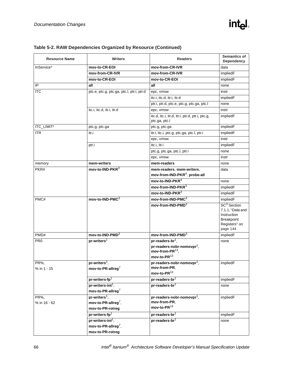| <b>Resource Name</b> | <b>Writers</b>                            | <b>Readers</b>                                                           | Semantics of<br>Dependency                                                                            |
|----------------------|-------------------------------------------|--------------------------------------------------------------------------|-------------------------------------------------------------------------------------------------------|
| InService*           | mov-to-CR-EOI                             | mov-from-CR-IVR                                                          | data                                                                                                  |
|                      | mov-from-CR-IVR                           | mov-from-CR-IVR                                                          | impliedF                                                                                              |
|                      | mov-to-CR-EOI                             | mov-to-CR-EOI                                                            | impliedF                                                                                              |
| IP                   | all                                       | all                                                                      | none                                                                                                  |
| <b>ITC</b>           | ptc.e, ptc.g, ptc.ga, ptc.l, ptr.i, ptr.d | epc, vmsw                                                                | instr                                                                                                 |
|                      |                                           | itc.i, itc.d, itr.i, itr.d                                               | impliedF                                                                                              |
|                      |                                           | ptr.i, ptr.d, ptc.e, ptc.g, ptc.ga, ptc.l                                | none                                                                                                  |
|                      | itc.i, itc.d, itr.i, itr.d                | epc, vmsw                                                                | instr                                                                                                 |
|                      |                                           | itc.d, itc.i, itr.d, itr.i, ptr.d, ptr.i, ptc.g,<br>ptc.ga, ptc.l        | impliedF                                                                                              |
| ITC_LIMIT*           | ptc.g, ptc.ga                             | ptc.g, ptc.ga                                                            | impliedF                                                                                              |
| <b>ITR</b>           | itr.i                                     | itr.i, itc.i, ptc.g, ptc.ga, ptc.l, ptr.i                                | impliedF                                                                                              |
|                      |                                           | epc, vmsw                                                                | instr                                                                                                 |
|                      | ptr.i                                     | itc.i, itr.i                                                             | impliedF                                                                                              |
|                      |                                           | ptc.g, ptc.ga, ptc.l, ptr.i                                              | none                                                                                                  |
|                      |                                           | epc, vmsw                                                                | instr                                                                                                 |
| memory               | mem-writers                               | mem-readers                                                              | none                                                                                                  |
| PKR#                 | mov-to-IND-PKR3                           | mem-readers, mem-writers,                                                | data                                                                                                  |
|                      |                                           | mov-from-IND-PKR <sup>4</sup> , probe-all                                |                                                                                                       |
|                      |                                           | mov-to-IND-PKR <sup>4</sup>                                              | none                                                                                                  |
|                      |                                           | mov-from-IND-PKR <sup>3</sup>                                            | impliedF                                                                                              |
|                      |                                           | mov-to-IND-PKR3                                                          | impliedF                                                                                              |
| PMC#                 | mov-to-IND-PM $C3$                        | mov-from-IND-PMC3                                                        | impliedF                                                                                              |
|                      |                                           | mov-from-IND-PMD <sup>3</sup>                                            | SC <sup>3</sup> Section<br>7.1.1, "Data and<br>Instruction<br>Breakpoint<br>Registers" on<br>page 144 |
| PMD#                 | mov-to-IND-PMD $3$                        | mov-from-IND-PMD $3$                                                     | impliedF                                                                                              |
| PR <sub>0</sub>      | $pr-writers1$                             | $pr$ -readers-br <sup>1</sup> ,                                          | none                                                                                                  |
|                      |                                           | $pr$ -readers-nobr-nomovpr <sup>1</sup> ,<br>mov-from-PR $^{13}$ ,       |                                                                                                       |
|                      |                                           | mov-to-PR13                                                              |                                                                                                       |
| PR%,<br>% in 1 - 15  | $pr-writers1$ .<br>mov-to-PR-allreg $7$   | $pr$ -readers-nobr-nomovpr <sup>1</sup> .<br>mov-from-PR,<br>mov-to-PR13 | impliedF                                                                                              |
|                      | pr-writers-fp <sup>1</sup>                | $pr$ -readers-br $1$                                                     | impliedF                                                                                              |
|                      | $pr-writers-int1$ ,                       | $pr$ -readers-br $1$                                                     | none                                                                                                  |
|                      | mov-to-PR-allreg $7$                      |                                                                          |                                                                                                       |
| PR%,                 | $pr-writers1$ ,                           | pr-readers-nobr-nomovpr <sup>1</sup> ,                                   | impliedF                                                                                              |
| % in 16 - 62         | mov-to-PR-allreg <sup>7</sup> ,           | mov-from-PR,                                                             |                                                                                                       |
|                      | mov-to-PR-rotreg                          | mov-to-PR <sup>13</sup>                                                  |                                                                                                       |
|                      | pr-writers-fp <sup>1</sup>                | $pr$ -readers-br $1$                                                     | impliedF                                                                                              |
|                      | $pr-writers-int1$ ,                       | $pr$ -readers-br $1$                                                     | none                                                                                                  |
|                      | mov-to-PR-allreg <sup>7</sup> ,           |                                                                          |                                                                                                       |
|                      | mov-to-PR-rotreg                          |                                                                          |                                                                                                       |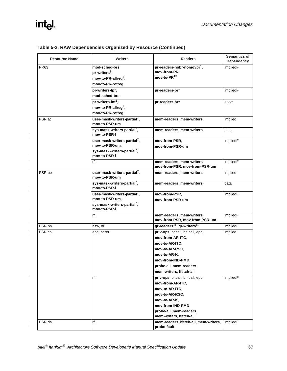## intel

 $\begin{array}{c} \hline \end{array}$ 

 $\begin{array}{c} \hline \end{array}$ 

 $\overline{\phantom{a}}$ 

 $\overline{1}$ 

 $\overline{1}$ 

I

 $\overline{1}$ 

 $\overline{1}$ 

| <b>Resource Name</b> | <b>Writers</b>                                             | <b>Readers</b>                                             | Semantics of<br>Dependency |
|----------------------|------------------------------------------------------------|------------------------------------------------------------|----------------------------|
| PR63                 | mod-sched-brs.                                             | pr-readers-nobr-nomovpr <sup>1</sup> ,                     | impliedF                   |
|                      | $pr-writers1$ ,                                            | mov-from-PR,                                               |                            |
|                      | mov-to-PR-allreg <sup>7</sup> ,                            | mov-to-PR <sup>13</sup>                                    |                            |
|                      | mov-to-PR-rotreg                                           |                                                            |                            |
|                      | pr-writers-fp <sup>1</sup> ,                               | pr-readers-br <sup>1</sup>                                 | impliedF                   |
|                      | mod-sched-brs                                              |                                                            |                            |
|                      | $pr-writers-int1$ ,                                        | pr-readers-br <sup>1</sup>                                 | none                       |
|                      | mov-to-PR-allreg <sup>7</sup> ,                            |                                                            |                            |
|                      | mov-to-PR-rotreg                                           |                                                            |                            |
| PSR.ac               | user-mask-writers-partial',                                | mem-readers, mem-writers                                   | implied                    |
|                      | mov-to-PSR-um                                              |                                                            |                            |
|                      | sys-mask-writers-partial <sup>7</sup> ,<br>mov-to-PSR-I    | mem-readers, mem-writers                                   | data                       |
|                      | user-mask-writers-partial <sup>7</sup> ,                   | mov-from-PSR,                                              | impliedF                   |
|                      | mov-to-PSR-um,                                             | mov-from-PSR-um                                            |                            |
|                      | sys-mask-writers-partial <sup>7</sup> ,                    |                                                            |                            |
|                      | mov-to-PSR-I                                               |                                                            |                            |
|                      | rfi                                                        | mem-readers, mem-writers,<br>mov-from-PSR, mov-from-PSR-um | impliedF                   |
| PSR.be               | user-mask-writers-partial <sup>7</sup> ,<br>mov-to-PSR-um  | mem-readers, mem-writers                                   | implied                    |
|                      | $sys-mask-writers-partial7$ ,<br>mov-to-PSR-I              | mem-readers, mem-writers                                   | data                       |
|                      | user-mask-writers-partial <sup>7</sup> ,<br>mov-to-PSR-um. | mov-from-PSR,<br>mov-from-PSR-um                           | impliedF                   |
|                      | sys-mask-writers-partial <sup>7</sup> ,<br>mov-to-PSR-I    |                                                            |                            |
|                      | rfi                                                        | mem-readers, mem-writers,<br>mov-from-PSR, mov-from-PSR-um | impliedF                   |
| PSR.bn               | bsw, rfi                                                   | gr-readers <sup>11</sup> , gr-writers <sup>11</sup>        | impliedF                   |
| PSR.cpl              | epc, br.ret                                                | priv-ops, br.call, brl.call, epc,                          | implied                    |
|                      |                                                            | mov-from-AR-ITC.                                           |                            |
|                      |                                                            | mov-to-AR-ITC.                                             |                            |
|                      |                                                            | mov-to-AR-RSC.                                             |                            |
|                      |                                                            | mov-to-AR-K.                                               |                            |
|                      |                                                            | mov-from-IND-PMD,                                          |                            |
|                      |                                                            | probe-all, mem-readers,                                    |                            |
|                      |                                                            | mem-writers, Ifetch-all                                    |                            |
|                      | rfi                                                        | priv-ops, br.call, brl.call, epc,                          | impliedF                   |
|                      |                                                            | mov-from-AR-ITC.                                           |                            |
|                      |                                                            | mov-to-AR-ITC,                                             |                            |
|                      |                                                            | mov-to-AR-RSC.                                             |                            |
|                      |                                                            | mov-to-AR-K.                                               |                            |
|                      |                                                            | mov-from-IND-PMD.                                          |                            |
|                      |                                                            | probe-all, mem-readers,<br>mem-writers, Ifetch-all         |                            |
| PSR.da               | rfi                                                        | mem-readers, Ifetch-all, mem-writers,                      | impliedF                   |
|                      |                                                            | probe-fault                                                |                            |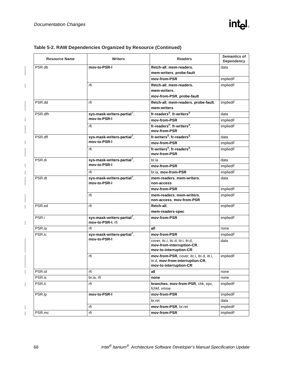$\overline{1}$ 

 $\mathbf{I}$ 

 $\mathbf{I}$ 

 $\overline{1}$ 

 $\overline{1}$ 

 $\overline{1}$ 

 $\overline{1}$  $\overline{1}$ 

intel

| <b>Resource Name</b> | <b>Writers</b>                                               | <b>Readers</b>                                                      | Semantics of<br>Dependency |
|----------------------|--------------------------------------------------------------|---------------------------------------------------------------------|----------------------------|
| PSR.db               | mov-to-PSR-I                                                 | lfetch-all, mem-readers,                                            | data                       |
|                      |                                                              | mem-writers, probe-fault                                            |                            |
|                      |                                                              | mov-from-PSR                                                        | impliedF                   |
|                      | rfi                                                          | Ifetch-all, mem-readers,                                            | impliedF                   |
|                      |                                                              | mem-writers,                                                        |                            |
|                      |                                                              | mov-from-PSR, probe-fault                                           |                            |
| PSR.dd               | rfi                                                          | lfetch-all, mem-readers, probe-fault,                               | impliedF                   |
|                      |                                                              | mem-writers                                                         |                            |
| PSR.dfh              | sys-mask-writers-partial <sup>7</sup> ,                      | $fr$ -readers <sup>9</sup> , fr-writers <sup>9</sup>                | data                       |
|                      | mov-to-PSR-I                                                 | mov-from-PSR                                                        | impliedF                   |
|                      | rfi                                                          | $f$ r-readers <sup>9</sup> , fr-writers <sup>9</sup> ,              | impliedF                   |
|                      |                                                              | mov-from-PSR                                                        |                            |
| PSR.dfl              | sys-mask-writers-partial <sup>7</sup> ,                      | fr-writers <sup>9</sup> , fr-readers <sup>9</sup>                   | data                       |
|                      | mov-to-PSR-I                                                 | mov-from-PSR                                                        | impliedF                   |
|                      | rfi                                                          | fr-writers <sup>9</sup> , fr-readers <sup>9</sup> ,<br>mov-from-PSR | impliedF                   |
| PSR.di               | sys-mask-writers-partial <sup>7</sup> ,                      | br.ia                                                               | data                       |
|                      | mov-to-PSR-I                                                 | mov-from-PSR                                                        | impliedF                   |
|                      | rfi                                                          | br.ia, mov-from-PSR                                                 | impliedF                   |
| PSR.dt               | $sys-mask-writers-partial7$ ,                                | mem-readers, mem-writers,                                           | data                       |
|                      | mov-to-PSR-I                                                 | non-access                                                          |                            |
|                      |                                                              | mov-from-PSR                                                        | impliedF                   |
|                      | rfi                                                          | mem-readers, mem-writers,                                           | impliedF                   |
|                      |                                                              | non-access, mov-from-PSR                                            |                            |
| PSR.ed               | rfi                                                          | Ifetch-all.                                                         | impliedF                   |
|                      |                                                              | mem-readers-spec                                                    |                            |
| PSR.i                | sys-mask-writers-partial <sup>7</sup> ,<br>mov-to-PSR-I, rfi | mov-from-PSR                                                        | impliedF                   |
| PSR.ia               | rfi                                                          | all                                                                 | none                       |
| PSR.ic               | sys-mask-writers-partial <sup>7</sup> ,                      | mov-from-PSR                                                        | impliedF                   |
|                      | mov-to-PSR-I                                                 | cover, itc.i, itc.d, itr.i, itr.d,<br>mov-from-interruption-CR,     | data                       |
|                      |                                                              | mov-to-interruption-CR                                              |                            |
|                      | rfi                                                          | mov-from-PSR, cover, itc.i, itc.d, itr.i,                           | impliedF                   |
|                      |                                                              | itr.d, mov-from-interruption-CR,                                    |                            |
|                      |                                                              | mov-to-interruption-CR                                              |                            |
| PSR.id               | rfi                                                          | all                                                                 | none                       |
| PSR.is               | br.ia, rfi                                                   | none                                                                | none                       |
| PSR.it               | rfi                                                          | branches, mov-from-PSR, chk, epc,<br>fchkf. vmsw                    | impliedF                   |
| PSR.lp               | mov-to-PSR-I                                                 | mov-from-PSR                                                        | impliedF                   |
|                      |                                                              | br.ret                                                              | data                       |
|                      | rfi                                                          | mov-from-PSR, br.ret                                                | impliedF                   |
| PSR.mc               | rfi                                                          | mov-from-PSR                                                        | impliedF                   |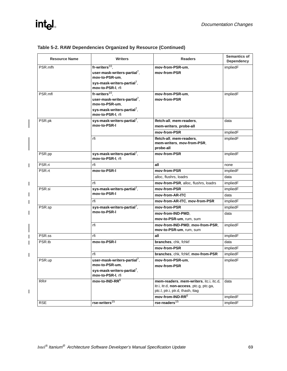### intel

 $\overline{1}$ 

 $\overline{1}$ 

 $\mathsf I$  $\overline{1}$ 

 $\overline{1}$ 

 $\mathsf{I}$  $\overline{1}$ 

 $\overline{1}$ 

 $\overline{1}$ 

| <b>Resource Name</b> | <b>Writers</b>                                               | <b>Readers</b>                                                                                                          | Semantics of<br>Dependency |
|----------------------|--------------------------------------------------------------|-------------------------------------------------------------------------------------------------------------------------|----------------------------|
| PSR.mfh              | fr-writers $10$ .                                            | mov-from-PSR-um.                                                                                                        | impliedF                   |
|                      | user-mask-writers-partial <sup>7</sup> ,<br>mov-to-PSR-um,   | mov-from-PSR                                                                                                            |                            |
|                      | sys-mask-writers-partial <sup>7</sup> ,<br>mov-to-PSR-I, rfi |                                                                                                                         |                            |
| PSR.mfl              | $f$ r-writers <sup>10</sup> .                                | mov-from-PSR-um.                                                                                                        | impliedF                   |
|                      | user-mask-writers-partial <sup>7</sup> ,<br>mov-to-PSR-um.   | mov-from-PSR                                                                                                            |                            |
|                      | sys-mask-writers-partial <sup>7</sup> ,<br>mov-to-PSR-I, rfi |                                                                                                                         |                            |
| PSR.pk               | sys-mask-writers-partial <sup>7</sup> ,                      | Ifetch-all, mem-readers,                                                                                                | data                       |
|                      | mov-to-PSR-I                                                 | mem-writers, probe-all                                                                                                  |                            |
|                      |                                                              | mov-from-PSR                                                                                                            | impliedF                   |
|                      | rfi                                                          | lfetch-all, mem-readers,                                                                                                | impliedF                   |
|                      |                                                              | mem-writers, mov-from-PSR,<br>probe-all                                                                                 |                            |
| PSR.pp               | sys-mask-writers-partial <sup>7</sup> ,<br>mov-to-PSR-I, rfi | mov-from-PSR                                                                                                            | impliedF                   |
| PSR.ri               | rfi                                                          | all                                                                                                                     | none                       |
| PSR.rt               | mov-to-PSR-I                                                 | mov-from-PSR                                                                                                            | impliedF                   |
|                      |                                                              | alloc, flushrs, loadrs                                                                                                  | data                       |
|                      | rfi                                                          | mov-from-PSR, alloc, flushrs, loadrs                                                                                    | impliedF                   |
| PSR.si               | sys-mask-writers-partial <sup>7</sup> ,<br>mov-to-PSR-I      | mov-from-PSR                                                                                                            | impliedF                   |
|                      |                                                              | mov-from-AR-ITC                                                                                                         | data                       |
|                      | rfi                                                          | mov-from-AR-ITC, mov-from-PSR                                                                                           | impliedF                   |
| PSR.sp               | sys-mask-writers-partial <sup>7</sup> ,<br>mov-to-PSR-I      | mov-from-PSR                                                                                                            | impliedF                   |
|                      |                                                              | mov-from-IND-PMD.                                                                                                       | data                       |
|                      |                                                              | mov-to-PSR-um, rum, sum                                                                                                 |                            |
|                      | rfi                                                          | mov-from-IND-PMD, mov-from-PSR,<br>mov-to-PSR-um, rum, sum                                                              | impliedF                   |
| PSR.ss               | rfi                                                          | all                                                                                                                     | impliedF                   |
| PSR.tb               | mov-to-PSR-I                                                 | branches, chk, fchkf                                                                                                    | data                       |
|                      |                                                              | mov-from-PSR                                                                                                            | impliedF                   |
|                      | rfi                                                          | branches, chk, fchkf, mov-from-PSR                                                                                      | impliedF                   |
| PSR.up               | user-mask-writers-partial',                                  | mov-from-PSR-um.                                                                                                        | impliedF                   |
|                      | mov-to-PSR-um,                                               | mov-from-PSR                                                                                                            |                            |
|                      | sys-mask-writers-partial <sup>7</sup> ,<br>mov-to-PSR-I, rfi |                                                                                                                         |                            |
| RR#                  | mov-to-IND-RR <sup>6</sup>                                   | mem-readers, mem-writers, itc.i, itc.d,<br>itr.i, itr.d, non-access, ptc.g, ptc.ga,<br>ptc.l, ptr.i, ptr.d, thash, ttag | data                       |
|                      |                                                              | mov-from-IND-RR <sup>6</sup>                                                                                            | impliedF                   |
| <b>RSE</b>           | rse-writers <sup>15</sup>                                    | $r$ se-readers $^{15}$                                                                                                  | impliedF                   |